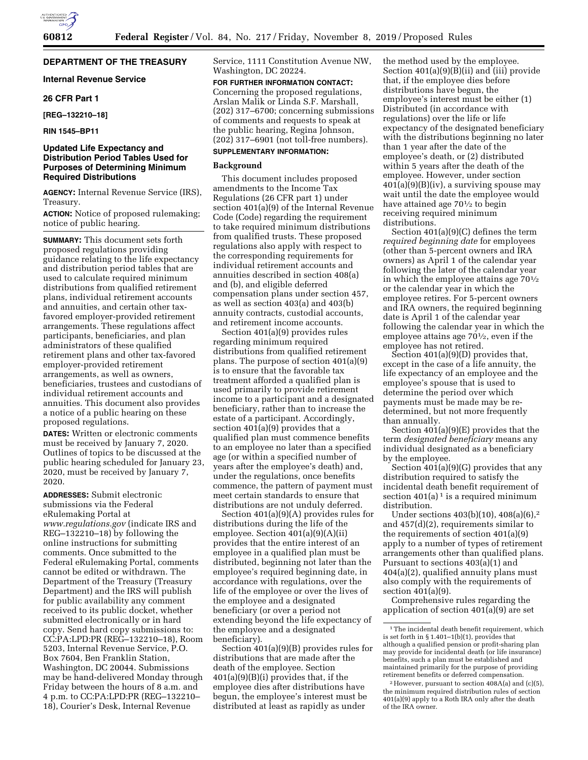# **DEPARTMENT OF THE TREASURY**

### **Internal Revenue Service**

#### **26 CFR Part 1**

**[REG–132210–18]** 

**RIN 1545–BP11** 

## **Updated Life Expectancy and Distribution Period Tables Used for Purposes of Determining Minimum Required Distributions**

**AGENCY:** Internal Revenue Service (IRS), Treasury.

**ACTION:** Notice of proposed rulemaking; notice of public hearing.

**SUMMARY:** This document sets forth proposed regulations providing guidance relating to the life expectancy and distribution period tables that are used to calculate required minimum distributions from qualified retirement plans, individual retirement accounts and annuities, and certain other taxfavored employer-provided retirement arrangements. These regulations affect participants, beneficiaries, and plan administrators of these qualified retirement plans and other tax-favored employer-provided retirement arrangements, as well as owners, beneficiaries, trustees and custodians of individual retirement accounts and annuities. This document also provides a notice of a public hearing on these proposed regulations.

**DATES:** Written or electronic comments must be received by January 7, 2020. Outlines of topics to be discussed at the public hearing scheduled for January 23, 2020, must be received by January 7, 2020.

**ADDRESSES:** Submit electronic submissions via the Federal eRulemaking Portal at *[www.regulations.gov](http://www.regulations.gov)* (indicate IRS and REG–132210–18) by following the online instructions for submitting comments. Once submitted to the Federal eRulemaking Portal, comments cannot be edited or withdrawn. The Department of the Treasury (Treasury Department) and the IRS will publish for public availability any comment received to its public docket, whether submitted electronically or in hard copy. Send hard copy submissions to: CC:PA:LPD:PR (REG–132210–18), Room 5203, Internal Revenue Service, P.O. Box 7604, Ben Franklin Station, Washington, DC 20044. Submissions may be hand-delivered Monday through Friday between the hours of 8 a.m. and 4 p.m. to CC:PA:LPD:PR (REG–132210– 18), Courier's Desk, Internal Revenue

Service, 1111 Constitution Avenue NW, Washington, DC 20224.

### **FOR FURTHER INFORMATION CONTACT:**

Concerning the proposed regulations, Arslan Malik or Linda S.F. Marshall, (202) 317–6700; concerning submissions of comments and requests to speak at the public hearing, Regina Johnson, (202) 317–6901 (not toll-free numbers).

# **SUPPLEMENTARY INFORMATION:**

#### **Background**

This document includes proposed amendments to the Income Tax Regulations (26 CFR part 1) under section 401(a)(9) of the Internal Revenue Code (Code) regarding the requirement to take required minimum distributions from qualified trusts. These proposed regulations also apply with respect to the corresponding requirements for individual retirement accounts and annuities described in section 408(a) and (b), and eligible deferred compensation plans under section 457, as well as section 403(a) and 403(b) annuity contracts, custodial accounts, and retirement income accounts.

Section 401(a)(9) provides rules regarding minimum required distributions from qualified retirement plans. The purpose of section 401(a)(9) is to ensure that the favorable tax treatment afforded a qualified plan is used primarily to provide retirement income to a participant and a designated beneficiary, rather than to increase the estate of a participant. Accordingly, section 401(a)(9) provides that a qualified plan must commence benefits to an employee no later than a specified age (or within a specified number of years after the employee's death) and, under the regulations, once benefits commence, the pattern of payment must meet certain standards to ensure that distributions are not unduly deferred.

Section 401(a)(9)(A) provides rules for distributions during the life of the employee. Section 401(a)(9)(A)(ii) provides that the entire interest of an employee in a qualified plan must be distributed, beginning not later than the employee's required beginning date, in accordance with regulations, over the life of the employee or over the lives of the employee and a designated beneficiary (or over a period not extending beyond the life expectancy of the employee and a designated beneficiary).

Section 401(a)(9)(B) provides rules for distributions that are made after the death of the employee. Section 401(a)(9)(B)(i) provides that, if the employee dies after distributions have begun, the employee's interest must be distributed at least as rapidly as under

the method used by the employee. Section 401(a)(9)(B)(ii) and (iii) provide that, if the employee dies before distributions have begun, the employee's interest must be either (1) Distributed (in accordance with regulations) over the life or life expectancy of the designated beneficiary with the distributions beginning no later than 1 year after the date of the employee's death, or (2) distributed within 5 years after the death of the employee. However, under section  $401(a)(9)(B)(iv)$ , a surviving spouse may wait until the date the employee would have attained age 70<sup>1</sup>/<sub>2</sub> to begin receiving required minimum distributions.

Section 401(a)(9)(C) defines the term *required beginning date* for employees (other than 5-percent owners and IRA owners) as April 1 of the calendar year following the later of the calendar year in which the employee attains age  $70\frac{1}{2}$ or the calendar year in which the employee retires. For 5-percent owners and IRA owners, the required beginning date is April 1 of the calendar year following the calendar year in which the employee attains age 701⁄2, even if the employee has not retired.

Section 401(a)(9)(D) provides that, except in the case of a life annuity, the life expectancy of an employee and the employee's spouse that is used to determine the period over which payments must be made may be redetermined, but not more frequently than annually.

Section 401(a)(9)(E) provides that the term *designated beneficiary* means any individual designated as a beneficiary by the employee.

Section  $401(a)(9)(G)$  provides that any distribution required to satisfy the incidental death benefit requirement of section  $401(a)$ <sup>1</sup> is a required minimum distribution.

Under sections 403(b)(10), 408(a)(6),2 and 457(d)(2), requirements similar to the requirements of section 401(a)(9) apply to a number of types of retirement arrangements other than qualified plans. Pursuant to sections 403(a)(1) and 404(a)(2), qualified annuity plans must also comply with the requirements of section 401(a)(9).

Comprehensive rules regarding the application of section 401(a)(9) are set

<sup>&</sup>lt;sup>1</sup>The incidental death benefit requirement, which is set forth in § 1.401–1(b)(1), provides that although a qualified pension or profit-sharing plan may provide for incidental death (or life insurance) benefits, such a plan must be established and maintained primarily for the purpose of providing retirement benefits or deferred compensation.

 $2$  However, pursuant to section  $408A(a)$  and (c)(5), the minimum required distribution rules of section 401(a)(9) apply to a Roth IRA only after the death of the IRA owner.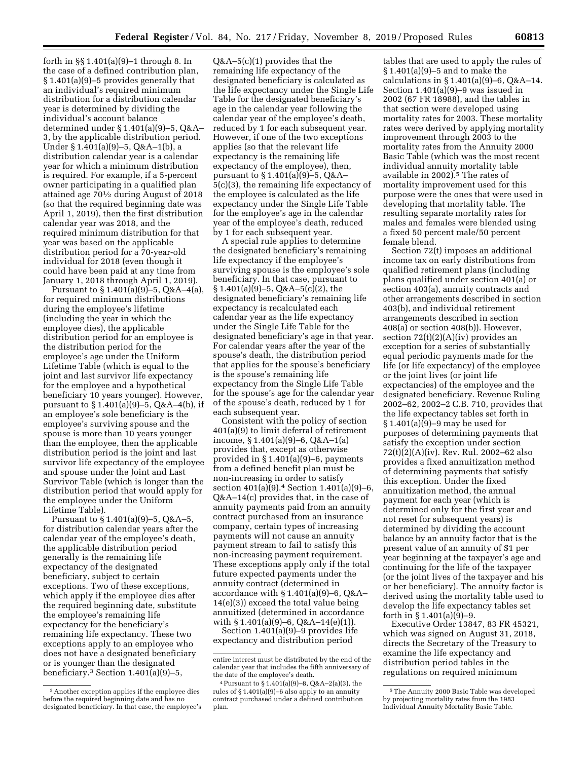forth in §§ 1.401(a)(9)–1 through 8. In the case of a defined contribution plan, § 1.401(a)(9)–5 provides generally that an individual's required minimum distribution for a distribution calendar year is determined by dividing the individual's account balance determined under § 1.401(a)(9)–5, Q&A– 3, by the applicable distribution period. Under § 1.401(a)(9)–5, Q&A–1(b), a distribution calendar year is a calendar year for which a minimum distribution is required. For example, if a 5-percent owner participating in a qualified plan attained age 701⁄2 during August of 2018 (so that the required beginning date was April 1, 2019), then the first distribution calendar year was 2018, and the required minimum distribution for that year was based on the applicable distribution period for a 70-year-old individual for 2018 (even though it could have been paid at any time from January 1, 2018 through April 1, 2019).

Pursuant to  $\S 1.401(a)(9) - 5$ , Q&A-4(a), for required minimum distributions during the employee's lifetime (including the year in which the employee dies), the applicable distribution period for an employee is the distribution period for the employee's age under the Uniform Lifetime Table (which is equal to the joint and last survivor life expectancy for the employee and a hypothetical beneficiary 10 years younger). However, pursuant to § 1.401(a)(9)–5, Q&A–4(b), if an employee's sole beneficiary is the employee's surviving spouse and the spouse is more than 10 years younger than the employee, then the applicable distribution period is the joint and last survivor life expectancy of the employee and spouse under the Joint and Last Survivor Table (which is longer than the distribution period that would apply for the employee under the Uniform Lifetime Table).

Pursuant to § 1.401(a)(9)–5, Q&A–5, for distribution calendar years after the calendar year of the employee's death, the applicable distribution period generally is the remaining life expectancy of the designated beneficiary, subject to certain exceptions. Two of these exceptions, which apply if the employee dies after the required beginning date, substitute the employee's remaining life expectancy for the beneficiary's remaining life expectancy. These two exceptions apply to an employee who does not have a designated beneficiary or is younger than the designated beneficiary.3 Section 1.401(a)(9)–5,

Q&A–5(c)(1) provides that the remaining life expectancy of the designated beneficiary is calculated as the life expectancy under the Single Life Table for the designated beneficiary's age in the calendar year following the calendar year of the employee's death, reduced by 1 for each subsequent year. However, if one of the two exceptions applies (so that the relevant life expectancy is the remaining life expectancy of the employee), then, pursuant to § 1.401(a)(9)–5, Q&A– 5(c)(3), the remaining life expectancy of the employee is calculated as the life expectancy under the Single Life Table for the employee's age in the calendar year of the employee's death, reduced by 1 for each subsequent year.

A special rule applies to determine the designated beneficiary's remaining life expectancy if the employee's surviving spouse is the employee's sole beneficiary. In that case, pursuant to § 1.401(a)(9)–5, Q&A–5(c)(2), the designated beneficiary's remaining life expectancy is recalculated each calendar year as the life expectancy under the Single Life Table for the designated beneficiary's age in that year. For calendar years after the year of the spouse's death, the distribution period that applies for the spouse's beneficiary is the spouse's remaining life expectancy from the Single Life Table for the spouse's age for the calendar year of the spouse's death, reduced by 1 for each subsequent year.

Consistent with the policy of section 401(a)(9) to limit deferral of retirement income, § 1.401(a)(9)–6, Q&A–1(a) provides that, except as otherwise provided in § 1.401(a)(9)–6, payments from a defined benefit plan must be non-increasing in order to satisfy section 401(a)(9).4 Section 1.401(a)(9)–6, Q&A–14(c) provides that, in the case of annuity payments paid from an annuity contract purchased from an insurance company, certain types of increasing payments will not cause an annuity payment stream to fail to satisfy this non-increasing payment requirement. These exceptions apply only if the total future expected payments under the annuity contract (determined in accordance with  $§ 1.401(a)(9) - 6$ ,  $O&A-$ 14(e)(3)) exceed the total value being annuitized (determined in accordance with  $§ 1.401(a)(9)-6, Q&A-14(e)(1)$ .

Section 1.401(a)(9)–9 provides life expectancy and distribution period

tables that are used to apply the rules of § 1.401(a)(9)–5 and to make the calculations in  $\S 1.401(a)(9)-6$ , Q&A-14. Section 1.401(a)(9)–9 was issued in 2002 (67 FR 18988), and the tables in that section were developed using mortality rates for 2003. These mortality rates were derived by applying mortality improvement through 2003 to the mortality rates from the Annuity 2000 Basic Table (which was the most recent individual annuity mortality table available in 2002).5 The rates of mortality improvement used for this purpose were the ones that were used in developing that mortality table. The resulting separate mortality rates for males and females were blended using a fixed 50 percent male/50 percent female blend.

Section 72(t) imposes an additional income tax on early distributions from qualified retirement plans (including plans qualified under section 401(a) or section 403(a), annuity contracts and other arrangements described in section 403(b), and individual retirement arrangements described in section 408(a) or section 408(b)). However, section  $72(t)(2)(A)(iv)$  provides an exception for a series of substantially equal periodic payments made for the life (or life expectancy) of the employee or the joint lives (or joint life expectancies) of the employee and the designated beneficiary. Revenue Ruling 2002–62, 2002–2 C.B. 710, provides that the life expectancy tables set forth in § 1.401(a)(9)–9 may be used for purposes of determining payments that satisfy the exception under section 72(t)(2)(A)(iv). Rev. Rul. 2002–62 also provides a fixed annuitization method of determining payments that satisfy this exception. Under the fixed annuitization method, the annual payment for each year (which is determined only for the first year and not reset for subsequent years) is determined by dividing the account balance by an annuity factor that is the present value of an annuity of \$1 per year beginning at the taxpayer's age and continuing for the life of the taxpayer (or the joint lives of the taxpayer and his or her beneficiary). The annuity factor is derived using the mortality table used to develop the life expectancy tables set forth in § 1.401(a)(9)–9.

Executive Order 13847, 83 FR 45321, which was signed on August 31, 2018, directs the Secretary of the Treasury to examine the life expectancy and distribution period tables in the regulations on required minimum

<sup>3</sup>Another exception applies if the employee dies before the required beginning date and has no designated beneficiary. In that case, the employee's

entire interest must be distributed by the end of the calendar year that includes the fifth anniversary of the date of the employee's death.

<sup>4</sup>Pursuant to § 1.401(a)(9)–8, Q&A–2(a)(3), the rules of § 1.401(a)(9)–6 also apply to an annuity contract purchased under a defined contribution plan.

<sup>5</sup>The Annuity 2000 Basic Table was developed by projecting mortality rates from the 1983 Individual Annuity Mortality Basic Table.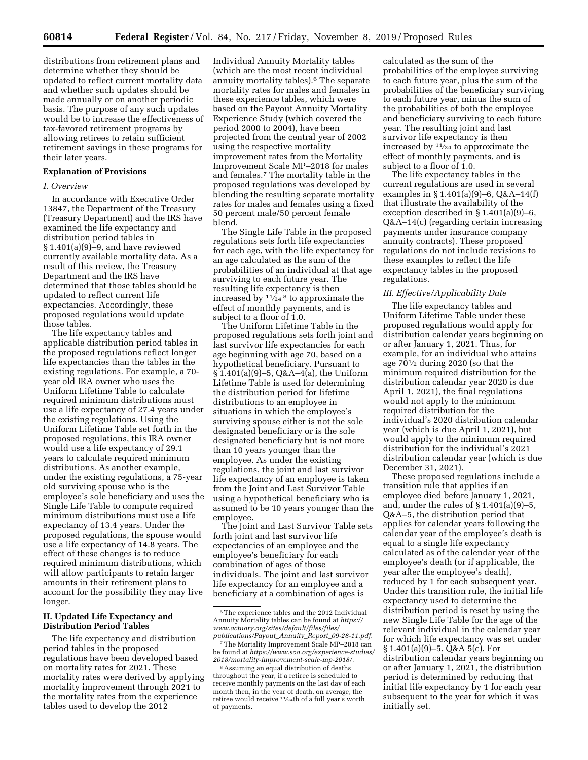distributions from retirement plans and determine whether they should be updated to reflect current mortality data and whether such updates should be made annually or on another periodic basis. The purpose of any such updates would be to increase the effectiveness of tax-favored retirement programs by allowing retirees to retain sufficient retirement savings in these programs for their later years.

#### **Explanation of Provisions**

#### *I. Overview*

In accordance with Executive Order 13847, the Department of the Treasury (Treasury Department) and the IRS have examined the life expectancy and distribution period tables in § 1.401(a)(9)–9, and have reviewed currently available mortality data. As a result of this review, the Treasury Department and the IRS have determined that those tables should be updated to reflect current life expectancies. Accordingly, these proposed regulations would update those tables.

The life expectancy tables and applicable distribution period tables in the proposed regulations reflect longer life expectancies than the tables in the existing regulations. For example, a 70 year old IRA owner who uses the Uniform Lifetime Table to calculate required minimum distributions must use a life expectancy of 27.4 years under the existing regulations. Using the Uniform Lifetime Table set forth in the proposed regulations, this IRA owner would use a life expectancy of 29.1 years to calculate required minimum distributions. As another example, under the existing regulations, a 75-year old surviving spouse who is the employee's sole beneficiary and uses the Single Life Table to compute required minimum distributions must use a life expectancy of 13.4 years. Under the proposed regulations, the spouse would use a life expectancy of 14.8 years. The effect of these changes is to reduce required minimum distributions, which will allow participants to retain larger amounts in their retirement plans to account for the possibility they may live longer.

# **II. Updated Life Expectancy and Distribution Period Tables**

The life expectancy and distribution period tables in the proposed regulations have been developed based on mortality rates for 2021. These mortality rates were derived by applying mortality improvement through 2021 to the mortality rates from the experience tables used to develop the 2012

Individual Annuity Mortality tables (which are the most recent individual annuity mortality tables).6 The separate mortality rates for males and females in these experience tables, which were based on the Payout Annuity Mortality Experience Study (which covered the period 2000 to 2004), have been projected from the central year of 2002 using the respective mortality improvement rates from the Mortality Improvement Scale MP–2018 for males and females.7 The mortality table in the proposed regulations was developed by blending the resulting separate mortality rates for males and females using a fixed 50 percent male/50 percent female blend.

The Single Life Table in the proposed regulations sets forth life expectancies for each age, with the life expectancy for an age calculated as the sum of the probabilities of an individual at that age surviving to each future year. The resulting life expectancy is then increased by  $\frac{11}{24}$ <sup>8</sup> to approximate the effect of monthly payments, and is subject to a floor of 1.0.

The Uniform Lifetime Table in the proposed regulations sets forth joint and last survivor life expectancies for each age beginning with age 70, based on a hypothetical beneficiary. Pursuant to  $§ 1.401(a)(9) - 5, Q & A - 4(a),$  the Uniform Lifetime Table is used for determining the distribution period for lifetime distributions to an employee in situations in which the employee's surviving spouse either is not the sole designated beneficiary or is the sole designated beneficiary but is not more than 10 years younger than the employee. As under the existing regulations, the joint and last survivor life expectancy of an employee is taken from the Joint and Last Survivor Table using a hypothetical beneficiary who is assumed to be 10 years younger than the employee.

The Joint and Last Survivor Table sets forth joint and last survivor life expectancies of an employee and the employee's beneficiary for each combination of ages of those individuals. The joint and last survivor life expectancy for an employee and a beneficiary at a combination of ages is

calculated as the sum of the probabilities of the employee surviving to each future year, plus the sum of the probabilities of the beneficiary surviving to each future year, minus the sum of the probabilities of both the employee and beneficiary surviving to each future year. The resulting joint and last survivor life expectancy is then increased by  $\frac{1}{24}$  to approximate the effect of monthly payments, and is subject to a floor of 1.0.

The life expectancy tables in the current regulations are used in several examples in § 1.401(a)(9)–6, Q&A–14(f) that illustrate the availability of the exception described in § 1.401(a)(9)–6, Q&A–14(c) (regarding certain increasing payments under insurance company annuity contracts). These proposed regulations do not include revisions to these examples to reflect the life expectancy tables in the proposed regulations.

#### *III. Effective/Applicability Date*

The life expectancy tables and Uniform Lifetime Table under these proposed regulations would apply for distribution calendar years beginning on or after January 1, 2021. Thus, for example, for an individual who attains age 701⁄2 during 2020 (so that the minimum required distribution for the distribution calendar year 2020 is due April 1, 2021), the final regulations would not apply to the minimum required distribution for the individual's 2020 distribution calendar year (which is due April 1, 2021), but would apply to the minimum required distribution for the individual's 2021 distribution calendar year (which is due December 31, 2021).

These proposed regulations include a transition rule that applies if an employee died before January 1, 2021, and, under the rules of § 1.401(a)(9)–5, Q&A–5, the distribution period that applies for calendar years following the calendar year of the employee's death is equal to a single life expectancy calculated as of the calendar year of the employee's death (or if applicable, the year after the employee's death), reduced by 1 for each subsequent year. Under this transition rule, the initial life expectancy used to determine the distribution period is reset by using the new Single Life Table for the age of the relevant individual in the calendar year for which life expectancy was set under § 1.401(a)(9)–5, Q&A 5(c). For distribution calendar years beginning on or after January 1, 2021, the distribution period is determined by reducing that initial life expectancy by 1 for each year subsequent to the year for which it was initially set.

<sup>6</sup>The experience tables and the 2012 Individual Annuity Mortality tables can be found at *[https://](https://www.actuary.org/sites/default/files/files/publications/Payout_Annuity_Report_09-28-11.pdf) [www.actuary.org/sites/default/files/files/](https://www.actuary.org/sites/default/files/files/publications/Payout_Annuity_Report_09-28-11.pdf)  [publications/Payout](https://www.actuary.org/sites/default/files/files/publications/Payout_Annuity_Report_09-28-11.pdf)*\_*Annuity*\_*Report*\_*09-28-11.pdf.* 

<sup>7</sup>The Mortality Improvement Scale MP–2018 can be found at *[https://www.soa.org/experience-studies/](https://www.soa.org/experience-studies/2018/mortality-improvement-scale-mp-2018/) [2018/mortality-improvement-scale-mp-2018/.](https://www.soa.org/experience-studies/2018/mortality-improvement-scale-mp-2018/)* 

<sup>8</sup>Assuming an equal distribution of deaths throughout the year, if a retiree is scheduled to receive monthly payments on the last day of each month then, in the year of death, on average, the retiree would receive 11⁄24th of a full year's worth of payments.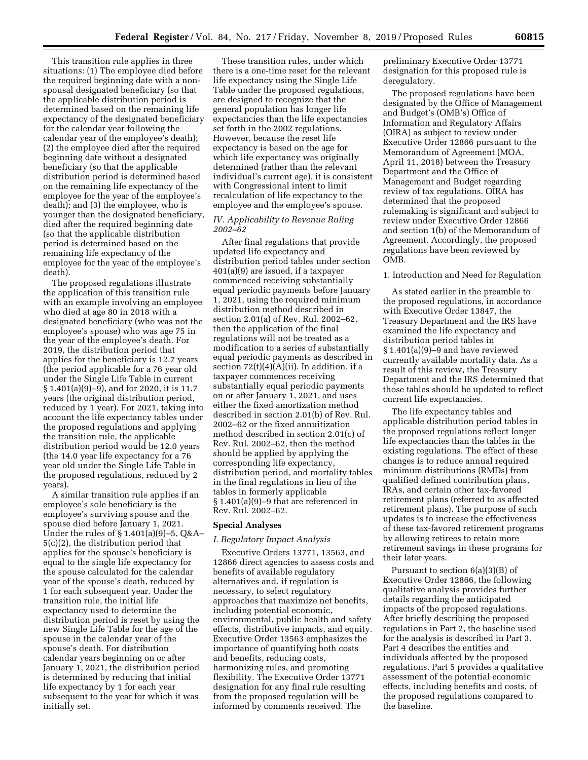This transition rule applies in three situations: (1) The employee died before the required beginning date with a nonspousal designated beneficiary (so that the applicable distribution period is determined based on the remaining life expectancy of the designated beneficiary for the calendar year following the calendar year of the employee's death); (2) the employee died after the required beginning date without a designated beneficiary (so that the applicable distribution period is determined based on the remaining life expectancy of the employee for the year of the employee's death); and (3) the employee, who is younger than the designated beneficiary, died after the required beginning date (so that the applicable distribution period is determined based on the remaining life expectancy of the employee for the year of the employee's death).

The proposed regulations illustrate the application of this transition rule with an example involving an employee who died at age 80 in 2018 with a designated beneficiary (who was not the employee's spouse) who was age 75 in the year of the employee's death. For 2019, the distribution period that applies for the beneficiary is 12.7 years (the period applicable for a 76 year old under the Single Life Table in current § 1.401(a)(9)–9), and for 2020, it is 11.7 years (the original distribution period, reduced by 1 year). For 2021, taking into account the life expectancy tables under the proposed regulations and applying the transition rule, the applicable distribution period would be 12.0 years (the 14.0 year life expectancy for a 76 year old under the Single Life Table in the proposed regulations, reduced by 2 years).

A similar transition rule applies if an employee's sole beneficiary is the employee's surviving spouse and the spouse died before January 1, 2021. Under the rules of § 1.401(a)(9)–5, Q&A– 5(c)(2), the distribution period that applies for the spouse's beneficiary is equal to the single life expectancy for the spouse calculated for the calendar year of the spouse's death, reduced by 1 for each subsequent year. Under the transition rule, the initial life expectancy used to determine the distribution period is reset by using the new Single Life Table for the age of the spouse in the calendar year of the spouse's death. For distribution calendar years beginning on or after January 1, 2021, the distribution period is determined by reducing that initial life expectancy by 1 for each year subsequent to the year for which it was initially set.

These transition rules, under which there is a one-time reset for the relevant life expectancy using the Single Life Table under the proposed regulations, are designed to recognize that the general population has longer life expectancies than the life expectancies set forth in the 2002 regulations. However, because the reset life expectancy is based on the age for which life expectancy was originally determined (rather than the relevant individual's current age), it is consistent with Congressional intent to limit recalculation of life expectancy to the employee and the employee's spouse.

## *IV. Applicability to Revenue Ruling 2002–62*

After final regulations that provide updated life expectancy and distribution period tables under section 401(a)(9) are issued, if a taxpayer commenced receiving substantially equal periodic payments before January 1, 2021, using the required minimum distribution method described in section 2.01(a) of Rev. Rul. 2002–62, then the application of the final regulations will not be treated as a modification to a series of substantially equal periodic payments as described in section  $72(t)(4)(A)(ii)$ . In addition, if a taxpayer commences receiving substantially equal periodic payments on or after January 1, 2021, and uses either the fixed amortization method described in section 2.01(b) of Rev. Rul. 2002–62 or the fixed annuitization method described in section 2.01(c) of Rev. Rul. 2002–62, then the method should be applied by applying the corresponding life expectancy, distribution period, and mortality tables in the final regulations in lieu of the tables in formerly applicable § 1.401(a)(9)–9 that are referenced in Rev. Rul. 2002–62.

### **Special Analyses**

### *I. Regulatory Impact Analysis*

Executive Orders 13771, 13563, and 12866 direct agencies to assess costs and benefits of available regulatory alternatives and, if regulation is necessary, to select regulatory approaches that maximize net benefits, including potential economic, environmental, public health and safety effects, distributive impacts, and equity. Executive Order 13563 emphasizes the importance of quantifying both costs and benefits, reducing costs, harmonizing rules, and promoting flexibility. The Executive Order 13771 designation for any final rule resulting from the proposed regulation will be informed by comments received. The

preliminary Executive Order 13771 designation for this proposed rule is deregulatory.

The proposed regulations have been designated by the Office of Management and Budget's (OMB's) Office of Information and Regulatory Affairs (OIRA) as subject to review under Executive Order 12866 pursuant to the Memorandum of Agreement (MOA, April 11, 2018) between the Treasury Department and the Office of Management and Budget regarding review of tax regulations. OIRA has determined that the proposed rulemaking is significant and subject to review under Executive Order 12866 and section 1(b) of the Memorandum of Agreement. Accordingly, the proposed regulations have been reviewed by OMB.

1. Introduction and Need for Regulation

As stated earlier in the preamble to the proposed regulations, in accordance with Executive Order 13847, the Treasury Department and the IRS have examined the life expectancy and distribution period tables in § 1.401(a)(9)–9 and have reviewed currently available mortality data. As a result of this review, the Treasury Department and the IRS determined that those tables should be updated to reflect current life expectancies.

The life expectancy tables and applicable distribution period tables in the proposed regulations reflect longer life expectancies than the tables in the existing regulations. The effect of these changes is to reduce annual required minimum distributions (RMDs) from qualified defined contribution plans, IRAs, and certain other tax-favored retirement plans (referred to as affected retirement plans). The purpose of such updates is to increase the effectiveness of these tax-favored retirement programs by allowing retirees to retain more retirement savings in these programs for their later years.

Pursuant to section 6(a)(3)(B) of Executive Order 12866, the following qualitative analysis provides further details regarding the anticipated impacts of the proposed regulations. After briefly describing the proposed regulations in Part 2, the baseline used for the analysis is described in Part 3. Part 4 describes the entities and individuals affected by the proposed regulations. Part 5 provides a qualitative assessment of the potential economic effects, including benefits and costs, of the proposed regulations compared to the baseline.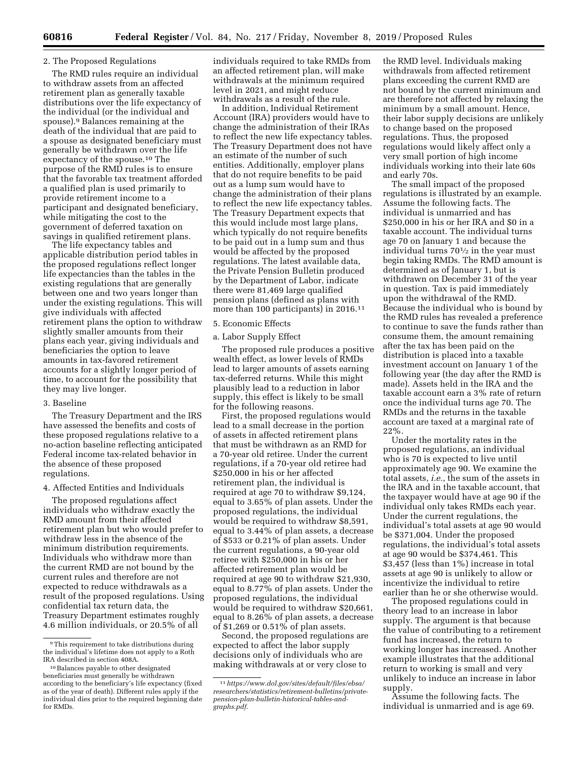#### 2. The Proposed Regulations

The RMD rules require an individual to withdraw assets from an affected retirement plan as generally taxable distributions over the life expectancy of the individual (or the individual and spouse).9 Balances remaining at the death of the individual that are paid to a spouse as designated beneficiary must generally be withdrawn over the life expectancy of the spouse.10 The purpose of the RMD rules is to ensure that the favorable tax treatment afforded a qualified plan is used primarily to provide retirement income to a participant and designated beneficiary, while mitigating the cost to the government of deferred taxation on savings in qualified retirement plans.

The life expectancy tables and applicable distribution period tables in the proposed regulations reflect longer life expectancies than the tables in the existing regulations that are generally between one and two years longer than under the existing regulations. This will give individuals with affected retirement plans the option to withdraw slightly smaller amounts from their plans each year, giving individuals and beneficiaries the option to leave amounts in tax-favored retirement accounts for a slightly longer period of time, to account for the possibility that they may live longer.

#### 3. Baseline

The Treasury Department and the IRS have assessed the benefits and costs of these proposed regulations relative to a no-action baseline reflecting anticipated Federal income tax-related behavior in the absence of these proposed regulations.

#### 4. Affected Entities and Individuals

The proposed regulations affect individuals who withdraw exactly the RMD amount from their affected retirement plan but who would prefer to withdraw less in the absence of the minimum distribution requirements. Individuals who withdraw more than the current RMD are not bound by the current rules and therefore are not expected to reduce withdrawals as a result of the proposed regulations. Using confidential tax return data, the Treasury Department estimates roughly 4.6 million individuals, or 20.5% of all

individuals required to take RMDs from an affected retirement plan, will make withdrawals at the minimum required level in 2021, and might reduce withdrawals as a result of the rule.

In addition, Individual Retirement Account (IRA) providers would have to change the administration of their IRAs to reflect the new life expectancy tables. The Treasury Department does not have an estimate of the number of such entities. Additionally, employer plans that do not require benefits to be paid out as a lump sum would have to change the administration of their plans to reflect the new life expectancy tables. The Treasury Department expects that this would include most large plans, which typically do not require benefits to be paid out in a lump sum and thus would be affected by the proposed regulations. The latest available data, the Private Pension Bulletin produced by the Department of Labor, indicate there were 81,469 large qualified pension plans (defined as plans with more than 100 participants) in 2016.<sup>11</sup>

# 5. Economic Effects

a. Labor Supply Effect

The proposed rule produces a positive wealth effect, as lower levels of RMDs lead to larger amounts of assets earning tax-deferred returns. While this might plausibly lead to a reduction in labor supply, this effect is likely to be small for the following reasons.

First, the proposed regulations would lead to a small decrease in the portion of assets in affected retirement plans that must be withdrawn as an RMD for a 70-year old retiree. Under the current regulations, if a 70-year old retiree had \$250,000 in his or her affected retirement plan, the individual is required at age 70 to withdraw \$9,124, equal to 3.65% of plan assets. Under the proposed regulations, the individual would be required to withdraw \$8,591, equal to 3.44% of plan assets, a decrease of \$533 or 0.21% of plan assets. Under the current regulations, a 90-year old retiree with \$250,000 in his or her affected retirement plan would be required at age 90 to withdraw \$21,930, equal to 8.77% of plan assets. Under the proposed regulations, the individual would be required to withdraw \$20,661, equal to 8.26% of plan assets, a decrease of \$1,269 or 0.51% of plan assets.

Second, the proposed regulations are expected to affect the labor supply decisions only of individuals who are making withdrawals at or very close to

the RMD level. Individuals making withdrawals from affected retirement plans exceeding the current RMD are not bound by the current minimum and are therefore not affected by relaxing the minimum by a small amount. Hence, their labor supply decisions are unlikely to change based on the proposed regulations. Thus, the proposed regulations would likely affect only a very small portion of high income individuals working into their late 60s and early 70s.

The small impact of the proposed regulations is illustrated by an example. Assume the following facts. The individual is unmarried and has \$250,000 in his or her IRA and \$0 in a taxable account. The individual turns age 70 on January 1 and because the individual turns 701⁄2 in the year must begin taking RMDs. The RMD amount is determined as of January 1, but is withdrawn on December 31 of the year in question. Tax is paid immediately upon the withdrawal of the RMD. Because the individual who is bound by the RMD rules has revealed a preference to continue to save the funds rather than consume them, the amount remaining after the tax has been paid on the distribution is placed into a taxable investment account on January 1 of the following year (the day after the RMD is made). Assets held in the IRA and the taxable account earn a 3% rate of return once the individual turns age 70. The RMDs and the returns in the taxable account are taxed at a marginal rate of 22%.

Under the mortality rates in the proposed regulations, an individual who is 70 is expected to live until approximately age 90. We examine the total assets, *i.e.,* the sum of the assets in the IRA and in the taxable account, that the taxpayer would have at age 90 if the individual only takes RMDs each year. Under the current regulations, the individual's total assets at age 90 would be \$371,004. Under the proposed regulations, the individual's total assets at age 90 would be \$374,461. This \$3,457 (less than 1%) increase in total assets at age 90 is unlikely to allow or incentivize the individual to retire earlier than he or she otherwise would.

The proposed regulations could in theory lead to an increase in labor supply. The argument is that because the value of contributing to a retirement fund has increased, the return to working longer has increased. Another example illustrates that the additional return to working is small and very unlikely to induce an increase in labor supply.

Assume the following facts. The individual is unmarried and is age 69.

<sup>&</sup>lt;sup>9</sup>This requirement to take distributions during the individual's lifetime does not apply to a Roth IRA described in section 408A.

<sup>10</sup>Balances payable to other designated beneficiaries must generally be withdrawn according to the beneficiary's life expectancy (fixed as of the year of death). Different rules apply if the individual dies prior to the required beginning date for RMDs.

<sup>11</sup>*[https://www.dol.gov/sites/default/files/ebsa/](https://www.dol.gov/sites/default/files/ebsa/researchers/statistics/retirement-bulletins/private-pension-plan-bulletin-historical-tables-and-graphs.pdf)  [researchers/statistics/retirement-bulletins/private](https://www.dol.gov/sites/default/files/ebsa/researchers/statistics/retirement-bulletins/private-pension-plan-bulletin-historical-tables-and-graphs.pdf)[pension-plan-bulletin-historical-tables-and](https://www.dol.gov/sites/default/files/ebsa/researchers/statistics/retirement-bulletins/private-pension-plan-bulletin-historical-tables-and-graphs.pdf)[graphs.pdf](https://www.dol.gov/sites/default/files/ebsa/researchers/statistics/retirement-bulletins/private-pension-plan-bulletin-historical-tables-and-graphs.pdf).*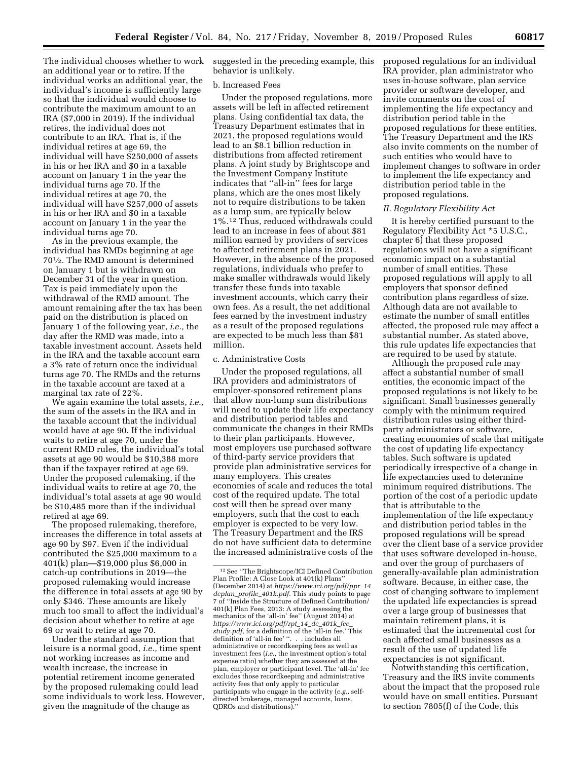The individual chooses whether to work an additional year or to retire. If the individual works an additional year, the individual's income is sufficiently large so that the individual would choose to contribute the maximum amount to an IRA (\$7,000 in 2019). If the individual retires, the individual does not contribute to an IRA. That is, if the individual retires at age 69, the individual will have \$250,000 of assets in his or her IRA and \$0 in a taxable account on January 1 in the year the individual turns age 70. If the individual retires at age 70, the individual will have \$257,000 of assets in his or her IRA and \$0 in a taxable account on January 1 in the year the individual turns age 70.

As in the previous example, the individual has RMDs beginning at age 701⁄2. The RMD amount is determined on January 1 but is withdrawn on December 31 of the year in question. Tax is paid immediately upon the withdrawal of the RMD amount. The amount remaining after the tax has been paid on the distribution is placed on January 1 of the following year, *i.e.,* the day after the RMD was made, into a taxable investment account. Assets held in the IRA and the taxable account earn a 3% rate of return once the individual turns age 70. The RMDs and the returns in the taxable account are taxed at a marginal tax rate of 22%.

We again examine the total assets, *i.e.,*  the sum of the assets in the IRA and in the taxable account that the individual would have at age 90. If the individual waits to retire at age 70, under the current RMD rules, the individual's total assets at age 90 would be \$10,388 more than if the taxpayer retired at age 69. Under the proposed rulemaking, if the individual waits to retire at age 70, the individual's total assets at age 90 would be \$10,485 more than if the individual retired at age 69.

The proposed rulemaking, therefore, increases the difference in total assets at age 90 by \$97. Even if the individual contributed the \$25,000 maximum to a 401(k) plan—\$19,000 plus \$6,000 in catch-up contributions in 2019—the proposed rulemaking would increase the difference in total assets at age 90 by only \$346. These amounts are likely much too small to affect the individual's decision about whether to retire at age 69 or wait to retire at age 70.

Under the standard assumption that leisure is a normal good, *i.e.,* time spent not working increases as income and wealth increase, the increase in potential retirement income generated by the proposed rulemaking could lead some individuals to work less. However, given the magnitude of the change as

suggested in the preceding example, this behavior is unlikely.

#### b. Increased Fees

Under the proposed regulations, more assets will be left in affected retirement plans. Using confidential tax data, the Treasury Department estimates that in 2021, the proposed regulations would lead to an \$8.1 billion reduction in distributions from affected retirement plans. A joint study by Brightscope and the Investment Company Institute indicates that ''all-in'' fees for large plans, which are the ones most likely not to require distributions to be taken as a lump sum, are typically below 1%.12 Thus, reduced withdrawals could lead to an increase in fees of about \$81 million earned by providers of services to affected retirement plans in 2021. However, in the absence of the proposed regulations, individuals who prefer to make smaller withdrawals would likely transfer these funds into taxable investment accounts, which carry their own fees. As a result, the net additional fees earned by the investment industry as a result of the proposed regulations are expected to be much less than \$81 million.

#### c. Administrative Costs

Under the proposed regulations, all IRA providers and administrators of employer-sponsored retirement plans that allow non-lump sum distributions will need to update their life expectancy and distribution period tables and communicate the changes in their RMDs to their plan participants. However, most employers use purchased software of third-party service providers that provide plan administrative services for many employers. This creates economies of scale and reduces the total cost of the required update. The total cost will then be spread over many employers, such that the cost to each employer is expected to be very low. The Treasury Department and the IRS do not have sufficient data to determine the increased administrative costs of the

proposed regulations for an individual IRA provider, plan administrator who uses in-house software, plan service provider or software developer, and invite comments on the cost of implementing the life expectancy and distribution period table in the proposed regulations for these entities. The Treasury Department and the IRS also invite comments on the number of such entities who would have to implement changes to software in order to implement the life expectancy and distribution period table in the proposed regulations.

#### *II. Regulatory Flexibility Act*

It is hereby certified pursuant to the Regulatory Flexibility Act \*5 U.S.C., chapter 6) that these proposed regulations will not have a significant economic impact on a substantial number of small entities. These proposed regulations will apply to all employers that sponsor defined contribution plans regardless of size. Although data are not available to estimate the number of small entitles affected, the proposed rule may affect a substantial number. As stated above, this rule updates life expectancies that are required to be used by statute.

Although the proposed rule may affect a substantial number of small entities, the economic impact of the proposed regulations is not likely to be significant. Small businesses generally comply with the minimum required distribution rules using either thirdparty administrators or software, creating economies of scale that mitigate the cost of updating life expectancy tables. Such software is updated periodically irrespective of a change in life expectancies used to determine minimum required distributions. The portion of the cost of a periodic update that is attributable to the implementation of the life expectancy and distribution period tables in the proposed regulations will be spread over the client base of a service provider that uses software developed in-house, and over the group of purchasers of generally-available plan administration software. Because, in either case, the cost of changing software to implement the updated life expectancies is spread over a large group of businesses that maintain retirement plans, it is estimated that the incremental cost for each affected small businesses as a result of the use of updated life expectancies is not significant.

Notwithstanding this certification, Treasury and the IRS invite comments about the impact that the proposed rule would have on small entities. Pursuant to section 7805(f) of the Code, this

<sup>12</sup>See ''The Brightscope/ICI Defined Contribution Plan Profile: A Close Look at 401(k) Plans' (December 2014) at *[https://www.ici.org/pdf/ppr](https://www.ici.org/pdf/ppr_14_dcplan_profile_401k.pdf)*\_*14*\_ *dcplan*\_*profile*\_*[401k.pdf.](https://www.ici.org/pdf/ppr_14_dcplan_profile_401k.pdf)* This study points to page 7 of ''Inside the Structure of Defined Contribution/ 401(k) Plan Fees, 2013: A study assessing the mechanics of the 'all-in' fee'' (August 2014) at *[https://www.ici.org/pdf/rpt](https://www.ici.org/pdf/rpt_14_dc_401k_fee_study.pdf)*\_*14*\_*dc*\_*401k*\_*fee*\_ *[study.pdf,](https://www.ici.org/pdf/rpt_14_dc_401k_fee_study.pdf)* for a definition of the 'all-in fee.' This definition of 'all-in fee' ''. . . includes all administrative or recordkeeping fees as well as investment fees (*i.e.,* the investment option's total expense ratio) whether they are assessed at the plan, employer or participant level. The 'all-in' fee excludes those recordkeeping and administrative activity fees that only apply to particular participants who engage in the activity (*e.g.,* selfdirected brokerage, managed accounts, loans, QDROs and distributions).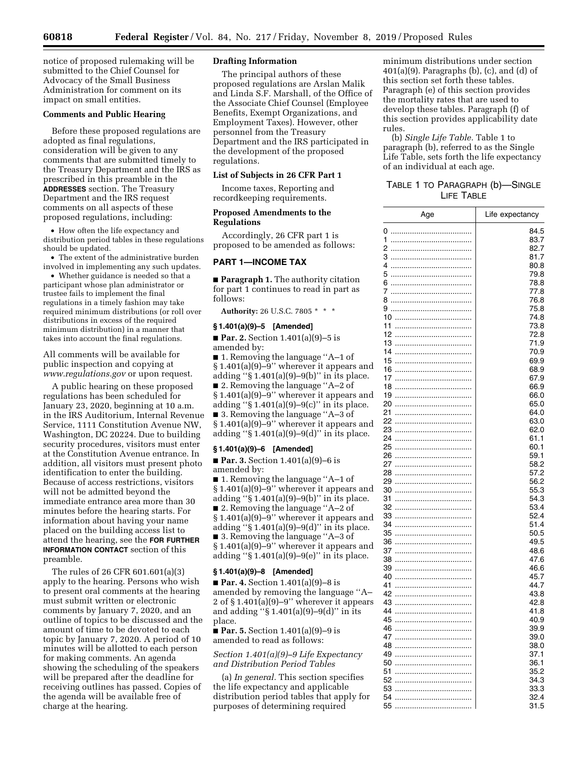notice of proposed rulemaking will be submitted to the Chief Counsel for Advocacy of the Small Business Administration for comment on its impact on small entities.

## **Comments and Public Hearing**

Before these proposed regulations are adopted as final regulations, consideration will be given to any comments that are submitted timely to the Treasury Department and the IRS as prescribed in this preamble in the **ADDRESSES** section. The Treasury Department and the IRS request comments on all aspects of these proposed regulations, including:

• How often the life expectancy and distribution period tables in these regulations should be updated.

• The extent of the administrative burden involved in implementing any such updates.

• Whether guidance is needed so that a participant whose plan administrator or trustee fails to implement the final regulations in a timely fashion may take required minimum distributions (or roll over distributions in excess of the required minimum distribution) in a manner that takes into account the final regulations.

All comments will be available for public inspection and copying at *[www.regulations.gov](http://www.regulations.gov)* or upon request.

A public hearing on these proposed regulations has been scheduled for January 23, 2020, beginning at 10 a.m. in the IRS Auditorium, Internal Revenue Service, 1111 Constitution Avenue NW, Washington, DC 20224. Due to building security procedures, visitors must enter at the Constitution Avenue entrance. In addition, all visitors must present photo identification to enter the building. Because of access restrictions, visitors will not be admitted beyond the immediate entrance area more than 30 minutes before the hearing starts. For information about having your name placed on the building access list to attend the hearing, see the **FOR FURTHER INFORMATION CONTACT** section of this preamble.

The rules of 26 CFR 601.601(a)(3) apply to the hearing. Persons who wish to present oral comments at the hearing must submit written or electronic comments by January 7, 2020, and an outline of topics to be discussed and the amount of time to be devoted to each topic by January 7, 2020. A period of 10 minutes will be allotted to each person for making comments. An agenda showing the scheduling of the speakers will be prepared after the deadline for receiving outlines has passed. Copies of the agenda will be available free of charge at the hearing.

### **Drafting Information**

The principal authors of these proposed regulations are Arslan Malik and Linda S.F. Marshall, of the Office of the Associate Chief Counsel (Employee Benefits, Exempt Organizations, and Employment Taxes). However, other personnel from the Treasury Department and the IRS participated in the development of the proposed regulations.

### **List of Subjects in 26 CFR Part 1**

Income taxes, Reporting and recordkeeping requirements.

## **Proposed Amendments to the Regulations**

Accordingly, 26 CFR part 1 is proposed to be amended as follows:

### **PART 1—INCOME TAX**

■ **Paragraph 1.** The authority citation for part 1 continues to read in part as follows:

**Authority:** 26 U.S.C. 7805 \* \* \*

## **§ 1.401(a)(9)–5 [Amended]**

■ **Par. 2.** Section 1.401(a)(9)–5 is amended by:

■ 1. Removing the language "A–1 of § 1.401(a)(9)–9'' wherever it appears and adding " $\S 1.401(a)(9) - 9(b)$ " in its place. ■ 2. Removing the language "A–2 of § 1.401(a)(9)–9'' wherever it appears and adding " $\S 1.401(a)(9) - 9(c)$ " in its place. ■ 3. Removing the language "A–3 of § 1.401(a)(9)–9'' wherever it appears and adding ''§ 1.401(a)(9)–9(d)'' in its place.

#### **§ 1.401(a)(9)–6 [Amended]**

■ **Par. 3.** Section 1.401(a)(9)–6 is amended by:

■ 1. Removing the language "A–1 of § 1.401(a)(9)–9'' wherever it appears and adding " $\S 1.401(a)(9) - 9(b)$ " in its place. ■ 2. Removing the language "A–2 of § 1.401(a)(9)–9'' wherever it appears and adding ''§ 1.401(a)(9)–9(d)'' in its place. ■ 3. Removing the language "A–3 of § 1.401(a)(9)–9'' wherever it appears and adding " $§ 1.401(a)(9)-9(e)$ " in its place.

#### **§ 1.401(a)(9)–8 [Amended]**

■ **Par. 4.** Section 1.401(a)(9)–8 is amended by removing the language ''A– 2 of § 1.401(a)(9)–9'' wherever it appears and adding ''§ 1.401(a)(9)–9(d)'' in its place.

■ **Par. 5.** Section 1.401(a)(9)–9 is amended to read as follows:

*Section 1.401(a)(9)–9 Life Expectancy and Distribution Period Tables* 

(a) *In general.* This section specifies the life expectancy and applicable distribution period tables that apply for purposes of determining required

minimum distributions under section  $401(a)(9)$ . Paragraphs (b), (c), and (d) of this section set forth these tables. Paragraph (e) of this section provides the mortality rates that are used to develop these tables. Paragraph (f) of this section provides applicability date rules.

(b) *Single Life Table.* Table 1 to paragraph (b), referred to as the Single Life Table, sets forth the life expectancy of an individual at each age.

## TABLE 1 TO PARAGRAPH (b)—SINGLE LIFE TABLE

| Age            | Life expectancy |
|----------------|-----------------|
| 0<br>          | 84.5            |
| 1<br>          | 83.7            |
| 2<br>          | 82.7            |
| 3<br>          | 81.7            |
| 4<br>          | 80.8            |
| 5<br>$\ddotsc$ | 79.8            |
| 6<br>          | 78.8            |
| 7<br>          | 77.8            |
| 8              | 76.8            |
|                | 75.8            |
| 10             | 74.8            |
| 11             | 73.8            |
| 12             | 72.8            |
| 13             | 71.9            |
| 14             | 70.9            |
| 15             | 69.9            |
| 16             | 68.9            |
| 17             | 67.9            |
| 18<br>19       | 66.9<br>66.0    |
| 20             | 65.0            |
| 21             | 64.0            |
| 22             | 63.0            |
| 23             | 62.0            |
| 24             | 61.1            |
| 25             | 60.1            |
| 26             | 59.1            |
| 27             | 58.2            |
| 28             | 57.2            |
| 29             | 56.2            |
| 30             | 55.3            |
| 31             | 54.3            |
| 32             | 53.4            |
| 33             | 52.4            |
| 34<br>         | 51.4            |
| 35             | 50.5            |
| 36             | 49.5            |
| 37             | 48.6            |
| 38<br>         | 47.6            |
| 39             | 46.6            |
| 40             | 45.7            |
| 41             | 44.7            |
| 42             | 43.8            |
| 43             | 42.8            |
| 44             | 41.8            |
| 45<br><br>46   | 40.9<br>39.9    |
| <br>47         | 39.0            |
| 48             | 38.0            |
| <br>49<br>     | 37.1            |
| 50<br>         | 36.1            |
| 51<br>         | 35.2            |
| 52             | 34.3            |
| 53<br>         | 33.3            |
| 54<br>         | 32.4            |
| 55<br>         | 31.5            |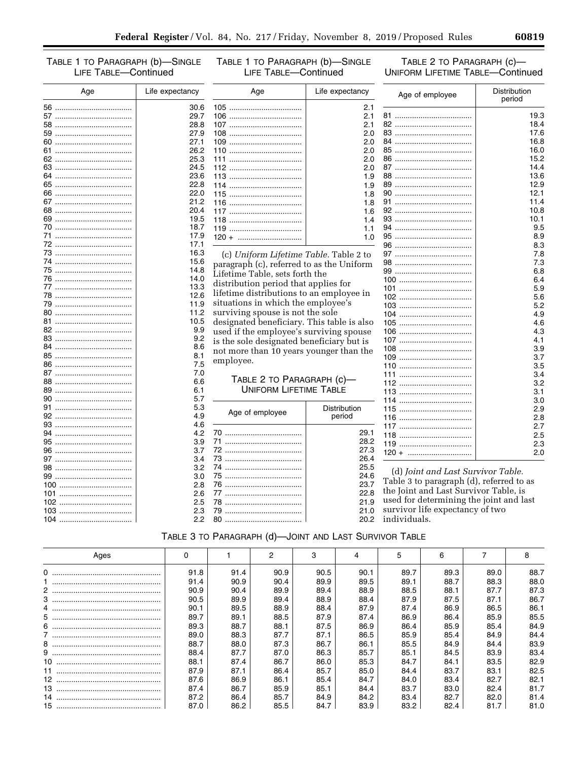TABLE 1 TO PARAGRAPH (b)-SINGLE LIFE TABLE-Continued

TABLE 1 TO PARAGRAPH (b)-SINGLE LIFE TABLE-Continued

TABLE 2 TO PARAGRAPH (C)-**UNIFORM LIFETIME TABLE-Continued** 

| Age | Life expectancy | Age                                        | Life expectancy | Age of employee                          | Distribution<br>period |  |  |
|-----|-----------------|--------------------------------------------|-----------------|------------------------------------------|------------------------|--|--|
|     | 30.6            |                                            | 2.1             |                                          |                        |  |  |
|     | 29.7            |                                            | 2.1             |                                          | 19.3                   |  |  |
|     | 28.8            |                                            | 2.1             |                                          | 18.4                   |  |  |
|     | 27.9            |                                            | 2.0             |                                          | 17.6                   |  |  |
|     | 27.1            |                                            | 2.0             |                                          | 16.8                   |  |  |
|     | 26.2            |                                            | 2.0             |                                          | 16.0                   |  |  |
|     | 25.3            |                                            | 2.0             |                                          | 15.2                   |  |  |
|     | 24.5            |                                            | 2.0             |                                          | 14.4                   |  |  |
|     | 23.6            |                                            | 1.9             |                                          | 13.6                   |  |  |
|     | 22.8            |                                            | 1.9             |                                          | 12.9                   |  |  |
|     | 22.0            |                                            | 1.8             |                                          | 12.1                   |  |  |
|     | 21.2            |                                            | 1.8             |                                          | 11.4                   |  |  |
|     | 20.4            |                                            | 1.6             |                                          | 10.8                   |  |  |
|     | 19.5            |                                            | 1.4             |                                          | 10.1                   |  |  |
|     | 18.7            |                                            | 1.1             |                                          | 9.5                    |  |  |
|     | 17.9            | $120 + \dots$                              | 1.0             |                                          | 8.9                    |  |  |
|     | 17.1            |                                            |                 |                                          | 8.3                    |  |  |
|     | 16.3            | (c) Uniform Lifetime Table. Table 2 to     |                 |                                          | 7.8                    |  |  |
|     | 15.6            | paragraph (c), referred to as the Uniform  |                 |                                          | 7.3                    |  |  |
|     | 14.8            | Lifetime Table, sets forth the             |                 |                                          | 6.8                    |  |  |
|     | 14.0            |                                            |                 |                                          | 6.4                    |  |  |
|     | 13.3            | distribution period that applies for       |                 |                                          | 5.9                    |  |  |
|     | 12.6            | lifetime distributions to an employee in   |                 |                                          | 5.6                    |  |  |
|     | 11.9            | situations in which the employee's         |                 |                                          | 5.2                    |  |  |
|     | 11.2            | surviving spouse is not the sole           |                 |                                          | 4.9                    |  |  |
|     | 10.5            | designated beneficiary. This table is also |                 |                                          | 4.6                    |  |  |
|     | 9.9             | used if the employee's surviving spouse    |                 |                                          | 4.3                    |  |  |
|     | 9.2             | is the sole designated beneficiary but is  |                 |                                          | 4.1                    |  |  |
|     | 8.6             | not more than 10 years younger than the    |                 |                                          | 3.9                    |  |  |
|     | 8.1             |                                            |                 |                                          | 3.7                    |  |  |
|     | 7.5             | employee.                                  |                 |                                          | 3.5                    |  |  |
|     | 7.0             |                                            |                 |                                          | 3.4                    |  |  |
|     | 6.6             | TABLE 2 TO PARAGRAPH (c)-                  |                 |                                          | 3.2                    |  |  |
|     | 6.1             | <b>UNIFORM LIFETIME TABLE</b>              |                 |                                          | 3.1                    |  |  |
|     | 5.7             |                                            |                 |                                          | 3.0                    |  |  |
|     | 5.3             | Age of employee                            | Distribution    |                                          | 2.9                    |  |  |
|     | 4.9             |                                            | period          |                                          | 2.8                    |  |  |
|     | 4.6             |                                            |                 |                                          | 2.7                    |  |  |
|     | 4.2             |                                            | 29.1            |                                          | 2.5                    |  |  |
|     | 3.9             |                                            | 28.2            |                                          | 2.3                    |  |  |
|     | 3.7             |                                            | 27.3            |                                          | 2.0                    |  |  |
|     | 3.4             |                                            | 26.4            |                                          |                        |  |  |
|     | 3.2             |                                            | 25.5            | (d) Joint and Last Survivor Table.       |                        |  |  |
|     | 3.0             |                                            | 24.6            |                                          |                        |  |  |
|     | 2.8             |                                            | 23.7            | Table 3 to paragraph (d), referred to as |                        |  |  |
|     | 2.6             |                                            | 22.8            | the Joint and Last Survivor Table, is    |                        |  |  |
|     | 2.5             |                                            | 21.9            | used for determining the joint and last  |                        |  |  |
|     | 2.3             |                                            | 21.0            | survivor life expectancy of two          |                        |  |  |
|     | 2.2             |                                            | 20.2            | individuals.                             |                        |  |  |

| TABLE 3 TO PARAGRAPH (d)-JOINT AND LAST SURVIVOR TABLE |  |  |  |
|--------------------------------------------------------|--|--|--|
|                                                        |  |  |  |

| Ages            |      |      | 2    | c    |      | 5    | ี    |      |      |
|-----------------|------|------|------|------|------|------|------|------|------|
|                 | 91.8 | 91.4 | 90.9 | 90.5 | 90.1 | 89.7 | 89.3 | 89.0 | 88.7 |
|                 | 91.4 | 90.9 | 90.4 | 89.9 | 89.5 | 89.1 | 88.7 | 88.3 | 88.0 |
|                 | 90.9 | 90.4 | 89.9 | 89.4 | 88.9 | 88.5 | 88.1 | 87.7 | 87.3 |
| 3               | 90.5 | 89.9 | 89.4 | 88.9 | 88.4 | 87.9 | 87.5 | 87.1 | 86.7 |
|                 | 90.1 | 89.5 | 88.9 | 88.4 | 87.9 | 87.4 | 86.9 | 86.5 | 86.1 |
|                 | 89.7 | 89.1 | 88.5 | 87.9 | 87.4 | 86.9 | 86.4 | 85.9 | 85.5 |
|                 | 89.3 | 88.7 | 88.1 | 87.5 | 86.9 | 86.4 | 85.9 | 85.4 | 84.9 |
|                 | 89.0 | 88.3 | 87.7 | 87.1 | 86.5 | 85.9 | 85.4 | 84.9 | 84.4 |
|                 | 88.7 | 88.0 | 87.3 | 86.7 | 86.1 | 85.5 | 84.9 | 84.4 | 83.9 |
|                 | 88.4 | 87.7 | 87.0 | 86.3 | 85.7 | 85.1 | 84.5 | 83.9 | 83.4 |
| 10 <sup>°</sup> | 88.1 | 87.4 | 86.7 | 86.0 | 85.3 | 84.7 | 84.1 | 83.5 | 82.9 |
|                 | 87.9 | 87.1 | 86.4 | 85.7 | 85.0 | 84.4 | 83.7 | 83.1 | 82.5 |
|                 | 87.6 | 86.9 | 86.1 | 85.4 | 84.7 | 84.0 | 83.4 | 82.7 | 82.1 |
| 13              | 87.4 | 86.7 | 85.9 | 85.1 | 84.4 | 83.7 | 83.0 | 82.4 | 81.7 |
|                 | 87.2 | 86.4 | 85.7 | 84.9 | 84.2 | 83.4 | 82.7 | 82.0 | 81.4 |
|                 | 87.0 | 86.2 | 85.5 | 84.7 | 83.9 | 83.2 | 82.4 | 81.7 | 81.0 |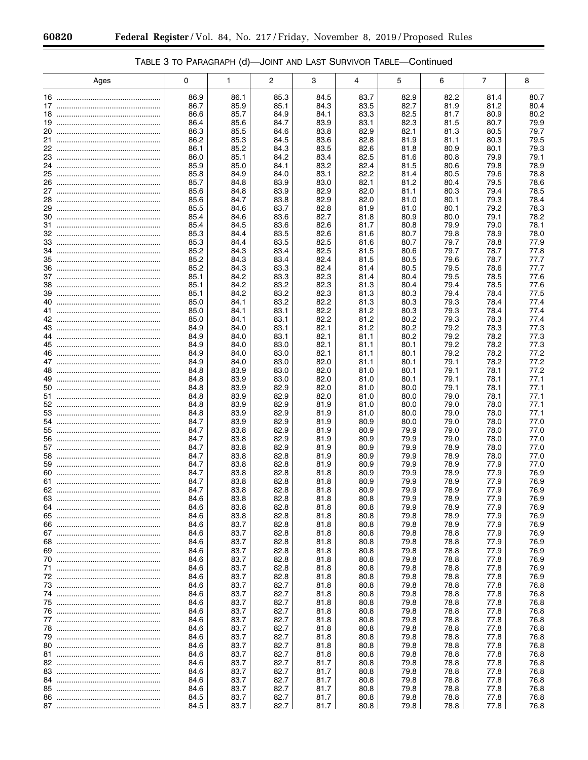|  |  | TABLE 3 TO PARAGRAPH (d)—JOINT AND LAST SURVIVOR TABLE—Continued |
|--|--|------------------------------------------------------------------|
|--|--|------------------------------------------------------------------|

|    | Ages | 0            | 1            | 2            | 3            | 4            | 5            | 6            | 7            | 8            |
|----|------|--------------|--------------|--------------|--------------|--------------|--------------|--------------|--------------|--------------|
|    |      |              |              |              |              |              |              |              |              |              |
|    |      | 86.9         | 86.1         | 85.3         | 84.5         | 83.7         | 82.9         | 82.2         | 81.4         | 80.7         |
|    |      | 86.7         | 85.9         | 85.1         | 84.3         | 83.5         | 82.7         | 81.9         | 81.2         | 80.4         |
|    |      | 86.6<br>86.4 | 85.7<br>85.6 | 84.9<br>84.7 | 84.1<br>83.9 | 83.3<br>83.1 | 82.5<br>82.3 | 81.7<br>81.5 | 80.9<br>80.7 | 80.2<br>79.9 |
|    |      | 86.3         | 85.5         | 84.6         | 83.8         | 82.9         | 82.1         | 81.3         | 80.5         | 79.7         |
|    |      | 86.2         | 85.3         | 84.5         | 83.6         | 82.8         | 81.9         | 81.1         | 80.3         | 79.5         |
|    |      | 86.1         | 85.2         | 84.3         | 83.5         | 82.6         | 81.8         | 80.9         | 80.1         | 79.3         |
|    |      | 86.0         | 85.1         | 84.2         | 83.4         | 82.5         | 81.6         | 80.8         | 79.9         | 79.1         |
|    |      | 85.9         | 85.0         | 84.1         | 83.2         | 82.4         | 81.5         | 80.6         | 79.8         | 78.9         |
|    |      | 85.8         | 84.9         | 84.0         | 83.1         | 82.2         | 81.4         | 80.5         | 79.6         | 78.8         |
|    |      | 85.7         | 84.8         | 83.9         | 83.0         | 82.1         | 81.2         | 80.4         | 79.5         | 78.6         |
|    |      | 85.6         | 84.8         | 83.9         | 82.9         | 82.0         | 81.1         | 80.3         | 79.4         | 78.5         |
|    |      | 85.6         | 84.7         | 83.8         | 82.9         | 82.0         | 81.0         | 80.1         | 79.3         | 78.4         |
|    |      | 85.5<br>85.4 | 84.6<br>84.6 | 83.7<br>83.6 | 82.8<br>82.7 | 81.9<br>81.8 | 81.0<br>80.9 | 80.1<br>80.0 | 79.2<br>79.1 | 78.3<br>78.2 |
|    |      | 85.4         | 84.5         | 83.6         | 82.6         | 81.7         | 80.8         | 79.9         | 79.0         | 78.1         |
|    |      | 85.3         | 84.4         | 83.5         | 82.6         | 81.6         | 80.7         | 79.8         | 78.9         | 78.0         |
|    |      | 85.3         | 84.4         | 83.5         | 82.5         | 81.6         | 80.7         | 79.7         | 78.8         | 77.9         |
|    |      | 85.2         | 84.3         | 83.4         | 82.5         | 81.5         | 80.6         | 79.7         | 78.7         | 77.8         |
|    |      | 85.2         | 84.3         | 83.4         | 82.4         | 81.5         | 80.5         | 79.6         | 78.7         | 77.7         |
|    |      | 85.2         | 84.3         | 83.3         | 82.4         | 81.4         | 80.5         | 79.5         | 78.6         | 77.7         |
|    |      | 85.1         | 84.2         | 83.3         | 82.3         | 81.4         | 80.4         | 79.5         | 78.5         | 77.6         |
|    |      | 85.1         | 84.2         | 83.2         | 82.3         | 81.3         | 80.4         | 79.4         | 78.5         | 77.6         |
|    |      | 85.1         | 84.2         | 83.2<br>83.2 | 82.3<br>82.2 | 81.3         | 80.3         | 79.4         | 78.4         | 77.5         |
|    |      | 85.0<br>85.0 | 84.1<br>84.1 | 83.1         | 82.2         | 81.3<br>81.2 | 80.3<br>80.3 | 79.3<br>79.3 | 78.4<br>78.4 | 77.4<br>77.4 |
|    |      | 85.0         | 84.1         | 83.1         | 82.2         | 81.2         | 80.2         | 79.3         | 78.3         | 77.4         |
|    |      | 84.9         | 84.0         | 83.1         | 82.1         | 81.2         | 80.2         | 79.2         | 78.3         | 77.3         |
|    |      | 84.9         | 84.0         | 83.1         | 82.1         | 81.1         | 80.2         | 79.2         | 78.2         | 77.3         |
|    |      | 84.9         | 84.0         | 83.0         | 82.1         | 81.1         | 80.1         | 79.2         | 78.2         | 77.3         |
|    |      | 84.9         | 84.0         | 83.0         | 82.1         | 81.1         | 80.1         | 79.2         | 78.2         | 77.2         |
|    |      | 84.9<br>84.8 | 84.0<br>83.9 | 83.0<br>83.0 | 82.0<br>82.0 | 81.1<br>81.0 | 80.1<br>80.1 | 79.1<br>79.1 | 78.2<br>78.1 | 77.2<br>77.2 |
|    |      | 84.8         | 83.9         | 83.0         | 82.0         | 81.0         | 80.1         | 79.1         | 78.1         | 77.1         |
|    |      | 84.8         | 83.9         | 82.9         | 82.0         | 81.0         | 80.0         | 79.1         | 78.1         | 77.1         |
|    |      | 84.8         | 83.9         | 82.9         | 82.0         | 81.0         | 80.0         | 79.0         | 78.1         | 77.1         |
|    |      | 84.8         | 83.9         | 82.9         | 81.9         | 81.0         | 80.0         | 79.0         | 78.0         | 77.1         |
|    |      | 84.8         | 83.9         | 82.9         | 81.9         | 81.0         | 80.0         | 79.0         | 78.0         | 77.1         |
|    |      | 84.7         | 83.9         | 82.9         | 81.9         | 80.9         | 80.0         | 79.0         | 78.0         | 77.0         |
|    |      | 84.7<br>84.7 | 83.8         | 82.9         | 81.9         | 80.9         | 79.9         | 79.0         | 78.0         | 77.0<br>77.0 |
|    |      | 84.7         | 83.8<br>83.8 | 82.9<br>82.9 | 81.9<br>81.9 | 80.9<br>80.9 | 79.9<br>79.9 | 79.0<br>78.9 | 78.0<br>78.0 | 77.0         |
| 58 |      | 84.7         | 83.8         | 82.8         | 81.9         | 80.9         | 79.9         | 78.9         | 78.0         | 77.0         |
|    |      | 84.7         | 83.8         | 82.8         | 81.9         | 80.9         | 79.9         | 78.9         | 77.9         | 77.0         |
|    |      | 84.7         | 83.8         | 82.8         | 81.8         | 80.9         | 79.9         | 78.9         | 77.9         | 76.9         |
|    |      | 84.7         | 83.8         | 82.8         | 81.8         | 80.9         | 79.9         | 78.9         | 77.9         | 76.9         |
|    |      | 84.7         | 83.8         | 82.8         | 81.8         | 80.9         | 79.9         | 78.9         | 77.9         | 76.9         |
| 63 |      | 84.6         | 83.8         | 82.8         | 81.8         | 80.8         | 79.9         | 78.9         | 77.9         | 76.9         |
| 64 |      | 84.6<br>84.6 | 83.8<br>83.8 | 82.8<br>82.8 | 81.8<br>81.8 | 80.8<br>80.8 | 79.9<br>79.8 | 78.9<br>78.9 | 77.9<br>77.9 | 76.9<br>76.9 |
|    |      | 84.6         | 83.7         | 82.8         | 81.8         | 80.8         | 79.8         | 78.9         | 77.9         | 76.9         |
|    |      | 84.6         | 83.7         | 82.8         | 81.8         | 80.8         | 79.8         | 78.8         | 77.9         | 76.9         |
|    |      | 84.6         | 83.7         | 82.8         | 81.8         | 80.8         | 79.8         | 78.8         | 77.9         | 76.9         |
|    |      | 84.6         | 83.7         | 82.8         | 81.8         | 80.8         | 79.8         | 78.8         | 77.9         | 76.9         |
|    |      | 84.6         | 83.7         | 82.8         | 81.8         | 80.8         | 79.8         | 78.8         | 77.8         | 76.9         |
|    |      | 84.6         | 83.7         | 82.8         | 81.8         | 80.8         | 79.8         | 78.8         | 77.8         | 76.9         |
|    |      | 84.6         | 83.7         | 82.8         | 81.8         | 80.8         | 79.8         | 78.8         | 77.8         | 76.9         |
|    |      | 84.6<br>84.6 | 83.7<br>83.7 | 82.7<br>82.7 | 81.8<br>81.8 | 80.8<br>80.8 | 79.8<br>79.8 | 78.8<br>78.8 | 77.8<br>77.8 | 76.8<br>76.8 |
|    |      | 84.6         | 83.7         | 82.7         | 81.8         | 80.8         | 79.8         | 78.8         | 77.8         | 76.8         |
|    |      | 84.6         | 83.7         | 82.7         | 81.8         | 80.8         | 79.8         | 78.8         | 77.8         | 76.8         |
|    |      | 84.6         | 83.7         | 82.7         | 81.8         | 80.8         | 79.8         | 78.8         | 77.8         | 76.8         |
|    |      | 84.6         | 83.7         | 82.7         | 81.8         | 80.8         | 79.8         | 78.8         | 77.8         | 76.8         |
|    |      | 84.6         | 83.7         | 82.7         | 81.8         | 80.8         | 79.8         | 78.8         | 77.8         | 76.8         |
|    |      | 84.6         | 83.7         | 82.7         | 81.8         | 80.8         | 79.8         | 78.8         | 77.8         | 76.8         |
|    |      | 84.6         | 83.7         | 82.7         | 81.8         | 80.8         | 79.8         | 78.8         | 77.8         | 76.8         |
|    |      | 84.6<br>84.6 | 83.7<br>83.7 | 82.7<br>82.7 | 81.7<br>81.7 | 80.8<br>80.8 | 79.8<br>79.8 | 78.8<br>78.8 | 77.8<br>77.8 | 76.8<br>76.8 |
|    |      | 84.6         | 83.7         | 82.7         | 81.7         | 80.8         | 79.8         | 78.8         | 77.8         | 76.8         |
|    |      | 84.6         | 83.7         | 82.7         | 81.7         | 80.8         | 79.8         | 78.8         | 77.8         | 76.8         |
|    |      | 84.5         | 83.7         | 82.7         | 81.7         | 80.8         | 79.8         | 78.8         | 77.8         | 76.8         |
|    |      | 84.5         | 83.7         | 82.7         | 81.7         | 80.8         | 79.8         | 78.8         | 77.8         | 76.8         |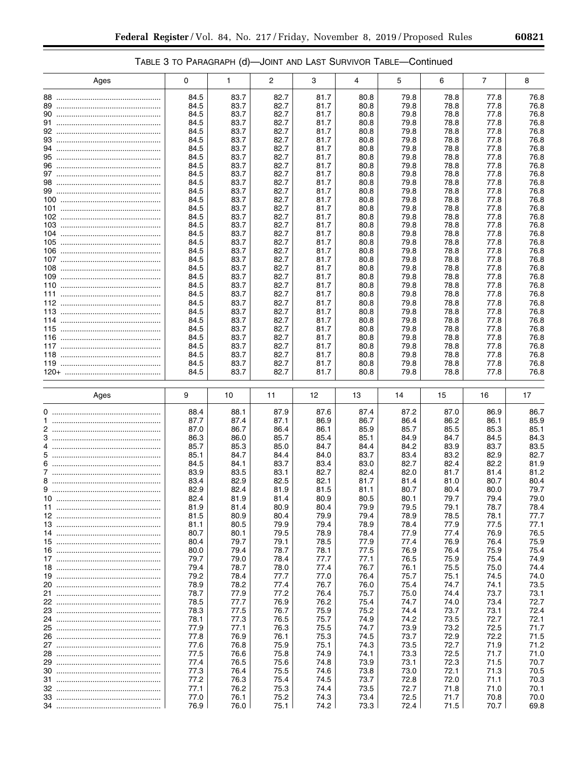# TABLE 3 TO PARAGRAPH (d)—JOINT AND LAST SURVIVOR TABLE—Continued

| Ages | 0            | 1            | 2            | 3            | 4            | 5            | 6            | $\overline{7}$ | 8            |
|------|--------------|--------------|--------------|--------------|--------------|--------------|--------------|----------------|--------------|
| 88   | 84.5         | 83.7         | 82.7         | 81.7         | 80.8         | 79.8         | 78.8         | 77.8           | 76.8         |
| 89   | 84.5         | 83.7         | 82.7         | 81.7         | 80.8         | 79.8         | 78.8         | 77.8           | 76.8         |
|      | 84.5         | 83.7         | 82.7         | 81.7         | 80.8         | 79.8         | 78.8         | 77.8           | 76.8         |
|      | 84.5         | 83.7         | 82.7         | 81.7         | 80.8         | 79.8         | 78.8         | 77.8           | 76.8         |
|      | 84.5         | 83.7         | 82.7         | 81.7         | 80.8         | 79.8         | 78.8         | 77.8           | 76.8         |
|      | 84.5         | 83.7         | 82.7         | 81.7         | 80.8         | 79.8         | 78.8         | 77.8           | 76.8         |
|      | 84.5         | 83.7         | 82.7         | 81.7         | 80.8         | 79.8         | 78.8         | 77.8           | 76.8         |
|      | 84.5         | 83.7         | 82.7         | 81.7         | 80.8         | 79.8         | 78.8         | 77.8           | 76.8         |
|      | 84.5         | 83.7         | 82.7         | 81.7         | 80.8         | 79.8         | 78.8         | 77.8           | 76.8         |
|      | 84.5         | 83.7         | 82.7         | 81.7         | 80.8         | 79.8         | 78.8         | 77.8           | 76.8         |
|      | 84.5         | 83.7         | 82.7         | 81.7         | 80.8         | 79.8         | 78.8         | 77.8           | 76.8         |
|      | 84.5         | 83.7         | 82.7         | 81.7         | 80.8         | 79.8         | 78.8         | 77.8           | 76.8         |
|      | 84.5<br>84.5 | 83.7<br>83.7 | 82.7<br>82.7 | 81.7<br>81.7 | 80.8<br>80.8 | 79.8<br>79.8 | 78.8<br>78.8 | 77.8<br>77.8   | 76.8<br>76.8 |
|      | 84.5         | 83.7         | 82.7         | 81.7         | 80.8         | 79.8         | 78.8         | 77.8           | 76.8         |
|      | 84.5         | 83.7         | 82.7         | 81.7         | 80.8         | 79.8         | 78.8         | 77.8           | 76.8         |
|      | 84.5         | 83.7         | 82.7         | 81.7         | 80.8         | 79.8         | 78.8         | 77.8           | 76.8         |
|      | 84.5         | 83.7         | 82.7         | 81.7         | 80.8         | 79.8         | 78.8         | 77.8           | 76.8         |
|      | 84.5         | 83.7         | 82.7         | 81.7         | 80.8         | 79.8         | 78.8         | 77.8           | 76.8         |
|      | 84.5         | 83.7         | 82.7         | 81.7         | 80.8         | 79.8         | 78.8         | 77.8           | 76.8         |
|      | 84.5         | 83.7         | 82.7         | 81.7         | 80.8         | 79.8         | 78.8         | 77.8           | 76.8         |
|      | 84.5         | 83.7         | 82.7         | 81.7         | 80.8         | 79.8         | 78.8         | 77.8           | 76.8         |
|      | 84.5         | 83.7         | 82.7         | 81.7         | 80.8         | 79.8         | 78.8         | 77.8           | 76.8         |
|      | 84.5         | 83.7         | 82.7         | 81.7         | 80.8         | 79.8         | 78.8         | 77.8           | 76.8         |
|      | 84.5<br>84.5 | 83.7<br>83.7 | 82.7<br>82.7 | 81.7<br>81.7 | 80.8<br>80.8 | 79.8<br>79.8 | 78.8<br>78.8 | 77.8<br>77.8   | 76.8<br>76.8 |
|      | 84.5         | 83.7         | 82.7         | 81.7         | 80.8         | 79.8         | 78.8         | 77.8           | 76.8         |
|      | 84.5         | 83.7         | 82.7         | 81.7         | 80.8         | 79.8         | 78.8         | 77.8           | 76.8         |
|      | 84.5         | 83.7         | 82.7         | 81.7         | 80.8         | 79.8         | 78.8         | 77.8           | 76.8         |
|      | 84.5         | 83.7         | 82.7         | 81.7         | 80.8         | 79.8         | 78.8         | 77.8           | 76.8         |
|      | 84.5         | 83.7         | 82.7         | 81.7         | 80.8         | 79.8         | 78.8         | 77.8           | 76.8         |
|      | 84.5         | 83.7         | 82.7         | 81.7         | 80.8         | 79.8         | 78.8         | 77.8           | 76.8         |
|      | 84.5         | 83.7         | 82.7         | 81.7         | 80.8         | 79.8         | 78.8         | 77.8           | 76.8         |
|      |              |              |              |              |              |              |              |                |              |
|      |              |              |              |              |              |              |              |                |              |
| Ages | 9            | 10           | 11           | 12           | 13           | 14           | 15           | 16             | 17           |
|      | 88.4         | 88.1         | 87.9         | 87.6         | 87.4         | 87.2         | 87.0         | 86.9           | 86.7         |
|      | 87.7         | 87.4         | 87.1         | 86.9         | 86.7         | 86.4         | 86.2         | 86.1           | 85.9         |
|      | 87.0         | 86.7         | 86.4         | 86.1         | 85.9         | 85.7         | 85.5         | 85.3           | 85.1         |
|      | 86.3<br>85.7 | 86.0<br>85.3 | 85.7<br>85.0 | 85.4<br>84.7 | 85.1<br>84.4 | 84.9<br>84.2 | 84.7<br>83.9 | 84.5<br>83.7   | 84.3<br>83.5 |
|      | 85.1         | 84.7         | 84.4         | 84.0         | 83.7         | 83.4         | 83.2         | 82.9           | 82.7         |
|      | 84.5         | 84.1         | 83.7         | 83.4         | 83.0         | 82.7         | 82.4         | 82.2           | 81.9         |
|      | 83.9         | 83.5         | 83.1         | 82.7         | 82.4         | 82.0         | 81.7         | 81.4           | 81.2         |
|      | 83.4         | 82.9         | 82.5         | 82.1         | 81.7         | 81.4         | 81.0         | 80.7           | 80.4         |
|      | 82.9         | 82.4         | 81.9         | 81.5         | 81.1         | 80.7         | 80.4         | 80.0           | 79.7         |
|      | 82.4         | 81.9         | 81.4         | 80.9         | 80.5         | 80.1         | 79.7         | 79.4           | 79.0         |
|      | 81.9<br>81.5 | 81.4         | 80.9         | 80.4<br>79.9 | 79.9<br>79.4 | 79.5         | 79.1<br>78.5 | 78.7           | 78.4<br>77.7 |
|      | 81.1         | 80.9<br>80.5 | 80.4<br>79.9 | 79.4         | 78.9         | 78.9<br>78.4 | 77.9         | 78.1<br>77.5   | 77.1         |
|      | 80.7         | 80.1         | 79.5         | 78.9         | 78.4         | 77.9         | 77.4         | 76.9           | 76.5         |
|      | 80.4         | 79.7         | 79.1         | 78.5         | 77.9         | 77.4         | 76.9         | 76.4           | 75.9         |
|      | 80.0         | 79.4         | 78.7         | 78.1         | 77.5         | 76.9         | 76.4         | 75.9           | 75.4         |
|      | 79.7         | 79.0         | 78.4         | 77.7         | 77.1         | 76.5         | 75.9         | 75.4           | 74.9         |
|      | 79.4         | 78.7         | 78.0         | 77.4         | 76.7         | 76.1         | 75.5         | 75.0           | 74.4         |
|      | 79.2         | 78.4         | 77.7         | 77.0         | 76.4         | 75.7         | 75.1         | 74.5           | 74.0         |
|      | 78.9         | 78.2         | 77.4         | 76.7         | 76.0         | 75.4         | 74.7         | 74.1           | 73.5         |
|      | 78.7<br>78.5 | 77.9<br>77.7 | 77.2<br>76.9 | 76.4<br>76.2 | 75.7<br>75.4 | 75.0<br>74.7 | 74.4<br>74.0 | 73.7<br>73.4   | 73.1<br>72.7 |
|      | 78.3         | 77.5         | 76.7         | 75.9         | 75.2         | 74.4         | 73.7         | 73.1           | 72.4         |
|      | 78.1         | 77.3         | 76.5         | 75.7         | 74.9         | 74.2         | 73.5         | 72.7           | 72.1         |
|      | 77.9         | 77.1         | 76.3         | 75.5         | 74.7         | 73.9         | 73.2         | 72.5           | 71.7         |
|      | 77.8         | 76.9         | 76.1         | 75.3         | 74.5         | 73.7         | 72.9         | 72.2           | 71.5         |
|      | 77.6         | 76.8         | 75.9         | 75.1         | 74.3         | 73.5         | 72.7         | 71.9           | 71.2         |
|      | 77.5         | 76.6         | 75.8         | 74.9         | 74.1         | 73.3         | 72.5         | 71.7           | 71.0         |
| 10   | 77.4         | 76.5         | 75.6         | 74.8         | 73.9         | 73.1         | 72.3         | 71.5           | 70.7         |
|      | 77.3         | 76.4         | 75.5         | 74.6         | 73.8         | 73.0         | 72.1<br>72.0 | 71.3           | 70.5         |
|      | 77.2<br>77.1 | 76.3<br>76.2 | 75.4<br>75.3 | 74.5<br>74.4 | 73.7<br>73.5 | 72.8<br>72.7 | 71.8         | 71.1<br>71.0   | 70.3<br>70.1 |
|      | 77.0         | 76.1         | 75.2<br>75.1 | 74.3<br>74.2 | 73.4<br>73.3 | 72.5         | 71.7         | 70.8<br>70.7   | 70.0<br>69.8 |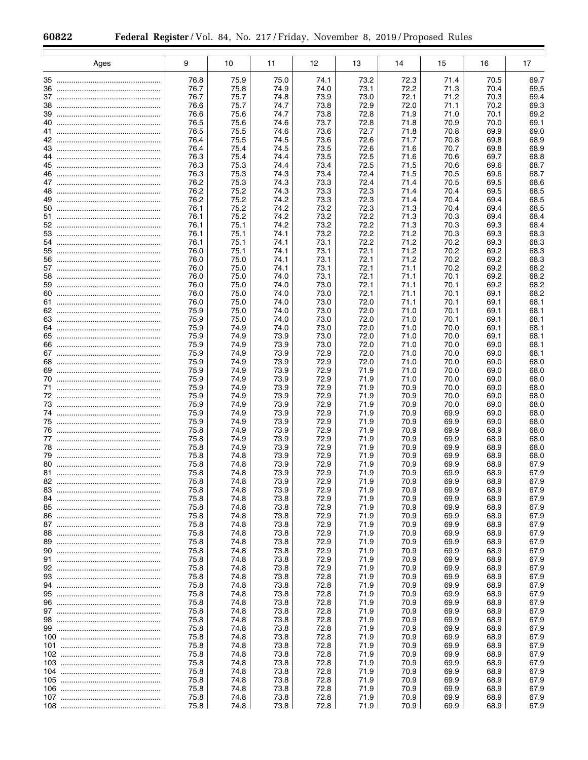|    | Ages | 9            | 10           | 11           | 12           | 13           | 14           | 15           | 16           | 17           |
|----|------|--------------|--------------|--------------|--------------|--------------|--------------|--------------|--------------|--------------|
|    |      | 76.8         | 75.9         | 75.0         | 74.1         | 73.2         | 72.3         | 71.4         | 70.5         | 69.7         |
|    |      | 76.7         | 75.8         | 74.9         | 74.0         | 73.1         | 72.2         | 71.3         | 70.4         | 69.5         |
|    |      | 76.7         | 75.7         | 74.8         | 73.9         | 73.0         | 72.1         | 71.2         | 70.3         | 69.4         |
|    |      | 76.6         | 75.7         | 74.7         | 73.8         | 72.9         | 72.0         | 71.1         | 70.2         | 69.3         |
|    |      | 76.6         | 75.6         | 74.7         | 73.8         | 72.8         | 71.9         | 71.0         | 70.1         | 69.2         |
|    |      | 76.5         | 75.6         | 74.6         | 73.7         | 72.8         | 71.8         | 70.9         | 70.0         | 69.1         |
|    |      | 76.5<br>76.4 | 75.5         | 74.6         | 73.6         | 72.7         | 71.8<br>71.7 | 70.8<br>70.8 | 69.9         | 69.0         |
|    |      | 76.4         | 75.5<br>75.4 | 74.5<br>74.5 | 73.6<br>73.5 | 72.6<br>72.6 | 71.6         | 70.7         | 69.8<br>69.8 | 68.9<br>68.9 |
|    |      | 76.3         | 75.4         | 74.4         | 73.5         | 72.5         | 71.6         | 70.6         | 69.7         | 68.8         |
|    |      | 76.3         | 75.3         | 74.4         | 73.4         | 72.5         | 71.5         | 70.6         | 69.6         | 68.7         |
|    |      | 76.3         | 75.3         | 74.3         | 73.4         | 72.4         | 71.5         | 70.5         | 69.6         | 68.7         |
|    |      | 76.2         | 75.3         | 74.3         | 73.3         | 72.4         | 71.4         | 70.5         | 69.5         | 68.6         |
|    |      | 76.2         | 75.2         | 74.3         | 73.3         | 72.3         | 71.4         | 70.4         | 69.5         | 68.5         |
|    |      | 76.2<br>76.1 | 75.2<br>75.2 | 74.2<br>74.2 | 73.3<br>73.2 | 72.3<br>72.3 | 71.4<br>71.3 | 70.4<br>70.4 | 69.4<br>69.4 | 68.5<br>68.5 |
|    |      | 76.1         | 75.2         | 74.2         | 73.2         | 72.2         | 71.3         | 70.3         | 69.4         | 68.4         |
|    |      | 76.1         | 75.1         | 74.2         | 73.2         | 72.2         | 71.3         | 70.3         | 69.3         | 68.4         |
|    |      | 76.1         | 75.1         | 74.1         | 73.2         | 72.2         | 71.2         | 70.3         | 69.3         | 68.3         |
|    |      | 76.1         | 75.1         | 74.1         | 73.1         | 72.2         | 71.2         | 70.2         | 69.3         | 68.3         |
|    |      | 76.0         | 75.1         | 74.1         | 73.1         | 72.1         | 71.2         | 70.2         | 69.2         | 68.3         |
|    |      | 76.0         | 75.0         | 74.1         | 73.1         | 72.1         | 71.2         | 70.2         | 69.2         | 68.3         |
|    |      | 76.0<br>76.0 | 75.0<br>75.0 | 74.1<br>74.0 | 73.1<br>73.1 | 72.1<br>72.1 | 71.1<br>71.1 | 70.2<br>70.1 | 69.2<br>69.2 | 68.2<br>68.2 |
|    |      | 76.0         | 75.0         | 74.0         | 73.0         | 72.1         | 71.1         | 70.1         | 69.2         | 68.2         |
|    |      | 76.0         | 75.0         | 74.0         | 73.0         | 72.1         | 71.1         | 70.1         | 69.1         | 68.2         |
|    |      | 76.0         | 75.0         | 74.0         | 73.0         | 72.0         | 71.1         | 70.1         | 69.1         | 68.1         |
|    |      | 75.9         | 75.0         | 74.0         | 73.0         | 72.0         | 71.0         | 70.1         | 69.1         | 68.1         |
|    |      | 75.9         | 75.0         | 74.0         | 73.0         | 72.0         | 71.0         | 70.1         | 69.1         | 68.1         |
|    |      | 75.9         | 74.9         | 74.0         | 73.0         | 72.0         | 71.0         | 70.0         | 69.1         | 68.1         |
|    |      | 75.9         | 74.9         | 73.9         | 73.0         | 72.0         | 71.0         | 70.0         | 69.1         | 68.1         |
|    |      | 75.9<br>75.9 | 74.9<br>74.9 | 73.9<br>73.9 | 73.0<br>72.9 | 72.0<br>72.0 | 71.0<br>71.0 | 70.0<br>70.0 | 69.0<br>69.0 | 68.1<br>68.1 |
|    |      | 75.9         | 74.9         | 73.9         | 72.9         | 72.0         | 71.0         | 70.0         | 69.0         | 68.0         |
|    |      | 75.9         | 74.9         | 73.9         | 72.9         | 71.9         | 71.0         | 70.0         | 69.0         | 68.0         |
|    |      | 75.9         | 74.9         | 73.9         | 72.9         | 71.9         | 71.0         | 70.0         | 69.0         | 68.0         |
|    |      | 75.9         | 74.9         | 73.9         | 72.9         | 71.9         | 70.9         | 70.0         | 69.0         | 68.0         |
|    |      | 75.9         | 74.9         | 73.9         | 72.9         | 71.9         | 70.9         | 70.0         | 69.0         | 68.0         |
|    |      | 75.9         | 74.9         | 73.9         | 72.9         | 71.9         | 70.9         | 70.0         | 69.0         | 68.0         |
|    |      | 75.9<br>75.9 | 74.9<br>74.9 | 73.9<br>73.9 | 72.9<br>72.9 | 71.9<br>71.9 | 70.9<br>70.9 | 69.9<br>69.9 | 69.0<br>69.0 | 68.0<br>68.0 |
|    |      | 75.8         | 74.9         | 73.9         | 72.9         | 71.9         | 70.9         | 69.9         | 68.9         | 68.0         |
|    |      | 75.8         | 74.9         | 73.9         | 72.9         | 71.9         | 70.9         | 69.9         | 68.9         | 68.0         |
|    |      | 75.8         | 74.9         | 73.9         | 72.9         | 71.9         | 70.9         | 69.9         | 68.9         | 68.0         |
|    |      | 75.8         | 74.8         | 73.9         | 72.9         | 71.9         | 70.9         | 69.9         | 68.9         | 68.0         |
|    |      | 75.8         | 74.8         | 73.9         | 72.9         | 71.9         | 70.9         | 69.9         | 68.9         | 67.9         |
|    |      | 75.8         | 74.8         | 73.9         | 72.9         | 71.9         | 70.9         | 69.9         | 68.9         | 67.9         |
| 82 |      | 75.8<br>75.8 | 74.8<br>74.8 | 73.9<br>73.9 | 72.9<br>72.9 | 71.9<br>71.9 | 70.9<br>70.9 | 69.9<br>69.9 | 68.9<br>68.9 | 67.9<br>67.9 |
|    |      | 75.8         | 74.8         | 73.8         | 72.9         | 71.9         | 70.9         | 69.9         | 68.9         | 67.9         |
|    |      | 75.8         | 74.8         | 73.8         | 72.9         | 71.9         | 70.9         | 69.9         | 68.9         | 67.9         |
|    |      | 75.8         | 74.8         | 73.8         | 72.9         | 71.9         | 70.9         | 69.9         | 68.9         | 67.9         |
|    |      | 75.8         | 74.8         | 73.8         | 72.9         | 71.9         | 70.9         | 69.9         | 68.9         | 67.9         |
|    |      | 75.8         | 74.8         | 73.8         | 72.9         | 71.9         | 70.9         | 69.9         | 68.9         | 67.9         |
|    |      | 75.8         | 74.8         | 73.8         | 72.9         | 71.9         | 70.9         | 69.9         | 68.9         | 67.9         |
|    |      | 75.8         | 74.8         | 73.8         | 72.9         | 71.9         | 70.9         | 69.9         | 68.9         | 67.9         |
|    |      | 75.8<br>75.8 | 74.8<br>74.8 | 73.8<br>73.8 | 72.9<br>72.9 | 71.9<br>71.9 | 70.9<br>70.9 | 69.9<br>69.9 | 68.9<br>68.9 | 67.9<br>67.9 |
|    |      | 75.8         | 74.8         | 73.8         | 72.8         | 71.9         | 70.9         | 69.9         | 68.9         | 67.9         |
|    |      | 75.8         | 74.8         | 73.8         | 72.8         | 71.9         | 70.9         | 69.9         | 68.9         | 67.9         |
|    |      | 75.8         | 74.8         | 73.8         | 72.8         | 71.9         | 70.9         | 69.9         | 68.9         | 67.9         |
|    |      | 75.8         | 74.8         | 73.8         | 72.8         | 71.9         | 70.9         | 69.9         | 68.9         | 67.9         |
|    |      | 75.8         | 74.8         | 73.8         | 72.8         | 71.9         | 70.9         | 69.9         | 68.9         | 67.9         |
|    |      | 75.8         | 74.8         | 73.8         | 72.8         | 71.9         | 70.9         | 69.9         | 68.9         | 67.9         |
|    |      | 75.8         | 74.8         | 73.8         | 72.8         | 71.9         | 70.9         | 69.9         | 68.9         | 67.9         |
|    |      | 75.8<br>75.8 | 74.8<br>74.8 | 73.8<br>73.8 | 72.8<br>72.8 | 71.9<br>71.9 | 70.9<br>70.9 | 69.9<br>69.9 | 68.9<br>68.9 | 67.9<br>67.9 |
|    |      | 75.8         | 74.8         | 73.8         | 72.8         | 71.9         | 70.9         | 69.9         | 68.9         | 67.9         |
|    |      | 75.8         | 74.8         | 73.8         | 72.8         | 71.9         | 70.9         | 69.9         | 68.9         | 67.9         |
|    |      | 75.8         | 74.8         | 73.8         | 72.8         | 71.9         | 70.9         | 69.9         | 68.9         | 67.9         |
|    |      | 75.8         | 74.8         | 73.8         | 72.8         | 71.9         | 70.9         | 69.9         | 68.9         | 67.9         |
|    |      | 75.8         | 74.8         | 73.8         | 72.8         | 71.9         | 70.9         | 69.9         | 68.9         | 67.9         |
|    |      | 75.8         | 74.8         | 73.8         | 72.8         | 71.9         | 70.9         | 69.9         | 68.9         | 67.9         |
|    |      | 75.8         | 74.8         | 73.8         | 72.8         | 71.9         | 70.9         | 69.9         | 68.9         | 67.9         |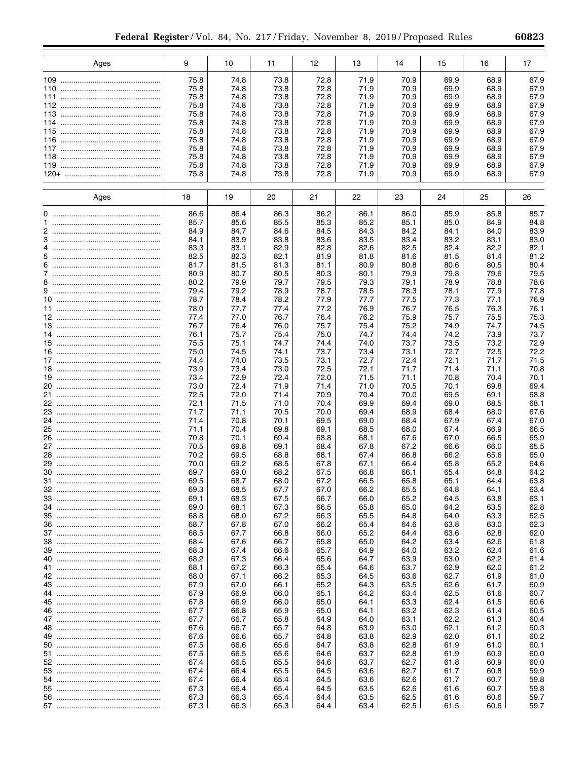| Ages | 9    | 10   | 11   | 12   | 13   | 14   | 15   | 16   | 17   |
|------|------|------|------|------|------|------|------|------|------|
|      |      |      |      |      |      |      |      |      |      |
|      | 75.8 | 74.8 | 73.8 | 72.8 | 71.9 | 70.9 | 69.9 | 68.9 | 67.9 |
| 110  | 75.8 | 74.8 | 73.8 | 72.8 | 71.9 | 70.9 | 69.9 | 68.9 | 67.9 |
|      | 75.8 | 74.8 | 73.8 | 72.8 | 71.9 | 70.9 | 69.9 | 68.9 | 67.9 |
|      | 75.8 | 74.8 | 73.8 | 72.8 | 71.9 | 70.9 | 69.9 | 68.9 | 67.9 |
|      | 75.8 | 74.8 | 73.8 | 72.8 | 71.9 | 70.9 | 69.9 | 68.9 | 67.9 |
| 114  | 75.8 | 74.8 | 73.8 | 72.8 | 71.9 | 70.9 | 69.9 | 68.9 | 67.9 |
|      | 75.8 | 74.8 | 73.8 | 72.8 | 71.9 | 70.9 | 69.9 | 68.9 | 67.9 |
| 116  | 75.8 | 74.8 | 73.8 | 72.8 | 71.9 | 70.9 | 69.9 | 68.9 | 67.9 |
|      | 75.8 | 74.8 | 73.8 | 72.8 | 71.9 | 70.9 | 69.9 | 68.9 | 67.9 |
| 118  | 75.8 | 74.8 | 73.8 | 72.8 | 71.9 | 70.9 | 69.9 | 68.9 | 67.9 |
|      | 75.8 | 74.8 | 73.8 | 72.8 | 71.9 | 70.9 | 69.9 | 68.9 | 67.9 |
|      | 75.8 | 74.8 | 73.8 | 72.8 | 71.9 | 70.9 | 69.9 | 68.9 | 67.9 |
|      |      |      |      |      |      |      |      |      |      |
| Ages | 18   | 19   | 20   | 21   | 22   | 23   | 24   | 25   | 26   |
|      | 86.6 | 86.4 | 86.3 | 86.2 | 86.1 | 86.0 | 85.9 | 85.8 | 85.7 |
|      | 85.7 | 85.6 | 85.5 | 85.3 | 85.2 | 85.1 | 85.0 | 84.9 | 84.8 |
|      | 84.9 | 84.7 | 84.6 | 84.5 | 84.3 | 84.2 | 84.1 | 84.0 | 83.9 |
|      | 84.1 | 83.9 | 83.8 | 83.6 | 83.5 | 83.4 | 83.2 | 83.1 | 83.0 |
|      | 83.3 | 83.1 | 82.9 | 82.8 | 82.6 | 82.5 | 82.4 | 82.2 | 82.1 |
|      | 82.5 | 82.3 | 82.1 | 81.9 | 81.8 | 81.6 | 81.5 | 81.4 | 81.2 |
|      | 81.7 | 81.5 | 81.3 | 81.1 | 80.9 | 80.8 | 80.6 | 80.5 | 80.4 |
|      | 80.9 | 80.7 | 80.5 | 80.3 | 80.1 | 79.9 | 79.8 | 79.6 | 79.5 |
|      | 80.2 | 79.9 | 79.7 | 79.5 | 79.3 | 79.1 | 78.9 | 78.8 | 78.6 |
|      | 79.4 | 79.2 | 78.9 | 78.7 | 78.5 | 78.3 | 78.1 | 77.9 | 77.8 |
|      | 78.7 | 78.4 | 78.2 | 77.9 | 77.7 | 77.5 | 77.3 | 77.1 | 76.9 |
|      | 78.0 | 77.7 | 77.4 | 77.2 | 76.9 | 76.7 | 76.5 | 76.3 | 76.1 |
|      | 77.4 | 77.0 | 76.7 | 76.4 | 76.2 | 75.9 | 75.7 | 75.5 | 75.3 |
|      | 76.7 | 76.4 | 76.0 | 75.7 | 75.4 | 75.2 | 74.9 | 74.7 | 74.5 |
|      | 76.1 | 75.7 | 75.4 | 75.0 | 74.7 | 74.4 | 74.2 | 73.9 | 73.7 |
|      | 75.5 | 75.1 | 74.7 | 74.4 | 74.0 | 73.7 | 73.5 | 73.2 | 72.9 |
|      | 75.0 | 74.5 | 74.1 | 73.7 | 73.4 | 73.1 | 72.7 | 72.5 | 72.2 |
|      | 74.4 | 74.0 | 73.5 | 73.1 | 72.7 | 72.4 | 72.1 | 71.7 | 71.5 |
|      | 73.9 | 73.4 | 73.0 | 72.5 | 72.1 | 71.7 | 71.4 | 71.1 | 70.8 |
|      | 73.4 | 72.9 | 72.4 | 72.0 | 71.5 | 71.1 | 70.8 | 70.4 | 70.1 |
|      | 73.0 | 72.4 | 71.9 | 71.4 | 71.0 | 70.5 | 70.1 | 69.8 | 69.4 |
|      | 72.5 |      | 71.4 | 70.9 | 70.4 | 70.0 | 69.5 | 69.1 | 68.8 |
|      |      | 72.0 |      |      |      |      |      |      |      |
|      | 72.1 | 71.5 | 71.0 | 70.4 | 69.9 | 69.4 | 69.0 | 68.5 | 68.1 |
|      | 71.7 | 71.1 | 70.5 | 70.0 | 69.4 | 68.9 | 68.4 | 68.0 | 67.6 |
|      | 71.4 | 70.8 | 70.1 | 69.5 | 69.0 | 68.4 | 67.9 | 67.4 | 67.0 |
|      | 71.1 | 70.4 | 69.8 | 69.1 | 68.5 | 68.0 | 67.4 | 66.9 | 66.5 |
|      | 70.8 | 70.1 | 69.4 | 68.8 | 68.1 | 67.6 | 67.0 | 66.5 | 65.9 |
|      | 70.5 | 69.8 | 69.1 | 68.4 | 67.8 | 67.2 | 66.6 | 66.0 | 65.5 |
|      | 70.2 | 69.5 | 68.8 | 68.1 | 67.4 | 66.8 | 66.2 | 65.6 | 65.0 |
|      | 70.0 | 69.2 | 68.5 | 67.8 | 67.1 | 66.4 | 65.8 | 65.2 | 64.6 |
|      | 69.7 | 69.0 | 68.2 | 67.5 | 66.8 | 66.1 | 65.4 | 64.8 | 64.2 |
| 31   | 69.5 | 68.7 | 68.0 | 67.2 | 66.5 | 65.8 | 65.1 | 64.4 | 63.8 |
|      | 69.3 | 68.5 | 67.7 | 67.0 | 66.2 | 65.5 | 64.8 | 64.1 | 63.4 |
|      | 69.1 | 68.3 | 67.5 | 66.7 | 66.0 | 65.2 | 64.5 | 63.8 | 63.1 |
|      | 69.0 | 68.1 | 67.3 | 66.5 | 65.8 | 65.0 | 64.2 | 63.5 | 62.8 |
|      | 68.8 | 68.0 | 67.2 | 66.3 | 65.5 | 64.8 | 64.0 | 63.3 | 62.5 |
|      | 68.7 | 67.8 | 67.0 | 66.2 | 65.4 | 64.6 | 63.8 | 63.0 | 62.3 |
|      | 68.5 | 67.7 | 66.8 | 66.0 | 65.2 | 64.4 | 63.6 | 62.8 | 62.0 |
|      | 68.4 | 67.6 | 66.7 | 65.8 | 65.0 | 64.2 | 63.4 | 62.6 | 61.8 |
|      | 68.3 | 67.4 | 66.6 | 65.7 | 64.9 | 64.0 | 63.2 | 62.4 | 61.6 |
|      | 68.2 | 67.3 | 66.4 | 65.6 | 64.7 | 63.9 | 63.0 | 62.2 | 61.4 |
|      | 68.1 | 67.2 | 66.3 | 65.4 | 64.6 | 63.7 | 62.9 | 62.0 | 61.2 |
|      | 68.0 | 67.1 | 66.2 | 65.3 | 64.5 | 63.6 | 62.7 | 61.9 | 61.0 |
|      | 67.9 | 67.0 | 66.1 | 65.2 | 64.3 | 63.5 | 62.6 | 61.7 | 60.9 |
|      | 67.9 | 66.9 | 66.0 | 65.1 | 64.2 | 63.4 | 62.5 | 61.6 | 60.7 |
|      | 67.8 | 66.9 | 66.0 | 65.0 | 64.1 | 63.3 | 62.4 | 61.5 | 60.6 |
|      | 67.7 | 66.8 | 65.9 | 65.0 | 64.1 | 63.2 | 62.3 | 61.4 | 60.5 |
|      | 67.7 | 66.7 | 65.8 | 64.9 | 64.0 | 63.1 | 62.2 | 61.3 | 60.4 |
|      | 67.6 | 66.7 | 65.7 | 64.8 | 63.9 | 63.0 | 62.1 | 61.2 | 60.3 |
|      | 67.6 | 66.6 | 65.7 | 64.8 | 63.8 | 62.9 | 62.0 | 61.1 | 60.2 |
|      |      |      |      |      |      |      |      |      |      |
|      | 67.5 | 66.6 | 65.6 | 64.7 | 63.8 | 62.8 | 61.9 | 61.0 | 60.1 |
|      | 67.5 | 66.5 | 65.6 | 64.6 | 63.7 | 62.8 | 61.9 | 60.9 | 60.0 |
|      | 67.4 | 66.5 | 65.5 | 64.6 | 63.7 | 62.7 | 61.8 | 60.9 | 60.0 |
|      | 67.4 | 66.4 | 65.5 | 64.5 | 63.6 | 62.7 | 61.7 | 60.8 | 59.9 |
|      | 67.4 | 66.4 | 65.4 | 64.5 | 63.6 | 62.6 | 61.7 | 60.7 | 59.8 |
|      | 67.3 | 66.4 | 65.4 | 64.5 | 63.5 | 62.6 | 61.6 | 60.7 | 59.8 |
|      | 67.3 | 66.3 | 65.4 | 64.4 | 63.5 | 62.5 | 61.6 | 60.6 | 59.7 |
|      | 67.3 | 66.3 | 65.3 | 64.4 | 63.4 | 62.5 | 61.5 | 60.6 | 59.7 |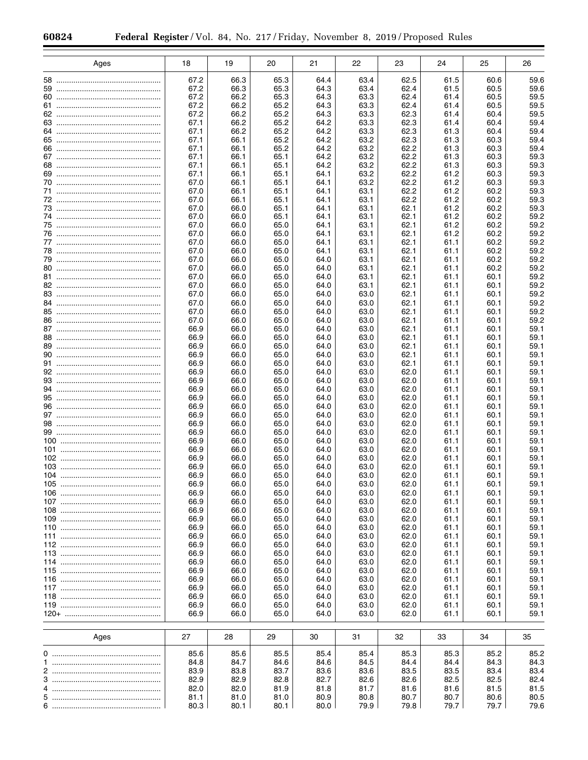|     | Ages | 18           | 19           | 20           | 21           | 22           | 23           | 24           | 25           | 26           |
|-----|------|--------------|--------------|--------------|--------------|--------------|--------------|--------------|--------------|--------------|
|     |      | 67.2         | 66.3         | 65.3         |              | 63.4         | 62.5         | 61.5         | 60.6         | 59.6         |
|     |      | 67.2         | 66.3         | 65.3         | 64.4<br>64.3 | 63.4         | 62.4         | 61.5         | 60.5         | 59.6         |
|     |      | 67.2         | 66.2         | 65.3         | 64.3         | 63.3         | 62.4         | 61.4         | 60.5         | 59.5         |
|     |      | 67.2         | 66.2         | 65.2         | 64.3         | 63.3         | 62.4         | 61.4         | 60.5         | 59.5         |
|     |      | 67.2         | 66.2         | 65.2         | 64.3         | 63.3         | 62.3         | 61.4         | 60.4         | 59.5         |
|     |      | 67.1         | 66.2         | 65.2         | 64.2         | 63.3         | 62.3         | 61.4         | 60.4         | 59.4         |
|     |      | 67.1         | 66.2         | 65.2         | 64.2         | 63.3         | 62.3         | 61.3         | 60.4         | 59.4         |
|     |      | 67.1         | 66.1         | 65.2         | 64.2         | 63.2         | 62.3         | 61.3         | 60.3         | 59.4         |
|     |      | 67.1         | 66.1         | 65.2         | 64.2         | 63.2         | 62.2         | 61.3         | 60.3         | 59.4         |
|     |      | 67.1         | 66.1         | 65.1         | 64.2         | 63.2         | 62.2         | 61.3         | 60.3         | 59.3         |
|     |      | 67.1         | 66.1         | 65.1         | 64.2         | 63.2         | 62.2         | 61.3         | 60.3         | 59.3         |
|     |      | 67.1         | 66.1         | 65.1         | 64.1         | 63.2         | 62.2         | 61.2         | 60.3         | 59.3         |
|     |      | 67.0         | 66.1         | 65.1         | 64.1         | 63.2         | 62.2         | 61.2         | 60.3         | 59.3         |
|     |      | 67.0         | 66.1         | 65.1         | 64.1         | 63.1         | 62.2         | 61.2         | 60.2         | 59.3         |
|     |      | 67.0         | 66.1         | 65.1         | 64.1         | 63.1         | 62.2         | 61.2         | 60.2         | 59.3         |
|     |      | 67.0<br>67.0 | 66.0         | 65.1         | 64.1         | 63.1         | 62.1         | 61.2         | 60.2         | 59.3<br>59.2 |
|     |      | 67.0         | 66.0<br>66.0 | 65.1<br>65.0 | 64.1<br>64.1 | 63.1<br>63.1 | 62.1<br>62.1 | 61.2<br>61.2 | 60.2<br>60.2 | 59.2         |
|     |      | 67.0         | 66.0         | 65.0         | 64.1         | 63.1         | 62.1         | 61.2         | 60.2         | 59.2         |
|     |      | 67.0         | 66.0         | 65.0         | 64.1         | 63.1         | 62.1         | 61.1         | 60.2         | 59.2         |
|     |      | 67.0         | 66.0         | 65.0         | 64.1         | 63.1         | 62.1         | 61.1         | 60.2         | 59.2         |
|     |      | 67.0         | 66.0         | 65.0         | 64.0         | 63.1         | 62.1         | 61.1         | 60.2         | 59.2         |
|     |      | 67.0         | 66.0         | 65.0         | 64.0         | 63.1         | 62.1         | 61.1         | 60.2         | 59.2         |
|     |      | 67.0         | 66.0         | 65.0         | 64.0         | 63.1         | 62.1         | 61.1         | 60.1         | 59.2         |
|     |      | 67.0         | 66.0         | 65.0         | 64.0         | 63.1         | 62.1         | 61.1         | 60.1         | 59.2         |
|     |      | 67.0         | 66.0         | 65.0         | 64.0         | 63.0         | 62.1         | 61.1         | 60.1         | 59.2         |
|     |      | 67.0         | 66.0         | 65.0         | 64.0         | 63.0         | 62.1         | 61.1         | 60.1         | 59.2         |
|     |      | 67.0         | 66.0         | 65.0         | 64.0         | 63.0         | 62.1         | 61.1         | 60.1         | 59.2         |
|     |      | 67.0         | 66.0         | 65.0         | 64.0         | 63.0         | 62.1         | 61.1         | 60.1         | 59.2         |
|     |      | 66.9         | 66.0         | 65.0         | 64.0         | 63.0         | 62.1         | 61.1         | 60.1         | 59.1         |
|     |      | 66.9         | 66.0         | 65.0         | 64.0         | 63.0         | 62.1         | 61.1         | 60.1         | 59.1         |
|     |      | 66.9         | 66.0         | 65.0         | 64.0         | 63.0         | 62.1         | 61.1         | 60.1         | 59.1         |
|     |      | 66.9         | 66.0         | 65.0         | 64.0         | 63.0         | 62.1         | 61.1         | 60.1         | 59.1         |
|     |      | 66.9         | 66.0         | 65.0         | 64.0         | 63.0         | 62.1         | 61.1         | 60.1         | 59.1         |
|     |      | 66.9         | 66.0         | 65.0         | 64.0         | 63.0         | 62.0         | 61.1         | 60.1         | 59.1         |
|     |      | 66.9         | 66.0         | 65.0         | 64.0         | 63.0         | 62.0         | 61.1         | 60.1         | 59.1         |
|     |      | 66.9<br>66.9 | 66.0         | 65.0         | 64.0         | 63.0<br>63.0 | 62.0         | 61.1<br>61.1 | 60.1<br>60.1 | 59.1         |
| 96  |      | 66.9         | 66.0<br>66.0 | 65.0<br>65.0 | 64.0<br>64.0 | 63.0         | 62.0<br>62.0 | 61.1         | 60.1         | 59.1<br>59.1 |
|     |      | 66.9         | 66.0         | 65.0         | 64.0         | 63.0         | 62.0         | 61.1         | 60.1         | 59.1         |
|     |      | 66.9         | 66.0         | 65.0         | 64.0         | 63.0         | 62.0         | 61.1         | 60.1         | 59.1         |
|     |      | 66.9         | 66.0         | 65.0         | 64.0         | 63.0         | 62.0         | 61.1         | 60.1         | 59.1         |
|     |      | 66.9         | 66.0         | 65.0         | 64.0         | 63.0         | 62.0         | 61.1         | 60.1         | 59.1         |
|     |      | 66.9         | 66.0         | 65.0         | 64.0         | 63.0         | 62.0         | 61.1         | 60.1         | 59.1         |
|     |      | 66.9         | 66.0         | 65.0         | 64.0         | 63.0         | 62.0         | 61.1         | 60.1         | 59.1         |
|     |      | 66.9         | 66.0         | 65.0         | 64.0         | 63.0         | 62.0         | 61.1         | 60.1         | 59.1         |
|     |      | 66.9         | 66.0         | 65.0         | 64.0         | 63.0         | 62.0         | 61.1         | 60.1         | 59.1         |
| 105 |      | 66.9         | 66.0         | 65.0         | 64.0         | 63.0         | 62.0         | 61.1         | 60.1         | 59.1         |
| 106 |      | 66.9         | 66.0         | 65.0         | 64.0         | 63.0         | 62.0         | 61.1         | 60.1         | 59.1         |
|     |      | 66.9         | 66.0         | 65.0         | 64.0         | 63.0         | 62.0         | 61.1         | 60.1         | 59.1         |
| 108 |      | 66.9         | 66.0         | 65.0         | 64.0         | 63.0         | 62.0         | 61.1         | 60.1         | 59.1         |
|     |      | 66.9         | 66.0         | 65.0         | 64.0         | 63.0         | 62.0         | 61.1         | 60.1         | 59.1         |
|     |      | 66.9<br>66.9 | 66.0<br>66.0 | 65.0         | 64.0         | 63.0<br>63.0 | 62.0<br>62.0 | 61.1<br>61.1 | 60.1<br>60.1 | 59.1<br>59.1 |
|     |      | 66.9         | 66.0         | 65.0<br>65.0 | 64.0<br>64.0 | 63.0         | 62.0         | 61.1         | 60.1         | 59.1         |
|     |      | 66.9         | 66.0         | 65.0         | 64.0         | 63.0         | 62.0         | 61.1         | 60.1         | 59.1         |
|     |      | 66.9         | 66.0         | 65.0         | 64.0         | 63.0         | 62.0         | 61.1         | 60.1         | 59.1         |
|     |      | 66.9         | 66.0         | 65.0         | 64.0         | 63.0         | 62.0         | 61.1         | 60.1         | 59.1         |
|     |      | 66.9         | 66.0         | 65.0         | 64.0         | 63.0         | 62.0         | 61.1         | 60.1         | 59.1         |
|     |      | 66.9         | 66.0         | 65.0         | 64.0         | 63.0         | 62.0         | 61.1         | 60.1         | 59.1         |
|     |      | 66.9         | 66.0         | 65.0         | 64.0         | 63.0         | 62.0         | 61.1         | 60.1         | 59.1         |
|     |      | 66.9         | 66.0         | 65.0         | 64.0         | 63.0         | 62.0         | 61.1         | 60.1         | 59.1         |
|     |      | 66.9         | 66.0         | 65.0         | 64.0         | 63.0         | 62.0         | 61.1         | 60.1         | 59.1         |
|     |      |              |              |              |              |              |              |              |              |              |
|     | Ages | 27           | 28           | 29           | 30           | 31           | 32           | 33           | 34           | 35           |
|     |      | 85.6         | 85.6         | 85.5         | 85.4         | 85.4         | 85.3         | 85.3         | 85.2         | 85.2         |
|     |      | 84.8         | 84.7         | 84.6         | 84.6         | 84.5         | 84.4         | 84.4         | 84.3         | 84.3         |
|     |      | 83.9         | 83.8         | 83.7         | 83.6         | 83.6         | 83.5         | 83.5         | 83.4         | 83.4         |
|     |      | 82.9         | 82.9         | 82.8         | 82.7         | 82.6         | 82.6         | 82.5         | 82.5         | 82.4         |
|     |      | 82.0         | 82.0         | 81.9         | 81.8         | 81.7         | 81.6         | 81.6         | 81.5         | 81.5         |
|     |      | 81.1         | 81.0         | 81.0         | 80.9         | 80.8         | 80.7         | 80.7         | 80.6         | 80.5         |
|     |      | 80.3         | 80.1         | 80.1         | 80.0         | 79.9         | 79.8         | 79.7         | 79.7         | 79.6         |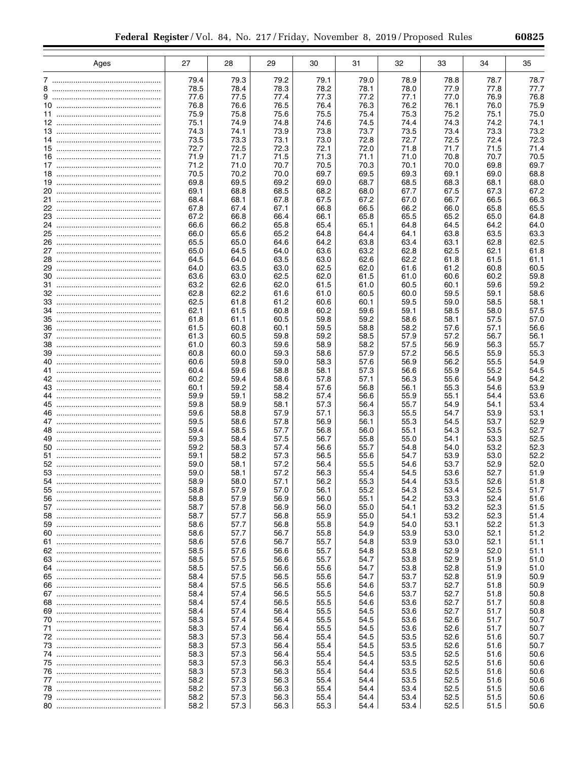|    | Ages | 27           | 28           | 29           | 30           | 31           | 32           | 33           | 34           | 35           |
|----|------|--------------|--------------|--------------|--------------|--------------|--------------|--------------|--------------|--------------|
|    |      | 79.4         | 79.3         | 79.2         | 79.1         | 79.0         | 78.9         | 78.8         | 78.7         | 78.7         |
| 8  |      | 78.5         | 78.4         | 78.3         | 78.2         | 78.1         | 78.0         | 77.9         | 77.8         | 77.7         |
|    |      | 77.6         | 77.5         | 77.4         | 77.3         | 77.2         | 77.1         | 77.0         | 76.9         | 76.8         |
|    |      | 76.8         | 76.6         | 76.5         | 76.4         | 76.3         | 76.2         | 76.1         | 76.0         | 75.9         |
|    |      | 75.9         | 75.8         | 75.6         | 75.5         | 75.4         | 75.3         | 75.2         | 75.1         | 75.0         |
|    |      | 75.1         | 74.9         | 74.8         | 74.6         | 74.5         | 74.4         | 74.3         | 74.2         | 74.1         |
|    |      | 74.3         | 74.1         | 73.9         | 73.8         | 73.7         | 73.5         | 73.4         | 73.3         | 73.2         |
|    |      | 73.5         | 73.3         | 73.1         | 73.0         | 72.8         | 72.7         | 72.5         | 72.4         | 72.3         |
|    |      | 72.7<br>71.9 | 72.5<br>71.7 | 72.3<br>71.5 | 72.1<br>71.3 | 72.0<br>71.1 | 71.8<br>71.0 | 71.7<br>70.8 | 71.5<br>70.7 | 71.4<br>70.5 |
|    |      | 71.2         | 71.0         | 70.7         | 70.5         | 70.3         | 70.1         | 70.0         | 69.8         | 69.7         |
|    |      | 70.5         | 70.2         | 70.0         | 69.7         | 69.5         | 69.3         | 69.1         | 69.0         | 68.8         |
|    |      | 69.8         | 69.5         | 69.2         | 69.0         | 68.7         | 68.5         | 68.3         | 68.1         | 68.0         |
|    |      | 69.1         | 68.8         | 68.5         | 68.2         | 68.0         | 67.7         | 67.5         | 67.3         | 67.2         |
|    |      | 68.4         | 68.1         | 67.8         | 67.5         | 67.2         | 67.0         | 66.7         | 66.5         | 66.3         |
|    |      | 67.8         | 67.4         | 67.1         | 66.8         | 66.5         | 66.2         | 66.0         | 65.8         | 65.5         |
|    |      | 67.2         | 66.8         | 66.4         | 66.1         | 65.8         | 65.5         | 65.2         | 65.0         | 64.8         |
|    |      | 66.6<br>66.0 | 66.2<br>65.6 | 65.8<br>65.2 | 65.4<br>64.8 | 65.1<br>64.4 | 64.8<br>64.1 | 64.5<br>63.8 | 64.2<br>63.5 | 64.0<br>63.3 |
| 26 |      | 65.5         | 65.0         | 64.6         | 64.2         | 63.8         | 63.4         | 63.1         | 62.8         | 62.5         |
|    |      | 65.0         | 64.5         | 64.0         | 63.6         | 63.2         | 62.8         | 62.5         | 62.1         | 61.8         |
|    |      | 64.5         | 64.0         | 63.5         | 63.0         | 62.6         | 62.2         | 61.8         | 61.5         | 61.1         |
|    |      | 64.0         | 63.5         | 63.0         | 62.5         | 62.0         | 61.6         | 61.2         | 60.8         | 60.5         |
|    |      | 63.6         | 63.0         | 62.5         | 62.0         | 61.5         | 61.0         | 60.6         | 60.2         | 59.8         |
|    |      | 63.2         | 62.6         | 62.0         | 61.5         | 61.0         | 60.5         | 60.1         | 59.6         | 59.2<br>58.6 |
|    |      | 62.8<br>62.5 | 62.2<br>61.8 | 61.6<br>61.2 | 61.0<br>60.6 | 60.5<br>60.1 | 60.0<br>59.5 | 59.5<br>59.0 | 59.1<br>58.5 | 58.1         |
|    |      | 62.1         | 61.5         | 60.8         | 60.2         | 59.6         | 59.1         | 58.5         | 58.0         | 57.5         |
|    |      | 61.8         | 61.1         | 60.5         | 59.8         | 59.2         | 58.6         | 58.1         | 57.5         | 57.0         |
|    |      | 61.5         | 60.8         | 60.1         | 59.5         | 58.8         | 58.2         | 57.6         | 57.1         | 56.6         |
|    |      | 61.3         | 60.5         | 59.8         | 59.2         | 58.5         | 57.9         | 57.2         | 56.7         | 56.1         |
| 39 |      | 61.0<br>60.8 | 60.3<br>60.0 | 59.6<br>59.3 | 58.9<br>58.6 | 58.2<br>57.9 | 57.5<br>57.2 | 56.9<br>56.5 | 56.3<br>55.9 | 55.7<br>55.3 |
|    |      | 60.6         | 59.8         | 59.0         | 58.3         | 57.6         | 56.9         | 56.2         | 55.5         | 54.9         |
|    |      | 60.4         | 59.6         | 58.8         | 58.1         | 57.3         | 56.6         | 55.9         | 55.2         | 54.5         |
|    |      | 60.2         | 59.4         | 58.6         | 57.8         | 57.1         | 56.3         | 55.6         | 54.9         | 54.2         |
|    |      | 60.1         | 59.2         | 58.4         | 57.6         | 56.8         | 56.1         | 55.3         | 54.6         | 53.9         |
|    |      | 59.9         | 59.1         | 58.2         | 57.4         | 56.6         | 55.9         | 55.1         | 54.4         | 53.6         |
|    |      | 59.8<br>59.6 | 58.9<br>58.8 | 58.1<br>57.9 | 57.3<br>57.1 | 56.4<br>56.3 | 55.7<br>55.5 | 54.9<br>54.7 | 54.1<br>53.9 | 53.4<br>53.1 |
|    |      | 59.5         | 58.6         | 57.8         | 56.9         | 56.1         | 55.3         | 54.5         | 53.7         | 52.9         |
|    |      | 59.4         | 58.5         | 57.7         | 56.8         | 56.0         | 55.1         | 54.3         | 53.5         | 52.7         |
| 49 |      | 59.3         | 58.4         | 57.5         | 56.7         | 55.8         | 55.0         | 54.1         | 53.3         | 52.5         |
| 50 |      | 59.2         | 58.3         | 57.4         | 56.6         | 55.7         | 54.8         | 54.0         | 53.2         | 52.3         |
|    |      | 59.1         | 58.2         | 57.3         | 56.5         | 55.6         | 54.7         | 53.9         | 53.0         | 52.2         |
|    |      | 59.0<br>59.0 | 58.1<br>58.1 | 57.2<br>57.2 | 56.4<br>56.3 | 55.5<br>55.4 | 54.6<br>54.5 | 53.7<br>53.6 | 52.9<br>52.7 | 52.0<br>51.9 |
|    |      | 58.9         | 58.0         | 57.1         | 56.2         | 55.3         | 54.4         | 53.5         | 52.6         | 51.8         |
| 55 |      | 58.8         | 57.9         | 57.0         | 56.1         | 55.2         | 54.3         | 53.4         | 52.5         | 51.7         |
|    |      | 58.8         | 57.9         | 56.9         | 56.0         | 55.1         | 54.2         | 53.3         | 52.4         | 51.6         |
|    |      | 58.7         | 57.8         | 56.9         | 56.0         | 55.0         | 54.1         | 53.2         | 52.3         | 51.5         |
|    |      | 58.7         | 57.7         | 56.8         | 55.9         | 55.0         | 54.1         | 53.2         | 52.3         | 51.4         |
|    |      | 58.6<br>58.6 | 57.7<br>57.7 | 56.8<br>56.7 | 55.8<br>55.8 | 54.9<br>54.9 | 54.0<br>53.9 | 53.1<br>53.0 | 52.2<br>52.1 | 51.3<br>51.2 |
|    |      | 58.6         | 57.6         | 56.7         | 55.7         | 54.8         | 53.9         | 53.0         | 52.1         | 51.1         |
|    |      | 58.5         | 57.6         | 56.6         | 55.7         | 54.8         | 53.8         | 52.9         | 52.0         | 51.1         |
|    |      | 58.5         | 57.5         | 56.6         | 55.7         | 54.7         | 53.8         | 52.9         | 51.9         | 51.0         |
|    |      | 58.5         | 57.5         | 56.6         | 55.6         | 54.7         | 53.8         | 52.8         | 51.9         | 51.0         |
|    |      | 58.4         | 57.5         | 56.5         | 55.6         | 54.7         | 53.7         | 52.8         | 51.9         | 50.9         |
|    |      | 58.4<br>58.4 | 57.5         | 56.5         | 55.6         | 54.6         | 53.7         | 52.7<br>52.7 | 51.8         | 50.9         |
|    |      | 58.4         | 57.4<br>57.4 | 56.5<br>56.5 | 55.5<br>55.5 | 54.6<br>54.6 | 53.7<br>53.6 | 52.7         | 51.8<br>51.7 | 50.8<br>50.8 |
|    |      | 58.4         | 57.4         | 56.4         | 55.5         | 54.5         | 53.6         | 52.7         | 51.7         | 50.8         |
|    |      | 58.3         | 57.4         | 56.4         | 55.5         | 54.5         | 53.6         | 52.6         | 51.7         | 50.7         |
|    |      | 58.3         | 57.4         | 56.4         | 55.5         | 54.5         | 53.6         | 52.6         | 51.7         | 50.7         |
|    |      | 58.3         | 57.3         | 56.4         | 55.4         | 54.5         | 53.5         | 52.6         | 51.6         | 50.7         |
|    |      | 58.3         | 57.3         | 56.4         | 55.4         | 54.5         | 53.5         | 52.6         | 51.6         | 50.7         |
|    |      | 58.3<br>58.3 | 57.3<br>57.3 | 56.4<br>56.3 | 55.4<br>55.4 | 54.5<br>54.4 | 53.5<br>53.5 | 52.5<br>52.5 | 51.6<br>51.6 | 50.6<br>50.6 |
|    |      | 58.3         | 57.3         | 56.3         | 55.4         | 54.4         | 53.5         | 52.5         | 51.6         | 50.6         |
|    |      | 58.2         | 57.3         | 56.3         | 55.4         | 54.4         | 53.5         | 52.5         | 51.6         | 50.6         |
|    |      | 58.2         | 57.3         | 56.3         | 55.4         | 54.4         | 53.4         | 52.5         | 51.5         | 50.6         |
|    |      | 58.2         | 57.3         | 56.3         | 55.4         | 54.4         | 53.4         | 52.5         | 51.5         | 50.6         |
|    |      | 58.2         | 57.3         | 56.3         | 55.3         | 54.4         | 53.4         | 52.5         | 51.5         | 50.6         |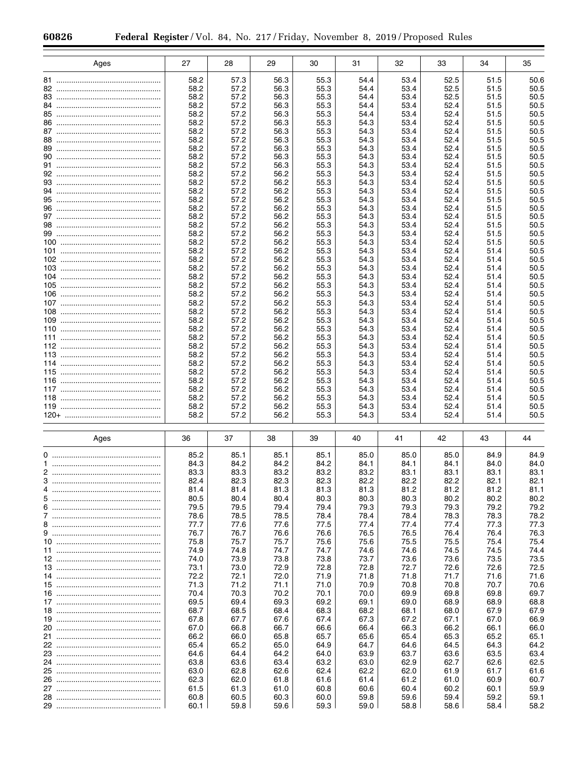| Ages | 27           | 28           | 29           | 30           | 31           | 32           | 33           | 34           | 35           |
|------|--------------|--------------|--------------|--------------|--------------|--------------|--------------|--------------|--------------|
|      |              |              |              |              |              |              |              |              |              |
| 82   | 58.2<br>58.2 | 57.3<br>57.2 | 56.3<br>56.3 | 55.3<br>55.3 | 54.4<br>54.4 | 53.4<br>53.4 | 52.5<br>52.5 | 51.5<br>51.5 | 50.6<br>50.5 |
|      | 58.2         | 57.2         | 56.3         | 55.3         | 54.4         | 53.4         | 52.5         | 51.5         | 50.5         |
| 84   | 58.2         | 57.2         | 56.3         | 55.3         | 54.4         | 53.4         | 52.4         | 51.5         | 50.5         |
|      | 58.2         | 57.2         | 56.3         | 55.3         | 54.4         | 53.4         | 52.4         | 51.5         | 50.5         |
|      | 58.2         | 57.2         | 56.3         | 55.3         | 54.3         | 53.4         | 52.4         | 51.5         | 50.5         |
|      | 58.2         | 57.2         | 56.3         | 55.3<br>55.3 | 54.3<br>54.3 | 53.4<br>53.4 | 52.4<br>52.4 | 51.5         | 50.5         |
|      | 58.2<br>58.2 | 57.2<br>57.2 | 56.3<br>56.3 | 55.3         | 54.3         | 53.4         | 52.4         | 51.5<br>51.5 | 50.5<br>50.5 |
|      | 58.2         | 57.2         | 56.3         | 55.3         | 54.3         | 53.4         | 52.4         | 51.5         | 50.5         |
|      | 58.2         | 57.2         | 56.3         | 55.3         | 54.3         | 53.4         | 52.4         | 51.5         | 50.5         |
|      | 58.2         | 57.2         | 56.2         | 55.3         | 54.3         | 53.4         | 52.4         | 51.5         | 50.5         |
|      | 58.2         | 57.2         | 56.2         | 55.3         | 54.3         | 53.4         | 52.4         | 51.5         | 50.5         |
|      | 58.2<br>58.2 | 57.2<br>57.2 | 56.2<br>56.2 | 55.3<br>55.3 | 54.3<br>54.3 | 53.4<br>53.4 | 52.4<br>52.4 | 51.5<br>51.5 | 50.5<br>50.5 |
|      | 58.2         | 57.2         | 56.2         | 55.3         | 54.3         | 53.4         | 52.4         | 51.5         | 50.5         |
|      | 58.2         | 57.2         | 56.2         | 55.3         | 54.3         | 53.4         | 52.4         | 51.5         | 50.5         |
|      | 58.2         | 57.2         | 56.2         | 55.3         | 54.3         | 53.4         | 52.4         | 51.5         | 50.5         |
|      | 58.2         | 57.2         | 56.2         | 55.3         | 54.3         | 53.4         | 52.4         | 51.5         | 50.5         |
|      | 58.2         | 57.2<br>57.2 | 56.2<br>56.2 | 55.3<br>55.3 | 54.3<br>54.3 | 53.4<br>53.4 | 52.4<br>52.4 | 51.5<br>51.4 | 50.5         |
|      | 58.2<br>58.2 | 57.2         | 56.2         | 55.3         | 54.3         | 53.4         | 52.4         | 51.4         | 50.5<br>50.5 |
|      | 58.2         | 57.2         | 56.2         | 55.3         | 54.3         | 53.4         | 52.4         | 51.4         | 50.5         |
|      | 58.2         | 57.2         | 56.2         | 55.3         | 54.3         | 53.4         | 52.4         | 51.4         | 50.5         |
|      | 58.2         | 57.2         | 56.2         | 55.3         | 54.3         | 53.4         | 52.4         | 51.4         | 50.5         |
|      | 58.2         | 57.2         | 56.2         | 55.3         | 54.3         | 53.4         | 52.4         | 51.4         | 50.5         |
|      | 58.2<br>58.2 | 57.2<br>57.2 | 56.2<br>56.2 | 55.3<br>55.3 | 54.3<br>54.3 | 53.4<br>53.4 | 52.4<br>52.4 | 51.4<br>51.4 | 50.5<br>50.5 |
|      | 58.2         | 57.2         | 56.2         | 55.3         | 54.3         | 53.4         | 52.4         | 51.4         | 50.5         |
|      | 58.2         | 57.2         | 56.2         | 55.3         | 54.3         | 53.4         | 52.4         | 51.4         | 50.5         |
|      | 58.2         | 57.2         | 56.2         | 55.3         | 54.3         | 53.4         | 52.4         | 51.4         | 50.5         |
|      | 58.2         | 57.2         | 56.2         | 55.3         | 54.3         | 53.4         | 52.4         | 51.4         | 50.5         |
|      | 58.2         | 57.2         | 56.2         | 55.3         | 54.3         | 53.4         | 52.4         | 51.4         | 50.5         |
|      | 58.2<br>58.2 | 57.2<br>57.2 | 56.2<br>56.2 | 55.3<br>55.3 | 54.3<br>54.3 | 53.4<br>53.4 | 52.4<br>52.4 | 51.4<br>51.4 | 50.5<br>50.5 |
|      | 58.2         | 57.2         | 56.2         | 55.3         | 54.3         | 53.4         | 52.4         | 51.4         | 50.5         |
|      | 58.2         | 57.2         | 56.2         | 55.3         | 54.3         | 53.4         | 52.4         | 51.4         | 50.5         |
|      | 58.2         | 57.2         | 56.2         | 55.3         | 54.3         | 53.4         | 52.4         | 51.4         | 50.5         |
|      | 58.2         | 57.2         | 56.2         | 55.3         | 54.3         | 53.4         | 52.4         | 51.4         | 50.5         |
|      | 58.2         | 57.2         | 56.2         | 55.3         | 54.3         | 53.4         | 52.4         | 51.4         | 50.5         |
| Ages | 36           | 37           | 38           | 39           | 40           | 41           | 42           | 43           | 44           |
|      |              |              |              |              |              |              |              |              |              |
|      | 85.2<br>84.3 | 85.1<br>84.2 | 85.1<br>84.2 | 85.1<br>84.2 | 85.0<br>84.1 | 85.0<br>84.1 | 85.0<br>84.1 | 84.9<br>84.0 | 84.9<br>84.0 |
|      | 83.3         | 83.3         | 83.2         | 83.2         | 83.2         | 83.1         | 83.1         | 83.1         | 83.1         |
| 3    | 82.4         | 82.3         | 82.3         | 82.3         | 82.2         | 82.2         | 82.2         | 82.1         | 82.1         |
|      | 81.4         | 81.4         | 81.3         | 81.3         | 81.3         | 81.2         | 81.2         | 81.2         | 81.1         |
|      | 80.5         | 80.4         | 80.4         | 80.3         | 80.3         | 80.3         | 80.2         | 80.2         | 80.2         |
|      | 79.5<br>78.6 | 79.5<br>78.5 | 79.4<br>78.5 | 79.4<br>78.4 | 79.3<br>78.4 | 79.3<br>78.4 | 79.3<br>78.3 | 79.2<br>78.3 | 79.2<br>78.2 |
|      | 77.7         | 77.6         | 77.6         | 77.5         | 77.4         | 77.4         | 77.4         | 77.3         | 77.3         |
|      | 76.7         | 76.7         | 76.6         | 76.6         | 76.5         | 76.5         | 76.4         | 76.4         | 76.3         |
|      | 75.8         | 75.7         | 75.7         | 75.6         | 75.6         | 75.5         | 75.5         | 75.4         | 75.4         |
|      | 74.9         | 74.8         | 74.7         | 74.7         | 74.6         | 74.6         | 74.5         | 74.5         | 74.4         |
|      | 74.0<br>73.1 | 73.9<br>73.0 | 73.8<br>72.9 | 73.8<br>72.8 | 73.7<br>72.8 | 73.6<br>72.7 | 73.6<br>72.6 | 73.5<br>72.6 | 73.5<br>72.5 |
|      | 72.2         | 72.1         | 72.0         | 71.9         | 71.8         | 71.8         | 71.7         | 71.6         | 71.6         |
|      | 71.3         | 71.2         | 71.1         | 71.0         | 70.9         | 70.8         | 70.8         | 70.7         | 70.6         |
|      | 70.4         | 70.3         | 70.2         | 70.1         | 70.0         | 69.9         | 69.8         | 69.8         | 69.7         |
|      | 69.5         | 69.4         | 69.3         | 69.2         | 69.1         | 69.0         | 68.9         | 68.9         | 68.8         |
|      | 68.7         | 68.5         | 68.4         | 68.3         | 68.2         | 68.1         | 68.0         | 67.9         | 67.9         |
|      | 67.8<br>67.0 | 67.7<br>66.8 | 67.6<br>66.7 | 67.4<br>66.6 | 67.3<br>66.4 | 67.2<br>66.3 | 67.1<br>66.2 | 67.0<br>66.1 | 66.9<br>66.0 |
|      | 66.2         | 66.0         | 65.8         | 65.7         | 65.6         | 65.4         | 65.3         | 65.2         | 65.1         |
|      | 65.4         | 65.2         | 65.0         | 64.9         | 64.7         | 64.6         | 64.5         | 64.3         | 64.2         |
|      | 64.6         | 64.4         | 64.2         | 64.0         | 63.9         | 63.7         | 63.6         | 63.5         | 63.4         |
|      | 63.8         | 63.6         | 63.4         | 63.2         | 63.0         | 62.9         | 62.7         | 62.6         | 62.5         |
|      | 63.0         | 62.8         | 62.6         | 62.4         | 62.2         | 62.0         | 61.9         | 61.7         | 61.6         |
|      | 62.3<br>61.5 | 62.0<br>61.3 | 61.8<br>61.0 | 61.6<br>60.8 | 61.4<br>60.6 | 61.2<br>60.4 | 61.0<br>60.2 | 60.9<br>60.1 | 60.7<br>59.9 |
|      | 60.8         | 60.5         | 60.3         | 60.0         | 59.8         | 59.6         | 59.4         | 59.2         | 59.1         |
|      | 60.1         | 59.8         | 59.6         | 59.3         | 59.0         | 58.8         | 58.6         | 58.4         | 58.2         |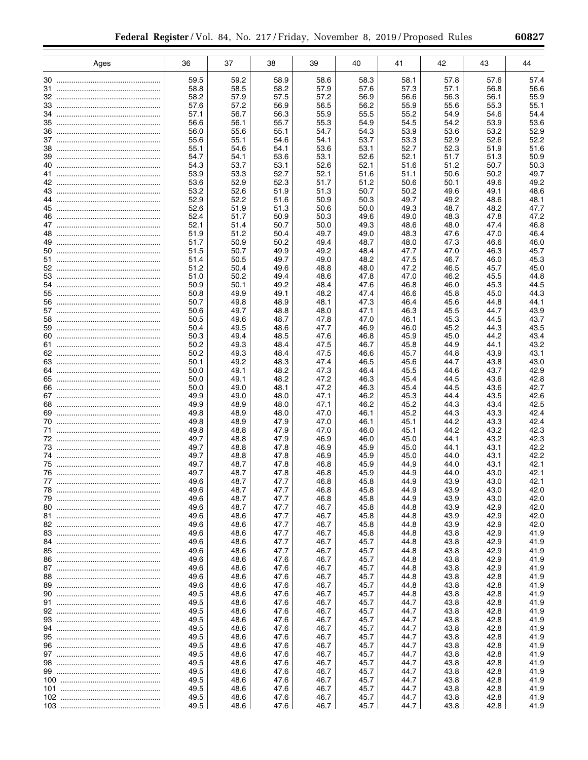|    | Ages | 36           | 37           | 38           | 39           | 40           | 41           | 42           | 43           | 44           |
|----|------|--------------|--------------|--------------|--------------|--------------|--------------|--------------|--------------|--------------|
|    |      |              |              |              |              |              |              |              |              |              |
|    |      | 59.5         | 59.2         | 58.9         | 58.6         | 58.3         | 58.1         | 57.8         | 57.6         | 57.4         |
|    |      | 58.8<br>58.2 | 58.5<br>57.9 | 58.2<br>57.5 | 57.9<br>57.2 | 57.6<br>56.9 | 57.3<br>56.6 | 57.1<br>56.3 | 56.8<br>56.1 | 56.6<br>55.9 |
|    |      | 57.6         | 57.2         | 56.9         | 56.5         | 56.2         | 55.9         | 55.6         | 55.3         | 55.1         |
|    |      | 57.1         | 56.7         | 56.3         | 55.9         | 55.5         | 55.2         | 54.9         | 54.6         | 54.4         |
|    |      | 56.6         | 56.1         | 55.7         | 55.3         | 54.9         | 54.5         | 54.2         | 53.9         | 53.6         |
|    |      | 56.0         | 55.6         | 55.1         | 54.7         | 54.3         | 53.9         | 53.6         | 53.2         | 52.9         |
|    |      | 55.6         | 55.1         | 54.6         | 54.1         | 53.7         | 53.3         | 52.9         | 52.6         | 52.2         |
|    |      | 55.1<br>54.7 | 54.6<br>54.1 | 54.1<br>53.6 | 53.6<br>53.1 | 53.1<br>52.6 | 52.7<br>52.1 | 52.3<br>51.7 | 51.9<br>51.3 | 51.6<br>50.9 |
|    |      | 54.3         | 53.7         | 53.1         | 52.6         | 52.1         | 51.6         | 51.2         | 50.7         | 50.3         |
|    |      | 53.9         | 53.3         | 52.7         | 52.1         | 51.6         | 51.1         | 50.6         | 50.2         | 49.7         |
|    |      | 53.6         | 52.9         | 52.3         | 51.7         | 51.2         | 50.6         | 50.1         | 49.6         | 49.2         |
|    |      | 53.2         | 52.6         | 51.9         | 51.3         | 50.7         | 50.2         | 49.6         | 49.1         | 48.6         |
|    |      | 52.9         | 52.2         | 51.6         | 50.9         | 50.3         | 49.7         | 49.2         | 48.6         | 48.1         |
|    |      | 52.6<br>52.4 | 51.9<br>51.7 | 51.3<br>50.9 | 50.6<br>50.3 | 50.0<br>49.6 | 49.3<br>49.0 | 48.7<br>48.3 | 48.2<br>47.8 | 47.7<br>47.2 |
|    |      | 52.1         | 51.4         | 50.7         | 50.0         | 49.3         | 48.6         | 48.0         | 47.4         | 46.8         |
|    |      | 51.9         | 51.2         | 50.4         | 49.7         | 49.0         | 48.3         | 47.6         | 47.0         | 46.4         |
| 49 |      | 51.7         | 50.9         | 50.2         | 49.4         | 48.7         | 48.0         | 47.3         | 46.6         | 46.0         |
|    |      | 51.5         | 50.7         | 49.9         | 49.2         | 48.4         | 47.7         | 47.0         | 46.3         | 45.7         |
| 51 |      | 51.4         | 50.5         | 49.7         | 49.0         | 48.2         | 47.5         | 46.7         | 46.0         | 45.3         |
|    |      | 51.2<br>51.0 | 50.4<br>50.2 | 49.6<br>49.4 | 48.8<br>48.6 | 48.0<br>47.8 | 47.2<br>47.0 | 46.5<br>46.2 | 45.7<br>45.5 | 45.0<br>44.8 |
| 54 |      | 50.9         | 50.1         | 49.2         | 48.4         | 47.6         | 46.8         | 46.0         | 45.3         | 44.5         |
|    |      | 50.8         | 49.9         | 49.1         | 48.2         | 47.4         | 46.6         | 45.8         | 45.0         | 44.3         |
|    |      | 50.7         | 49.8         | 48.9         | 48.1         | 47.3         | 46.4         | 45.6         | 44.8         | 44.1         |
|    |      | 50.6         | 49.7         | 48.8         | 48.0         | 47.1         | 46.3         | 45.5         | 44.7         | 43.9         |
|    |      | 50.5         | 49.6         | 48.7         | 47.8         | 47.0         | 46.1         | 45.3         | 44.5         | 43.7         |
|    |      | 50.4<br>50.3 | 49.5<br>49.4 | 48.6<br>48.5 | 47.7<br>47.6 | 46.9<br>46.8 | 46.0<br>45.9 | 45.2<br>45.0 | 44.3<br>44.2 | 43.5<br>43.4 |
|    |      | 50.2         | 49.3         | 48.4         | 47.5         | 46.7         | 45.8         | 44.9         | 44.1         | 43.2         |
|    |      | 50.2         | 49.3         | 48.4         | 47.5         | 46.6         | 45.7         | 44.8         | 43.9         | 43.1         |
|    |      | 50.1         | 49.2         | 48.3         | 47.4         | 46.5         | 45.6         | 44.7         | 43.8         | 43.0         |
|    |      | 50.0         | 49.1         | 48.2         | 47.3         | 46.4         | 45.5         | 44.6         | 43.7         | 42.9         |
|    |      | 50.0         | 49.1         | 48.2         | 47.2         | 46.3         | 45.4         | 44.5         | 43.6         | 42.8         |
|    |      | 50.0<br>49.9 | 49.0<br>49.0 | 48.1<br>48.0 | 47.2<br>47.1 | 46.3<br>46.2 | 45.4<br>45.3 | 44.5<br>44.4 | 43.6<br>43.5 | 42.7<br>42.6 |
|    |      | 49.9         | 48.9         | 48.0         | 47.1         | 46.2         | 45.2         | 44.3         | 43.4         | 42.5         |
|    |      | 49.8         | 48.9         | 48.0         | 47.0         | 46.1         | 45.2         | 44.3         | 43.3         | 42.4         |
|    |      | 49.8         | 48.9         | 47.9         | 47.0         | 46.1         | 45.1         | 44.2         | 43.3         | 42.4         |
|    |      | 49.8         | 48.8         | 47.9         | 47.0         | 46.0         | 45.1         | 44.2         | 43.2         | 42.3         |
|    |      | 49.7         | 48.8         | 47.9         | 46.9         | 46.0         | 45.0         | 44.1         | 43.2         | 42.3<br>42.2 |
|    |      | 49.7<br>49.7 | 48.8<br>48.8 | 47.8<br>47.8 | 46.9<br>46.9 | 45.9<br>45.9 | 45.0<br>45.0 | 44.1<br>44.0 | 43.1<br>43.1 | 42.2         |
|    |      | 49.7         | 48.7         | 47.8         | 46.8         | 45.9         | 44.9         | 44.0         | 43.1         | 42.1         |
|    |      | 49.7         | 48.7         | 47.8         | 46.8         | 45.9         | 44.9         | 44.0         | 43.0         | 42.1         |
| 77 |      | 49.6         | 48.7         | 47.7         | 46.8         | 45.8         | 44.9         | 43.9         | 43.0         | 42.1         |
| 78 |      | 49.6         | 48.7         | 47.7         | 46.8         | 45.8         | 44.9         | 43.9         | 43.0         | 42.0         |
| 79 |      | 49.6         | 48.7         | 47.7         | 46.8         | 45.8         | 44.9         | 43.9         | 43.0         | 42.0         |
|    |      | 49.6<br>49.6 | 48.7<br>48.6 | 47.7<br>47.7 | 46.7<br>46.7 | 45.8<br>45.8 | 44.8<br>44.8 | 43.9<br>43.9 | 42.9<br>42.9 | 42.0<br>42.0 |
|    |      | 49.6         | 48.6         | 47.7         | 46.7         | 45.8         | 44.8         | 43.9         | 42.9         | 42.0         |
|    |      | 49.6         | 48.6         | 47.7         | 46.7         | 45.8         | 44.8         | 43.8         | 42.9         | 41.9         |
|    |      | 49.6         | 48.6         | 47.7         | 46.7         | 45.7         | 44.8         | 43.8         | 42.9         | 41.9         |
|    |      | 49.6         | 48.6         | 47.7         | 46.7         | 45.7         | 44.8         | 43.8         | 42.9         | 41.9         |
|    |      | 49.6         | 48.6         | 47.6         | 46.7         | 45.7         | 44.8         | 43.8         | 42.9         | 41.9         |
|    |      | 49.6<br>49.6 | 48.6<br>48.6 | 47.6<br>47.6 | 46.7<br>46.7 | 45.7<br>45.7 | 44.8<br>44.8 | 43.8<br>43.8 | 42.9<br>42.8 | 41.9<br>41.9 |
|    |      | 49.6         | 48.6         | 47.6         | 46.7         | 45.7         | 44.8         | 43.8         | 42.8         | 41.9         |
|    |      | 49.5         | 48.6         | 47.6         | 46.7         | 45.7         | 44.8         | 43.8         | 42.8         | 41.9         |
|    |      | 49.5         | 48.6         | 47.6         | 46.7         | 45.7         | 44.7         | 43.8         | 42.8         | 41.9         |
|    |      | 49.5         | 48.6         | 47.6         | 46.7         | 45.7         | 44.7         | 43.8         | 42.8         | 41.9         |
|    |      | 49.5         | 48.6         | 47.6         | 46.7         | 45.7         | 44.7         | 43.8         | 42.8         | 41.9         |
|    |      | 49.5         | 48.6         | 47.6         | 46.7         | 45.7         | 44.7         | 43.8         | 42.8         | 41.9         |
|    |      | 49.5<br>49.5 | 48.6<br>48.6 | 47.6<br>47.6 | 46.7<br>46.7 | 45.7<br>45.7 | 44.7<br>44.7 | 43.8<br>43.8 | 42.8<br>42.8 | 41.9<br>41.9 |
|    |      | 49.5         | 48.6         | 47.6         | 46.7         | 45.7         | 44.7         | 43.8         | 42.8         | 41.9         |
|    |      | 49.5         | 48.6         | 47.6         | 46.7         | 45.7         | 44.7         | 43.8         | 42.8         | 41.9         |
|    |      | 49.5         | 48.6         | 47.6         | 46.7         | 45.7         | 44.7         | 43.8         | 42.8         | 41.9         |
|    |      | 49.5         | 48.6         | 47.6         | 46.7         | 45.7         | 44.7         | 43.8         | 42.8         | 41.9         |
|    |      | 49.5         | 48.6         | 47.6         | 46.7         | 45.7         | 44.7         | 43.8         | 42.8         | 41.9         |
|    |      | 49.5<br>49.5 | 48.6<br>48.6 | 47.6<br>47.6 | 46.7<br>46.7 | 45.7<br>45.7 | 44.7<br>44.7 | 43.8<br>43.8 | 42.8<br>42.8 | 41.9<br>41.9 |
|    |      |              |              |              |              |              |              |              |              |              |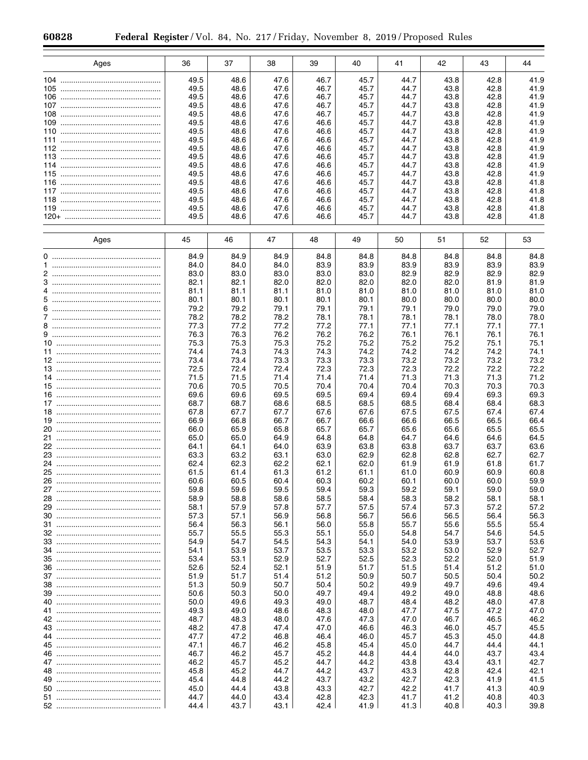| Ages | 36   | 37   | 38   | 39   | 40   | 41   | 42   | 43   | 44   |
|------|------|------|------|------|------|------|------|------|------|
|      |      |      |      |      |      |      |      |      |      |
|      | 49.5 | 48.6 | 47.6 | 46.7 | 45.7 | 44.7 | 43.8 | 42.8 | 41.9 |
|      | 49.5 | 48.6 | 47.6 | 46.7 | 45.7 | 44.7 | 43.8 | 42.8 | 41.9 |
|      | 49.5 | 48.6 | 47.6 | 46.7 | 45.7 | 44.7 | 43.8 | 42.8 | 41.9 |
|      | 49.5 | 48.6 | 47.6 | 46.7 | 45.7 | 44.7 | 43.8 | 42.8 | 41.9 |
|      | 49.5 | 48.6 | 47.6 | 46.7 | 45.7 | 44.7 | 43.8 | 42.8 | 41.9 |
|      | 49.5 | 48.6 | 47.6 | 46.6 | 45.7 | 44.7 | 43.8 | 42.8 | 41.9 |
|      | 49.5 | 48.6 | 47.6 | 46.6 | 45.7 | 44.7 | 43.8 | 42.8 | 41.9 |
|      | 49.5 | 48.6 | 47.6 | 46.6 | 45.7 | 44.7 | 43.8 | 42.8 | 41.9 |
|      | 49.5 | 48.6 |      |      | 45.7 |      | 43.8 | 42.8 | 41.9 |
|      |      |      | 47.6 | 46.6 |      | 44.7 |      |      | 41.9 |
|      | 49.5 | 48.6 | 47.6 | 46.6 | 45.7 | 44.7 | 43.8 | 42.8 |      |
|      | 49.5 | 48.6 | 47.6 | 46.6 | 45.7 | 44.7 | 43.8 | 42.8 | 41.9 |
|      | 49.5 | 48.6 | 47.6 | 46.6 | 45.7 | 44.7 | 43.8 | 42.8 | 41.9 |
|      | 49.5 | 48.6 | 47.6 | 46.6 | 45.7 | 44.7 | 43.8 | 42.8 | 41.8 |
|      | 49.5 | 48.6 | 47.6 | 46.6 | 45.7 | 44.7 | 43.8 | 42.8 | 41.8 |
|      | 49.5 | 48.6 | 47.6 | 46.6 | 45.7 | 44.7 | 43.8 | 42.8 | 41.8 |
|      | 49.5 | 48.6 | 47.6 | 46.6 | 45.7 | 44.7 | 43.8 | 42.8 | 41.8 |
|      | 49.5 | 48.6 | 47.6 | 46.6 | 45.7 | 44.7 | 43.8 | 42.8 | 41.8 |
|      |      |      |      |      |      |      |      |      |      |
| Ages | 45   | 46   | 47   | 48   | 49   | 50   | 51   | 52   | 53   |
|      |      |      |      |      |      |      |      |      |      |
|      | 84.9 | 84.9 | 84.9 | 84.8 | 84.8 | 84.8 | 84.8 | 84.8 | 84.8 |
|      | 84.0 | 84.0 | 84.0 | 83.9 | 83.9 | 83.9 | 83.9 | 83.9 | 83.9 |
|      | 83.0 | 83.0 | 83.0 | 83.0 | 83.0 | 82.9 | 82.9 | 82.9 | 82.9 |
|      | 82.1 | 82.1 | 82.0 | 82.0 | 82.0 | 82.0 | 82.0 | 81.9 | 81.9 |
|      | 81.1 | 81.1 | 81.1 | 81.0 | 81.0 | 81.0 | 81.0 | 81.0 | 81.0 |
|      | 80.1 | 80.1 | 80.1 | 80.1 | 80.1 | 80.0 | 80.0 | 80.0 | 80.0 |
|      | 79.2 | 79.2 | 79.1 | 79.1 | 79.1 | 79.1 | 79.0 | 79.0 | 79.0 |
|      | 78.2 | 78.2 | 78.2 | 78.1 | 78.1 | 78.1 | 78.1 | 78.0 | 78.0 |
|      |      |      |      |      |      |      |      |      |      |
|      | 77.3 | 77.2 | 77.2 | 77.2 | 77.1 | 77.1 | 77.1 | 77.1 | 77.1 |
|      | 76.3 | 76.3 | 76.2 | 76.2 | 76.2 | 76.1 | 76.1 | 76.1 | 76.1 |
|      | 75.3 | 75.3 | 75.3 | 75.2 | 75.2 | 75.2 | 75.2 | 75.1 | 75.1 |
|      | 74.4 | 74.3 | 74.3 | 74.3 | 74.2 | 74.2 | 74.2 | 74.2 | 74.1 |
|      | 73.4 | 73.4 | 73.3 | 73.3 | 73.3 | 73.2 | 73.2 | 73.2 | 73.2 |
|      | 72.5 | 72.4 | 72.4 | 72.3 | 72.3 | 72.3 | 72.2 | 72.2 | 72.2 |
|      | 71.5 | 71.5 | 71.4 | 71.4 | 71.4 | 71.3 | 71.3 | 71.3 | 71.2 |
|      | 70.6 | 70.5 | 70.5 | 70.4 | 70.4 | 70.4 | 70.3 | 70.3 | 70.3 |
|      | 69.6 | 69.6 | 69.5 | 69.5 | 69.4 | 69.4 | 69.4 | 69.3 | 69.3 |
|      | 68.7 | 68.7 | 68.6 | 68.5 | 68.5 | 68.5 | 68.4 | 68.4 | 68.3 |
|      | 67.8 | 67.7 | 67.7 | 67.6 | 67.6 | 67.5 | 67.5 | 67.4 | 67.4 |
|      | 66.9 | 66.8 | 66.7 | 66.7 | 66.6 | 66.6 | 66.5 | 66.5 | 66.4 |
|      | 66.0 | 65.9 | 65.8 | 65.7 | 65.7 | 65.6 | 65.6 | 65.5 | 65.5 |
|      | 65.0 | 65.0 | 64.9 | 64.8 | 64.8 | 64.7 | 64.6 | 64.6 | 64.5 |
|      | 64.1 | 64.1 | 64.0 | 63.9 | 63.8 | 63.8 | 63.7 | 63.7 | 63.6 |
|      | 63.3 | 63.2 | 63.1 | 63.0 | 62.9 | 62.8 | 62.8 | 62.7 | 62.7 |
| 24   | 62.4 | 62.3 | 62.2 | 62.1 | 62.0 | 61.9 | 61.9 | 61.8 | 61.7 |
|      | 61.5 | 61.4 | 61.3 | 61.2 | 61.1 | 61.0 | 60.9 | 60.9 | 60.8 |
| 26   | 60.6 | 60.5 | 60.4 | 60.3 | 60.2 | 60.1 | 60.0 | 60.0 | 59.9 |
|      | 59.8 | 59.6 | 59.5 | 59.4 | 59.3 | 59.2 | 59.1 | 59.0 | 59.0 |
|      | 58.9 | 58.8 | 58.6 | 58.5 | 58.4 | 58.3 | 58.2 | 58.1 | 58.1 |
|      | 58.1 | 57.9 | 57.8 | 57.7 | 57.5 | 57.4 | 57.3 | 57.2 | 57.2 |
|      | 57.3 | 57.1 | 56.9 | 56.8 | 56.7 | 56.6 | 56.5 | 56.4 | 56.3 |
|      | 56.4 | 56.3 | 56.1 | 56.0 | 55.8 | 55.7 | 55.6 | 55.5 | 55.4 |
|      | 55.7 | 55.5 | 55.3 | 55.1 | 55.0 | 54.8 | 54.7 | 54.6 | 54.5 |
|      | 54.9 |      |      |      |      |      |      |      |      |
|      |      | 54.7 | 54.5 | 54.3 | 54.1 | 54.0 | 53.9 | 53.7 | 53.6 |
|      | 54.1 | 53.9 | 53.7 | 53.5 | 53.3 | 53.2 | 53.0 | 52.9 | 52.7 |
|      | 53.4 | 53.1 | 52.9 | 52.7 | 52.5 | 52.3 | 52.2 | 52.0 | 51.9 |
|      | 52.6 | 52.4 | 52.1 | 51.9 | 51.7 | 51.5 | 51.4 | 51.2 | 51.0 |
|      | 51.9 | 51.7 | 51.4 | 51.2 | 50.9 | 50.7 | 50.5 | 50.4 | 50.2 |
|      | 51.3 | 50.9 | 50.7 | 50.4 | 50.2 | 49.9 | 49.7 | 49.6 | 49.4 |
|      | 50.6 | 50.3 | 50.0 | 49.7 | 49.4 | 49.2 | 49.0 | 48.8 | 48.6 |
|      | 50.0 | 49.6 | 49.3 | 49.0 | 48.7 | 48.4 | 48.2 | 48.0 | 47.8 |
|      | 49.3 | 49.0 | 48.6 | 48.3 | 48.0 | 47.7 | 47.5 | 47.2 | 47.0 |
|      | 48.7 | 48.3 | 48.0 | 47.6 | 47.3 | 47.0 | 46.7 | 46.5 | 46.2 |
|      | 48.2 | 47.8 | 47.4 | 47.0 | 46.6 | 46.3 | 46.0 | 45.7 | 45.5 |
|      | 47.7 | 47.2 | 46.8 | 46.4 | 46.0 | 45.7 | 45.3 | 45.0 | 44.8 |
|      | 47.1 | 46.7 | 46.2 | 45.8 | 45.4 | 45.0 | 44.7 | 44.4 | 44.1 |
|      | 46.7 | 46.2 | 45.7 | 45.2 | 44.8 | 44.4 | 44.0 | 43.7 | 43.4 |
|      | 46.2 | 45.7 | 45.2 | 44.7 | 44.2 | 43.8 | 43.4 | 43.1 | 42.7 |
|      | 45.8 | 45.2 | 44.7 | 44.2 | 43.7 | 43.3 | 42.8 | 42.4 | 42.1 |
|      | 45.4 | 44.8 | 44.2 | 43.7 | 43.2 | 42.7 | 42.3 | 41.9 | 41.5 |
|      | 45.0 | 44.4 | 43.8 | 43.3 | 42.7 | 42.2 | 41.7 | 41.3 | 40.9 |
|      | 44.7 | 44.0 | 43.4 | 42.8 | 42.3 | 41.7 | 41.2 | 40.8 | 40.3 |
|      | 44.4 | 43.7 | 43.1 | 42.4 | 41.9 | 41.3 | 40.8 | 40.3 | 39.8 |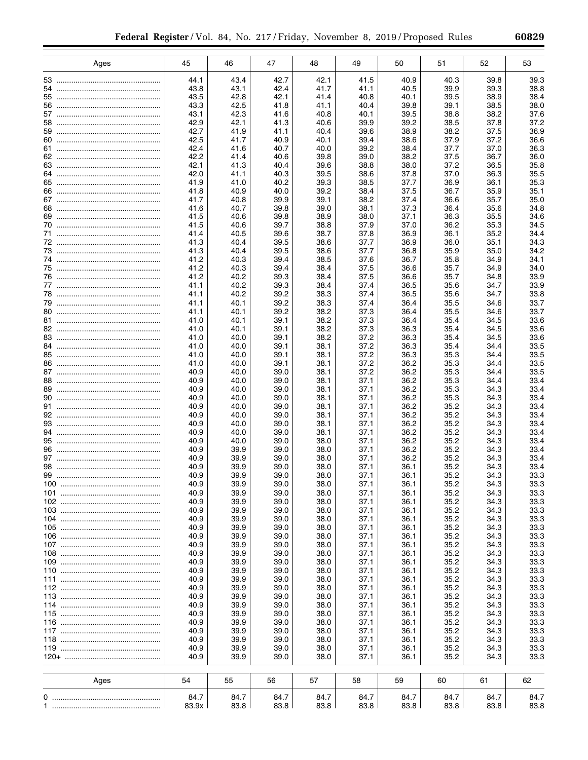|     | Ages                 | 45            | 46           | 47           | 48           | 49           | 50           | 51           | 52           | 53           |
|-----|----------------------|---------------|--------------|--------------|--------------|--------------|--------------|--------------|--------------|--------------|
|     |                      | 44.1          | 43.4         | 42.7         | 42.1         | 41.5         | 40.9         | 40.3         | 39.8         | 39.3         |
|     |                      | 43.8          | 43.1         | 42.4         | 41.7         | 41.1         | 40.5         | 39.9         | 39.3         | 38.8         |
|     |                      | 43.5          | 42.8         | 42.1         | 41.4         | 40.8         | 40.1         | 39.5         | 38.9         | 38.4         |
|     |                      | 43.3          | 42.5         | 41.8         | 41.1         | 40.4         | 39.8         | 39.1         | 38.5         | 38.0         |
|     |                      | 43.1          | 42.3         | 41.6         | 40.8         | 40.1         | 39.5         | 38.8         | 38.2         | 37.6         |
|     |                      | 42.9          | 42.1         | 41.3         | 40.6         | 39.9         | 39.2         | 38.5         | 37.8         | 37.2         |
|     |                      | 42.7          | 41.9         | 41.1         | 40.4         | 39.6         | 38.9         | 38.2         | 37.5         | 36.9         |
|     |                      | 42.5          | 41.7         | 40.9         | 40.1         | 39.4         | 38.6         | 37.9         | 37.2         | 36.6         |
|     |                      | 42.4          | 41.6         | 40.7         | 40.0         | 39.2         | 38.4         | 37.7         | 37.0         | 36.3         |
|     |                      | 42.2          | 41.4         | 40.6         | 39.8         | 39.0         | 38.2         | 37.5         | 36.7         | 36.0<br>35.8 |
|     |                      | 42.1<br>42.0  | 41.3<br>41.1 | 40.4<br>40.3 | 39.6<br>39.5 | 38.8<br>38.6 | 38.0<br>37.8 | 37.2<br>37.0 | 36.5<br>36.3 | 35.5         |
|     |                      | 41.9          | 41.0         | 40.2         | 39.3         | 38.5         | 37.7         | 36.9         | 36.1         | 35.3         |
|     |                      | 41.8          | 40.9         | 40.0         | 39.2         | 38.4         | 37.5         | 36.7         | 35.9         | 35.1         |
|     |                      | 41.7          | 40.8         | 39.9         | 39.1         | 38.2         | 37.4         | 36.6         | 35.7         | 35.0         |
|     |                      | 41.6          | 40.7         | 39.8         | 39.0         | 38.1         | 37.3         | 36.4         | 35.6         | 34.8         |
|     |                      | 41.5          | 40.6         | 39.8         | 38.9         | 38.0         | 37.1         | 36.3         | 35.5         | 34.6         |
|     |                      | 41.5          | 40.6         | 39.7         | 38.8         | 37.9         | 37.0         | 36.2         | 35.3         | 34.5         |
|     |                      | 41.4          | 40.5         | 39.6         | 38.7         | 37.8         | 36.9         | 36.1         | 35.2         | 34.4         |
|     |                      | 41.3          | 40.4         | 39.5         | 38.6         | 37.7         | 36.9         | 36.0         | 35.1         | 34.3         |
|     |                      | 41.3          | 40.4         | 39.5         | 38.6         | 37.7         | 36.8         | 35.9         | 35.0         | 34.2         |
|     |                      | 41.2          | 40.3         | 39.4         | 38.5         | 37.6         | 36.7         | 35.8         | 34.9         | 34.1         |
|     |                      | 41.2          | 40.3         | 39.4         | 38.4         | 37.5         | 36.6         | 35.7         | 34.9         | 34.0         |
|     |                      | 41.2          | 40.2         | 39.3         | 38.4         | 37.5         | 36.6         | 35.7         | 34.8         | 33.9         |
|     |                      | 41.1          | 40.2         | 39.3         | 38.4         | 37.4         | 36.5         | 35.6         | 34.7         | 33.9         |
|     |                      | 41.1          | 40.2         | 39.2         | 38.3         | 37.4         | 36.5         | 35.6         | 34.7         | 33.8         |
|     |                      | 41.1          | 40.1         | 39.2         | 38.3         | 37.4         | 36.4         | 35.5         | 34.6         | 33.7         |
|     |                      | 41.1<br>41.0  | 40.1<br>40.1 | 39.2<br>39.1 | 38.2<br>38.2 | 37.3<br>37.3 | 36.4<br>36.4 | 35.5<br>35.4 | 34.6<br>34.5 | 33.7<br>33.6 |
|     |                      | 41.0          | 40.1         | 39.1         | 38.2         | 37.3         | 36.3         | 35.4         | 34.5         | 33.6         |
|     |                      | 41.0          | 40.0         | 39.1         | 38.2         | 37.2         | 36.3         | 35.4         | 34.5         | 33.6         |
|     |                      | 41.0          | 40.0         | 39.1         | 38.1         | 37.2         | 36.3         | 35.4         | 34.4         | 33.5         |
|     |                      | 41.0          | 40.0         | 39.1         | 38.1         | 37.2         | 36.3         | 35.3         | 34.4         | 33.5         |
|     |                      | 41.0          | 40.0         | 39.1         | 38.1         | 37.2         | 36.2         | 35.3         | 34.4         | 33.5         |
|     |                      | 40.9          | 40.0         | 39.0         | 38.1         | 37.2         | 36.2         | 35.3         | 34.4         | 33.5         |
|     |                      | 40.9          | 40.0         | 39.0         | 38.1         | 37.1         | 36.2         | 35.3         | 34.4         | 33.4         |
|     |                      | 40.9          | 40.0         | 39.0         | 38.1         | 37.1         | 36.2         | 35.3         | 34.3         | 33.4         |
|     |                      | 40.9          | 40.0         | 39.0         | 38.1         | 37.1         | 36.2         | 35.3         | 34.3         | 33.4         |
|     |                      | 40.9          | 40.0         | 39.0         | 38.1         | 37.1         | 36.2         | 35.2         | 34.3         | 33.4         |
|     |                      | 40.9          | 40.0         | 39.0         | 38.1         | 37.1         | 36.2         | 35.2         | 34.3         | 33.4         |
|     |                      | 40.9          | 40.0         | 39.0         | 38.1         | 37.1         | 36.2         | 35.2         | 34.3         | 33.4         |
|     |                      | 40.9          | 40.0         | 39.0         | 38.1         | 37.1         | 36.2         | 35.2         | 34.3         | 33.4         |
|     |                      | 40.9          | 40.0         | 39.0         | 38.0         | 37.1         | 36.2         | 35.2         | 34.3         | 33.4         |
|     |                      | 40.9          | 39.9         | 39.0         | 38.0         | 37.1         | 36.2         | 35.2         | 34.3         | 33.4         |
|     |                      | 40.9<br>40.9  | 39.9<br>39.9 | 39.0<br>39.0 | 38.0<br>38.0 | 37.1<br>37.1 | 36.2<br>36.1 | 35.2<br>35.2 | 34.3<br>34.3 | 33.4<br>33.4 |
|     |                      | 40.9          | 39.9         | 39.0         | 38.0         | 37.1         | 36.1         | 35.2         | 34.3         | 33.3         |
|     | 99                   | 40.9          | 39.9         | 39.0         | 38.0         | 37.1         | 36.1         | 35.2         | 34.3         | 33.3         |
|     |                      | 40.9          | 39.9         | 39.0         | 38.0         | 37.1         | 36.1         | 35.2         | 34.3         | 33.3         |
|     |                      | 40.9          | 39.9         | 39.0         | 38.0         | 37.1         | 36.1         | 35.2         | 34.3         | 33.3         |
|     |                      | 40.9          | 39.9         | 39.0         | 38.0         | 37.1         | 36.1         | 35.2         | 34.3         | 33.3         |
|     |                      | 40.9          | 39.9         | 39.0         | 38.0         | 37.1         | 36.1         | 35.2         | 34.3         | 33.3         |
|     |                      | 40.9          | 39.9         | 39.0         | 38.0         | 37.1         | 36.1         | 35.2         | 34.3         | 33.3         |
|     |                      | 40.9          | 39.9         | 39.0         | 38.0         | 37.1         | 36.1         | 35.2         | 34.3         | 33.3         |
|     |                      | 40.9          | 39.9         | 39.0         | 38.0         | 37.1         | 36.1         | 35.2         | 34.3         | 33.3         |
|     |                      | 40.9          | 39.9         | 39.0         | 38.0         | 37.1         | 36.1         | 35.2         | 34.3         | 33.3         |
| 109 |                      | 40.9          | 39.9         | 39.0         | 38.0         | 37.1         | 36.1         | 35.2         | 34.3         | 33.3         |
| 110 |                      | 40.9          | 39.9         | 39.0         | 38.0         | 37.1         | 36.1         | 35.2         | 34.3         | 33.3         |
|     |                      | 40.9          | 39.9         | 39.0         | 38.0         | 37.1         | 36.1         | 35.2         | 34.3         | 33.3         |
|     |                      | 40.9          | 39.9         | 39.0         | 38.0         | 37.1         | 36.1         | 35.2         | 34.3         | 33.3         |
|     |                      | 40.9<br>40.9  | 39.9<br>39.9 | 39.0         | 38.0         | 37.1         | 36.1         | 35.2         | 34.3         | 33.3         |
|     |                      | 40.9          | 39.9         | 39.0<br>39.0 | 38.0<br>38.0 | 37.1<br>37.1 | 36.1<br>36.1 | 35.2<br>35.2 | 34.3<br>34.3 | 33.3<br>33.3 |
| 116 |                      | 40.9          | 39.9         | 39.0         | 38.0         | 37.1         | 36.1         | 35.2         | 34.3         | 33.3         |
|     |                      | 40.9          | 39.9         | 39.0         | 38.0         | 37.1         | 36.1         | 35.2         | 34.3         | 33.3         |
|     |                      | 40.9          | 39.9         | 39.0         | 38.0         | 37.1         | 36.1         | 35.2         | 34.3         | 33.3         |
|     |                      | 40.9          | 39.9         | 39.0         | 38.0         | 37.1         | 36.1         | 35.2         | 34.3         | 33.3         |
|     | 120+ ……………………………………… | 40.9          | 39.9         | 39.0         | 38.0         | 37.1         | 36.1         | 35.2         | 34.3         | 33.3         |
|     |                      |               |              |              |              |              |              |              |              |              |
|     | Ages                 | 54            | 55           | 56           | 57           | 58           | 59           | 60           | 61           | 62           |
|     |                      |               |              |              |              |              |              |              |              |              |
|     |                      | 84.7<br>83.9x | 84.7<br>83.8 | 84.7<br>83.8 | 84.7<br>83.8 | 84.7<br>83.8 | 84.7<br>83.8 | 84.7<br>83.8 | 84.7<br>83.8 | 84.7<br>83.8 |
|     |                      |               |              |              |              |              |              |              |              |              |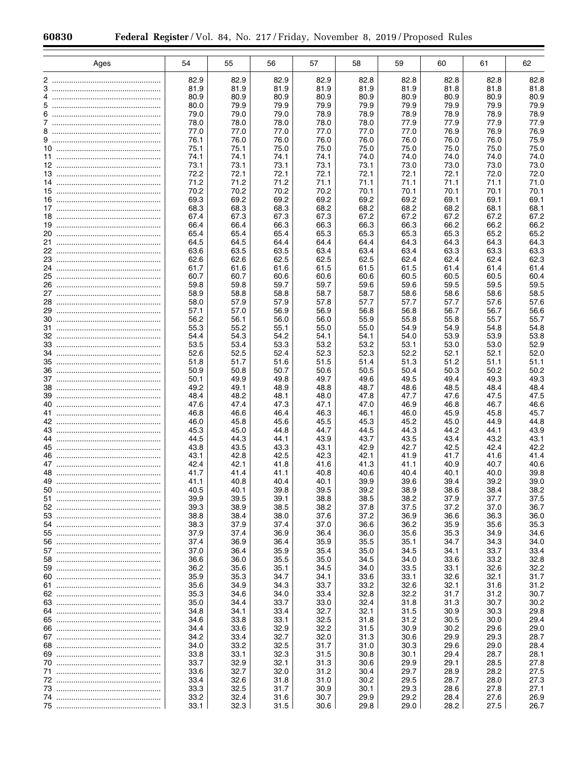| Ages | 54           | 55           | 56           | 57           | 58           | 59           | 60           | 61           | 62           |
|------|--------------|--------------|--------------|--------------|--------------|--------------|--------------|--------------|--------------|
|      | 82.9         | 82.9         | 82.9         | 82.9         | 82.8         | 82.8         | 82.8         | 82.8         | 82.8         |
| 3    | 81.9         | 81.9         | 81.9         | 81.9         | 81.9         | 81.9         | 81.8         | 81.8         | 81.8         |
|      | 80.9         | 80.9         | 80.9         | 80.9         | 80.9         | 80.9         | 80.9         | 80.9         | 80.9         |
|      | 80.0         | 79.9         | 79.9         | 79.9         | 79.9         | 79.9         | 79.9         | 79.9         | 79.9         |
|      | 79.0         | 79.0         | 79.0         | 78.9         | 78.9         | 78.9         | 78.9         | 78.9         | 78.9         |
|      | 78.0<br>77.0 | 78.0         | 78.0         | 78.0         | 78.0         | 77.9         | 77.9         | 77.9         | 77.9         |
|      | 76.1         | 77.0<br>76.0 | 77.0<br>76.0 | 77.0<br>76.0 | 77.0<br>76.0 | 77.0<br>76.0 | 76.9<br>76.0 | 76.9<br>76.0 | 76.9<br>75.9 |
|      | 75.1         | 75.1         | 75.0         | 75.0         | 75.0         | 75.0         | 75.0         | 75.0         | 75.0         |
|      | 74.1         | 74.1         | 74.1         | 74.1         | 74.0         | 74.0         | 74.0         | 74.0         | 74.0         |
|      | 73.1         | 73.1         | 73.1         | 73.1         | 73.1         | 73.0         | 73.0         | 73.0         | 73.0         |
|      | 72.2         | 72.1         | 72.1         | 72.1         | 72.1         | 72.1         | 72.1         | 72.0         | 72.0         |
|      | 71.2         | 71.2         | 71.2         | 71.1         | 71.1         | 71.1         | 71.1         | 71.1         | 71.0         |
|      | 70.2<br>69.3 | 70.2<br>69.2 | 70.2<br>69.2 | 70.2<br>69.2 | 70.1<br>69.2 | 70.1<br>69.2 | 70.1<br>69.1 | 70.1<br>69.1 | 70.1<br>69.1 |
|      | 68.3         | 68.3         | 68.3         | 68.2         | 68.2         | 68.2         | 68.2         | 68.1         | 68.1         |
|      | 67.4         | 67.3         | 67.3         | 67.3         | 67.2         | 67.2         | 67.2         | 67.2         | 67.2         |
|      | 66.4         | 66.4         | 66.3         | 66.3         | 66.3         | 66.3         | 66.2         | 66.2         | 66.2         |
|      | 65.4         | 65.4         | 65.4         | 65.3         | 65.3         | 65.3         | 65.3         | 65.2         | 65.2         |
|      | 64.5         | 64.5         | 64.4         | 64.4         | 64.4         | 64.3         | 64.3         | 64.3         | 64.3         |
|      | 63.6         | 63.5         | 63.5         | 63.4         | 63.4         | 63.4         | 63.3         | 63.3         | 63.3         |
|      | 62.6<br>61.7 | 62.6         | 62.5<br>61.6 | 62.5<br>61.5 | 62.5<br>61.5 | 62.4<br>61.5 | 62.4<br>61.4 | 62.4         | 62.3<br>61.4 |
|      | 60.7         | 61.6<br>60.7 | 60.6         | 60.6         | 60.6         | 60.5         | 60.5         | 61.4<br>60.5 | 60.4         |
|      | 59.8         | 59.8         | 59.7         | 59.7         | 59.6         | 59.6         | 59.5         | 59.5         | 59.5         |
|      | 58.9         | 58.8         | 58.8         | 58.7         | 58.7         | 58.6         | 58.6         | 58.6         | 58.5         |
|      | 58.0         | 57.9         | 57.9         | 57.8         | 57.7         | 57.7         | 57.7         | 57.6         | 57.6         |
|      | 57.1         | 57.0         | 56.9         | 56.9         | 56.8         | 56.8         | 56.7         | 56.7         | 56.6         |
|      | 56.2         | 56.1         | 56.0         | 56.0         | 55.9         | 55.8         | 55.8         | 55.7         | 55.7         |
|      | 55.3         | 55.2         | 55.1         | 55.0         | 55.0         | 54.9         | 54.9         | 54.8         | 54.8         |
|      | 54.4<br>53.5 | 54.3<br>53.4 | 54.2<br>53.3 | 54.1<br>53.2 | 54.1<br>53.2 | 54.0<br>53.1 | 53.9<br>53.0 | 53.9<br>53.0 | 53.8<br>52.9 |
|      | 52.6         | 52.5         | 52.4         | 52.3         | 52.3         | 52.2         | 52.1         | 52.1         | 52.0         |
|      | 51.8         | 51.7         | 51.6         | 51.5         | 51.4         | 51.3         | 51.2         | 51.1         | 51.1         |
|      | 50.9         | 50.8         | 50.7         | 50.6         | 50.5         | 50.4         | 50.3         | 50.2         | 50.2         |
|      | 50.1         | 49.9         | 49.8         | 49.7         | 49.6         | 49.5         | 49.4         | 49.3         | 49.3         |
|      | 49.2         | 49.1         | 48.9         | 48.8         | 48.7         | 48.6         | 48.5         | 48.4         | 48.4         |
|      | 48.4         | 48.2         | 48.1         | 48.0         | 47.8         | 47.7         | 47.6         | 47.5         | 47.5         |
| 40   | 47.6<br>46.8 | 47.4<br>46.6 | 47.3<br>46.4 | 47.1<br>46.3 | 47.0<br>46.1 | 46.9<br>46.0 | 46.8<br>45.9 | 46.7<br>45.8 | 46.6<br>45.7 |
|      | 46.0         | 45.8         | 45.6         | 45.5         | 45.3         | 45.2         | 45.0         | 44.9         | 44.8         |
|      | 45.3         | 45.0         | 44.8         | 44.7         | 44.5         | 44.3         | 44.2         | 44.1         | 43.9         |
|      | 44.5         | 44.3         | 44.1         | 43.9         | 43.7         | 43.5         | 43.4         | 43.2         | 43.1         |
|      | 43.8         | 43.5         | 43.3         | 43.1         | 42.9         | 42.7         | 42.5         | 42.4         | 42.2         |
|      | 43.1         | 42.8         | 42.5         | 42.3         | 42.1         | 41.9         | 41.7         | 41.6         | 41.4         |
|      | 42.4         | 42.1         | 41.8         | 41.6         | 41.3         | 41.1         | 40.9         | 40.7         | 40.6         |
|      | 41.7<br>41.1 | 41.4<br>40.8 | 41.1<br>40.4 | 40.8<br>40.1 | 40.6<br>39.9 | 40.4<br>39.6 | 40.1<br>39.4 | 40.0<br>39.2 | 39.8<br>39.0 |
| 50   | 40.5         | 40.1         | 39.8         | 39.5         | 39.2         | 38.9         | 38.6         | 38.4         | 38.2         |
|      | 39.9         | 39.5         | 39.1         | 38.8         | 38.5         | 38.2         | 37.9         | 37.7         | 37.5         |
|      | 39.3         | 38.9         | 38.5         | 38.2         | 37.8         | 37.5         | 37.2         | 37.0         | 36.7         |
|      | 38.8         | 38.4         | 38.0         | 37.6         | 37.2         | 36.9         | 36.6         | 36.3         | 36.0         |
|      | 38.3         | 37.9         | 37.4         | 37.0         | 36.6         | 36.2         | 35.9         | 35.6         | 35.3         |
|      | 37.9         | 37.4         | 36.9         | 36.4         | 36.0         | 35.6         | 35.3         | 34.9         | 34.6         |
|      | 37.4<br>37.0 | 36.9         | 36.4         | 35.9<br>35.4 | 35.5         | 35.1         | 34.7         | 34.3<br>33.7 | 34.0         |
|      | 36.6         | 36.4<br>36.0 | 35.9<br>35.5 | 35.0         | 35.0<br>34.5 | 34.5<br>34.0 | 34.1<br>33.6 | 33.2         | 33.4<br>32.8 |
|      | 36.2         | 35.6         | 35.1         | 34.5         | 34.0         | 33.5         | 33.1         | 32.6         | 32.2         |
|      | 35.9         | 35.3         | 34.7         | 34.1         | 33.6         | 33.1         | 32.6         | 32.1         | 31.7         |
|      | 35.6         | 34.9         | 34.3         | 33.7         | 33.2         | 32.6         | 32.1         | 31.6         | 31.2         |
|      | 35.3         | 34.6         | 34.0         | 33.4         | 32.8         | 32.2         | 31.7         | 31.2         | 30.7         |
|      | 35.0         | 34.4         | 33.7         | 33.0         | 32.4         | 31.8         | 31.3         | 30.7         | 30.2         |
|      | 34.8         | 34.1         | 33.4         | 32.7         | 32.1         | 31.5         | 30.9         | 30.3         | 29.8         |
|      | 34.6         | 33.8         | 33.1         | 32.5         | 31.8         | 31.2         | 30.5         | 30.0         | 29.4         |
|      | 34.4<br>34.2 | 33.6<br>33.4 | 32.9<br>32.7 | 32.2<br>32.0 | 31.5<br>31.3 | 30.9<br>30.6 | 30.2<br>29.9 | 29.6<br>29.3 | 29.0<br>28.7 |
|      | 34.0         | 33.2         | 32.5         | 31.7         | 31.0         | 30.3         | 29.6         | 29.0         | 28.4         |
|      | 33.8         | 33.1         | 32.3         | 31.5         | 30.8         | 30.1         | 29.4         | 28.7         | 28.1         |
|      | 33.7         | 32.9         | 32.1         | 31.3         | 30.6         | 29.9         | 29.1         | 28.5         | 27.8         |
|      | 33.6         | 32.7         | 32.0         | 31.2         | 30.4         | 29.7         | 28.9         | 28.2         | 27.5         |
|      | 33.4         | 32.6         | 31.8         | 31.0         | 30.2         | 29.5         | 28.7         | 28.0         | 27.3         |
|      | 33.3         | 32.5         | 31.7         | 30.9         | 30.1         | 29.3         | 28.6         | 27.8         | 27.1         |
|      | 33.2         | 32.4         | 31.6         | 30.7         | 29.9         | 29.2         | 28.4         | 27.6         | 26.9         |
|      | 33.1         | 32.3         | 31.5         | 30.6         | 29.8         | 29.0         | 28.2         | 27.5         | 26.7         |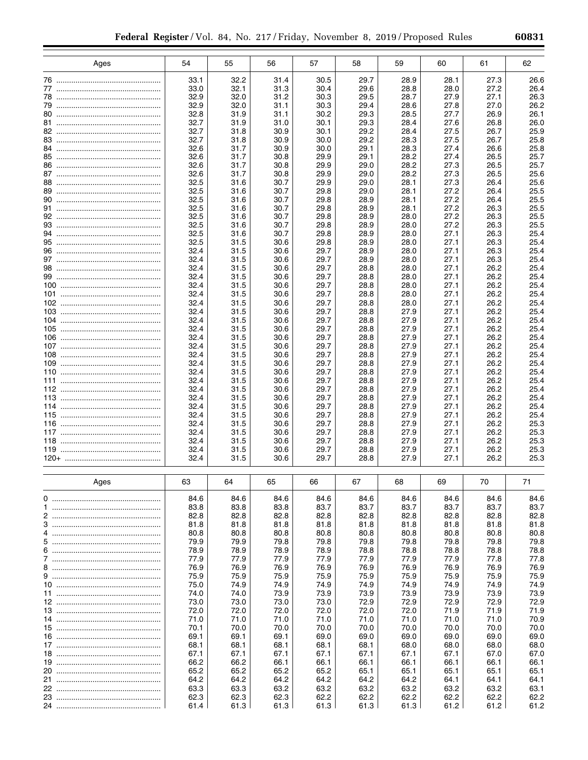| 60831 |  |  |
|-------|--|--|
|       |  |  |

|            | Ages | 54           | 55           | 56           | 57           | 58           | 59           | 60           | 61           | 62           |
|------------|------|--------------|--------------|--------------|--------------|--------------|--------------|--------------|--------------|--------------|
|            |      | 33.1         | 32.2         | 31.4         | 30.5         | 29.7         | 28.9         | 28.1         | 27.3         | 26.6         |
|            |      | 33.0         | 32.1         | 31.3         | 30.4         | 29.6         | 28.8         | 28.0         | 27.2         | 26.4         |
|            |      | 32.9         | 32.0         | 31.2         | 30.3         | 29.5         | 28.7         | 27.9         | 27.1         | 26.3         |
|            |      | 32.9         | 32.0         | 31.1         | 30.3         | 29.4         | 28.6         | 27.8         | 27.0         | 26.2         |
|            |      | 32.8         | 31.9         | 31.1         | 30.2         | 29.3         | 28.5         | 27.7         | 26.9         | 26.1         |
|            |      | 32.7<br>32.7 | 31.9<br>31.8 | 31.0<br>30.9 | 30.1<br>30.1 | 29.3<br>29.2 | 28.4<br>28.4 | 27.6<br>27.5 | 26.8<br>26.7 | 26.0<br>25.9 |
|            |      | 32.7         | 31.8         | 30.9         | 30.0         | 29.2         | 28.3         | 27.5         | 26.7         | 25.8         |
|            |      | 32.6         | 31.7         | 30.9         | 30.0         | 29.1         | 28.3         | 27.4         | 26.6         | 25.8         |
|            |      | 32.6         | 31.7         | 30.8         | 29.9         | 29.1         | 28.2         | 27.4         | 26.5         | 25.7         |
|            |      | 32.6         | 31.7         | 30.8         | 29.9         | 29.0         | 28.2         | 27.3         | 26.5         | 25.7         |
|            |      | 32.6         | 31.7         | 30.8         | 29.9         | 29.0         | 28.2         | 27.3         | 26.5         | 25.6         |
|            |      | 32.5<br>32.5 | 31.6<br>31.6 | 30.7<br>30.7 | 29.9<br>29.8 | 29.0<br>29.0 | 28.1<br>28.1 | 27.3<br>27.2 | 26.4<br>26.4 | 25.6<br>25.5 |
|            |      | 32.5         | 31.6         | 30.7         | 29.8         | 28.9         | 28.1         | 27.2         | 26.4         | 25.5         |
|            |      | 32.5         | 31.6         | 30.7         | 29.8         | 28.9         | 28.1         | 27.2         | 26.3         | 25.5         |
|            |      | 32.5         | 31.6         | 30.7         | 29.8         | 28.9         | 28.0         | 27.2         | 26.3         | 25.5         |
|            |      | 32.5         | 31.6         | 30.7         | 29.8         | 28.9         | 28.0         | 27.2         | 26.3         | 25.5         |
|            |      | 32.5         | 31.6         | 30.7         | 29.8         | 28.9         | 28.0         | 27.1         | 26.3         | 25.4         |
|            |      | 32.5         | 31.5         | 30.6         | 29.8         | 28.9         | 28.0         | 27.1         | 26.3         | 25.4         |
|            |      | 32.4<br>32.4 | 31.5<br>31.5 | 30.6<br>30.6 | 29.7<br>29.7 | 28.9<br>28.9 | 28.0<br>28.0 | 27.1<br>27.1 | 26.3<br>26.3 | 25.4<br>25.4 |
|            |      | 32.4         | 31.5         | 30.6         | 29.7         | 28.8         | 28.0         | 27.1         | 26.2         | 25.4         |
|            |      | 32.4         | 31.5         | 30.6         | 29.7         | 28.8         | 28.0         | 27.1         | 26.2         | 25.4         |
|            |      | 32.4         | 31.5         | 30.6         | 29.7         | 28.8         | 28.0         | 27.1         | 26.2         | 25.4         |
|            |      | 32.4         | 31.5         | 30.6         | 29.7         | 28.8         | 28.0         | 27.1         | 26.2         | 25.4         |
|            |      | 32.4         | 31.5         | 30.6         | 29.7         | 28.8         | 28.0         | 27.1         | 26.2         | 25.4         |
| 103<br>104 |      | 32.4<br>32.4 | 31.5         | 30.6<br>30.6 | 29.7<br>29.7 | 28.8<br>28.8 | 27.9<br>27.9 | 27.1<br>27.1 | 26.2<br>26.2 | 25.4<br>25.4 |
| 105        |      | 32.4         | 31.5<br>31.5 | 30.6         | 29.7         | 28.8         | 27.9         | 27.1         | 26.2         | 25.4         |
| 106        |      | 32.4         | 31.5         | 30.6         | 29.7         | 28.8         | 27.9         | 27.1         | 26.2         | 25.4         |
|            |      | 32.4         | 31.5         | 30.6         | 29.7         | 28.8         | 27.9         | 27.1         | 26.2         | 25.4         |
| 108        |      | 32.4         | 31.5         | 30.6         | 29.7         | 28.8         | 27.9         | 27.1         | 26.2         | 25.4         |
| 109        |      | 32.4         | 31.5         | 30.6         | 29.7         | 28.8         | 27.9         | 27.1         | 26.2         | 25.4         |
| 110        |      | 32.4         | 31.5         | 30.6         | 29.7         | 28.8         | 27.9         | 27.1         | 26.2         | 25.4         |
|            |      | 32.4<br>32.4 | 31.5<br>31.5 | 30.6<br>30.6 | 29.7<br>29.7 | 28.8<br>28.8 | 27.9<br>27.9 | 27.1<br>27.1 | 26.2<br>26.2 | 25.4<br>25.4 |
| 113        |      | 32.4         | 31.5         | 30.6         | 29.7         | 28.8         | 27.9         | 27.1         | 26.2         | 25.4         |
| 114        |      | 32.4         | 31.5         | 30.6         | 29.7         | 28.8         | 27.9         | 27.1         | 26.2         | 25.4         |
| 115        |      | 32.4         | 31.5         | 30.6         | 29.7         | 28.8         | 27.9         | 27.1         | 26.2         | 25.4         |
| 116        |      | 32.4         | 31.5         | 30.6         | 29.7         | 28.8         | 27.9         | 27.1         | 26.2         | 25.3         |
|            |      | 32.4         | 31.5         | 30.6         | 29.7         | 28.8         | 27.9         | 27.1         | 26.2         | 25.3         |
| 118        |      | 32.4<br>32.4 | 31.5<br>31.5 | 30.6<br>30.6 | 29.7<br>29.7 | 28.8<br>28.8 | 27.9<br>27.9 | 27.1<br>27.1 | 26.2<br>26.2 | 25.3<br>25.3 |
|            |      | 32.4         | 31.5         | 30.6         | 29.7         | 28.8         | 27.9         | 27.1         | 26.2         | 25.3         |
|            |      |              |              |              |              |              |              |              |              |              |
|            | Ages | 63           | 64           | 65           | 66           | 67           | 68           | 69           | 70           | 71           |
|            |      | 84.6         | 84.6         | 84.6         | 84.6         | 84.6         | 84.6         | 84.6         | 84.6         | 84.6         |
|            |      | 83.8<br>82.8 | 83.8<br>82.8 | 83.8<br>82.8 | 83.7<br>82.8 | 83.7<br>82.8 | 83.7<br>82.8 | 83.7<br>82.8 | 83.7<br>82.8 | 83.7<br>82.8 |
|            |      | 81.8         | 81.8         | 81.8         | 81.8         | 81.8         | 81.8         | 81.8         | 81.8         | 81.8         |
| 4          |      | 80.8         | 80.8         | 80.8         | 80.8         | 80.8         | 80.8         | 80.8         | 80.8         | 80.8         |
|            |      | 79.9         | 79.9         | 79.8         | 79.8         | 79.8         | 79.8         | 79.8         | 79.8         | 79.8         |
|            |      | 78.9         | 78.9         | 78.9         | 78.9         | 78.8         | 78.8         | 78.8         | 78.8         | 78.8         |
|            |      | 77.9         | 77.9         | 77.9         | 77.9         | 77.9         | 77.9         | 77.9         | 77.8         | 77.8         |
|            |      | 76.9         | 76.9         | 76.9         | 76.9         | 76.9         | 76.9         | 76.9         | 76.9         | 76.9         |
|            |      | 75.9<br>75.0 | 75.9<br>74.9 | 75.9<br>74.9 | 75.9<br>74.9 | 75.9<br>74.9 | 75.9<br>74.9 | 75.9<br>74.9 | 75.9<br>74.9 | 75.9<br>74.9 |
|            |      | 74.0         | 74.0         | 73.9         | 73.9         | 73.9         | 73.9         | 73.9         | 73.9         | 73.9         |
|            |      | 73.0         | 73.0         | 73.0         | 73.0         | 72.9         | 72.9         | 72.9         | 72.9         | 72.9         |
|            |      | 72.0         | 72.0         | 72.0         | 72.0         | 72.0         | 72.0         | 71.9         | 71.9         | 71.9         |
|            |      | 71.0         | 71.0         | 71.0         | 71.0         | 71.0         | 71.0         | 71.0         | 71.0         | 70.9         |
|            |      | 70.1         | 70.0         | 70.0         | 70.0         | 70.0         | 70.0         | 70.0         | 70.0         | 70.0         |
|            |      | 69.1         | 69.1         | 69.1         | 69.0         | 69.0         | 69.0         | 69.0         | 69.0         | 69.0         |
|            |      | 68.1<br>67.1 | 68.1<br>67.1 | 68.1<br>67.1 | 68.1<br>67.1 | 68.1<br>67.1 | 68.0<br>67.1 | 68.0<br>67.1 | 68.0<br>67.0 | 68.0<br>67.0 |
|            |      | 66.2         | 66.2         | 66.1         | 66.1         | 66.1         | 66.1         | 66.1         | 66.1         | 66.1         |
|            |      | 65.2         | 65.2         | 65.2         | 65.2         | 65.1         | 65.1         | 65.1         | 65.1         | 65.1         |
|            |      | 64.2         | 64.2         | 64.2         | 64.2         | 64.2         | 64.2         | 64.1         | 64.1         | 64.1         |
|            |      | 63.3         | 63.3         | 63.2         | 63.2         | 63.2         | 63.2         | 63.2         | 63.2         | 63.1         |
|            |      | 62.3         | 62.3         | 62.3         | 62.2         | 62.2         | 62.2         | 62.2         | 62.2         | 62.2         |
|            |      | 61.4         | 61.3         | 61.3         | 61.3         | 61.3         | 61.3         | 61.2         | 61.2         | 61.2         |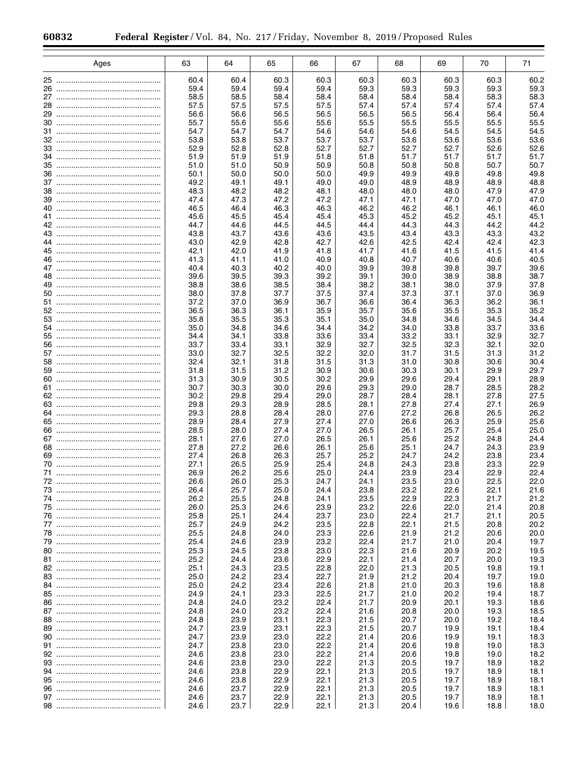|    | Ages | 63           | 64           | 65           | 66           | 67           | 68           | 69           | 70           | 71           |
|----|------|--------------|--------------|--------------|--------------|--------------|--------------|--------------|--------------|--------------|
|    |      |              |              |              |              |              |              |              |              |              |
|    |      | 60.4         | 60.4         | 60.3         | 60.3         | 60.3         | 60.3         | 60.3         | 60.3         | 60.2         |
| 26 |      | 59.4         | 59.4         | 59.4         | 59.4         | 59.3         | 59.3         | 59.3         | 59.3         | 59.3         |
| 28 |      | 58.5<br>57.5 | 58.5         | 58.4<br>57.5 | 58.4<br>57.5 | 58.4         | 58.4<br>57.4 | 58.4         | 58.3         | 58.3<br>57.4 |
|    |      | 56.6         | 57.5<br>56.6 | 56.5         | 56.5         | 57.4<br>56.5 | 56.5         | 57.4<br>56.4 | 57.4<br>56.4 | 56.4         |
| 30 |      | 55.7         | 55.6         | 55.6         | 55.6         | 55.5         | 55.5         | 55.5         | 55.5         | 55.5         |
|    |      | 54.7         | 54.7         | 54.7         | 54.6         | 54.6         | 54.6         | 54.5         | 54.5         | 54.5         |
|    |      | 53.8         | 53.8         | 53.7         | 53.7         | 53.7         | 53.6         | 53.6         | 53.6         | 53.6         |
|    |      | 52.9         | 52.8         | 52.8         | 52.7         | 52.7         | 52.7         | 52.7         | 52.6         | 52.6         |
|    |      | 51.9         | 51.9         | 51.9         | 51.8         | 51.8         | 51.7         | 51.7         | 51.7         | 51.7         |
|    |      | 51.0         | 51.0         | 50.9         | 50.9         | 50.8         | 50.8         | 50.8         | 50.7         | 50.7         |
|    |      | 50.1         | 50.0         | 50.0         | 50.0         | 49.9         | 49.9         | 49.8         | 49.8         | 49.8         |
|    |      | 49.2         | 49.1         | 49.1         | 49.0         | 49.0         | 48.9         | 48.9         | 48.9         | 48.8         |
|    |      | 48.3         | 48.2         | 48.2         | 48.1         | 48.0         | 48.0         | 48.0         | 47.9         | 47.9         |
|    |      | 47.4<br>46.5 | 47.3<br>46.4 | 47.2<br>46.3 | 47.2<br>46.3 | 47.1<br>46.2 | 47.1<br>46.2 | 47.0<br>46.1 | 47.0         | 47.0<br>46.0 |
|    |      | 45.6         | 45.5         | 45.4         | 45.4         | 45.3         | 45.2         | 45.2         | 46.1<br>45.1 | 45.1         |
|    |      | 44.7         | 44.6         | 44.5         | 44.5         | 44.4         | 44.3         | 44.3         | 44.2         | 44.2         |
|    |      | 43.8         | 43.7         | 43.6         | 43.6         | 43.5         | 43.4         | 43.3         | 43.3         | 43.2         |
|    |      | 43.0         | 42.9         | 42.8         | 42.7         | 42.6         | 42.5         | 42.4         | 42.4         | 42.3         |
|    |      | 42.1         | 42.0         | 41.9         | 41.8         | 41.7         | 41.6         | 41.5         | 41.5         | 41.4         |
|    |      | 41.3         | 41.1         | 41.0         | 40.9         | 40.8         | 40.7         | 40.6         | 40.6         | 40.5         |
|    |      | 40.4         | 40.3         | 40.2         | 40.0         | 39.9         | 39.8         | 39.8         | 39.7         | 39.6         |
|    |      | 39.6         | 39.5         | 39.3         | 39.2         | 39.1         | 39.0         | 38.9         | 38.8         | 38.7         |
|    |      | 38.8         | 38.6         | 38.5         | 38.4         | 38.2         | 38.1         | 38.0         | 37.9         | 37.8         |
|    |      | 38.0         | 37.8         | 37.7         | 37.5         | 37.4         | 37.3         | 37.1         | 37.0         | 36.9         |
|    |      | 37.2         | 37.0         | 36.9         | 36.7         | 36.6         | 36.4         | 36.3         | 36.2         | 36.1         |
|    |      | 36.5<br>35.8 | 36.3<br>35.5 | 36.1<br>35.3 | 35.9<br>35.1 | 35.7<br>35.0 | 35.6<br>34.8 | 35.5<br>34.6 | 35.3<br>34.5 | 35.2<br>34.4 |
|    |      | 35.0         | 34.8         | 34.6         | 34.4         | 34.2         | 34.0         | 33.8         | 33.7         | 33.6         |
|    |      | 34.4         | 34.1         | 33.8         | 33.6         | 33.4         | 33.2         | 33.1         | 32.9         | 32.7         |
|    |      | 33.7         | 33.4         | 33.1         | 32.9         | 32.7         | 32.5         | 32.3         | 32.1         | 32.0         |
|    |      | 33.0         | 32.7         | 32.5         | 32.2         | 32.0         | 31.7         | 31.5         | 31.3         | 31.2         |
|    |      | 32.4         | 32.1         | 31.8         | 31.5         | 31.3         | 31.0         | 30.8         | 30.6         | 30.4         |
|    |      | 31.8         | 31.5         | 31.2         | 30.9         | 30.6         | 30.3         | 30.1         | 29.9         | 29.7         |
|    |      | 31.3         | 30.9         | 30.5         | 30.2         | 29.9         | 29.6         | 29.4         | 29.1         | 28.9         |
|    |      | 30.7         | 30.3         | 30.0         | 29.6         | 29.3         | 29.0         | 28.7         | 28.5         | 28.2         |
|    |      | 30.2         | 29.8         | 29.4         | 29.0         | 28.7         | 28.4         | 28.1         | 27.8         | 27.5<br>26.9 |
|    |      | 29.8<br>29.3 | 29.3<br>28.8 | 28.9<br>28.4 | 28.5<br>28.0 | 28.1<br>27.6 | 27.8<br>27.2 | 27.4<br>26.8 | 27.1<br>26.5 | 26.2         |
|    |      | 28.9         | 28.4         | 27.9         | 27.4         | 27.0         | 26.6         | 26.3         | 25.9         | 25.6         |
|    |      | 28.5         | 28.0         | 27.4         | 27.0         | 26.5         | 26.1         | 25.7         | 25.4         | 25.0         |
|    |      | 28.1         | 27.6         | 27.0         | 26.5         | 26.1         | 25.6         | 25.2         | 24.8         | 24.4         |
|    |      | 27.8         | 27.2         | 26.6         | 26.1         | 25.6         | 25.1         | 24.7         | 24.3         | 23.9         |
|    |      | 27.4         | 26.8         | 26.3         | 25.7         | 25.2         | 24.7         | 24.2         | 23.8         | 23.4         |
|    |      | 27.1         | 26.5         | 25.9         | 25.4         | 24.8         | 24.3         | 23.8         | 23.3         | 22.9         |
| 71 |      | 26.9         | 26.2         | 25.6         | 25.0         | 24.4         | 23.9         | 23.4         | 22.9         | 22.4         |
|    |      | 26.6         | 26.0         | 25.3         | 24.7         | 24.1         | 23.5         | 23.0         | 22.5         | 22.0         |
|    |      | 26.4<br>26.2 | 25.7         | 25.0         | 24.4         | 23.8         | 23.2         | 22.6         | 22.1<br>21.7 | 21.6         |
|    |      | 26.0         | 25.5<br>25.3 | 24.8<br>24.6 | 24.1<br>23.9 | 23.5<br>23.2 | 22.9<br>22.6 | 22.3<br>22.0 | 21.4         | 21.2<br>20.8 |
|    |      | 25.8         | 25.1         | 24.4         | 23.7         | 23.0         | 22.4         | 21.7         | 21.1         | 20.5         |
|    |      | 25.7         | 24.9         | 24.2         | 23.5         | 22.8         | 22.1         | 21.5         | 20.8         | 20.2         |
|    |      | 25.5         | 24.8         | 24.0         | 23.3         | 22.6         | 21.9         | 21.2         | 20.6         | 20.0         |
|    |      | 25.4         | 24.6         | 23.9         | 23.2         | 22.4         | 21.7         | 21.0         | 20.4         | 19.7         |
|    |      | 25.3         | 24.5         | 23.8         | 23.0         | 22.3         | 21.6         | 20.9         | 20.2         | 19.5         |
|    |      | 25.2         | 24.4         | 23.6         | 22.9         | 22.1         | 21.4         | 20.7         | 20.0         | 19.3         |
|    |      | 25.1         | 24.3         | 23.5         | 22.8         | 22.0         | 21.3         | 20.5         | 19.8         | 19.1         |
|    |      | 25.0         | 24.2         | 23.4         | 22.7         | 21.9         | 21.2         | 20.4         | 19.7         | 19.0         |
|    |      | 25.0         | 24.2         | 23.4         | 22.6         | 21.8         | 21.0         | 20.3         | 19.6         | 18.8         |
|    |      | 24.9         | 24.1         | 23.3         | 22.5         | 21.7         | 21.0         | 20.2         | 19.4         | 18.7         |
|    |      | 24.8<br>24.8 | 24.0         | 23.2<br>23.2 | 22.4<br>22.4 | 21.7<br>21.6 | 20.9         | 20.1<br>20.0 | 19.3         | 18.6<br>18.5 |
|    |      | 24.8         | 24.0<br>23.9 | 23.1         | 22.3         | 21.5         | 20.8<br>20.7 | 20.0         | 19.3<br>19.2 | 18.4         |
|    |      | 24.7         | 23.9         | 23.1         | 22.3         | 21.5         | 20.7         | 19.9         | 19.1         | 18.4         |
|    |      | 24.7         | 23.9         | 23.0         | 22.2         | 21.4         | 20.6         | 19.9         | 19.1         | 18.3         |
|    |      | 24.7         | 23.8         | 23.0         | 22.2         | 21.4         | 20.6         | 19.8         | 19.0         | 18.3         |
|    |      | 24.6         | 23.8         | 23.0         | 22.2         | 21.4         | 20.6         | 19.8         | 19.0         | 18.2         |
|    |      | 24.6         | 23.8         | 23.0         | 22.2         | 21.3         | 20.5         | 19.7         | 18.9         | 18.2         |
|    |      | 24.6         | 23.8         | 22.9         | 22.1         | 21.3         | 20.5         | 19.7         | 18.9         | 18.1         |
|    |      | 24.6         | 23.8         | 22.9         | 22.1         | 21.3         | 20.5         | 19.7         | 18.9         | 18.1         |
|    |      | 24.6         | 23.7         | 22.9         | 22.1         | 21.3         | 20.5         | 19.7         | 18.9         | 18.1         |
|    |      | 24.6         | 23.7         | 22.9         | 22.1         | 21.3         | 20.5         | 19.7         | 18.9         | 18.1         |
|    |      | 24.6         | 23.7         | 22.9         | 22.1         | 21.3         | 20.4         | 19.6         | 18.8         | 18.0         |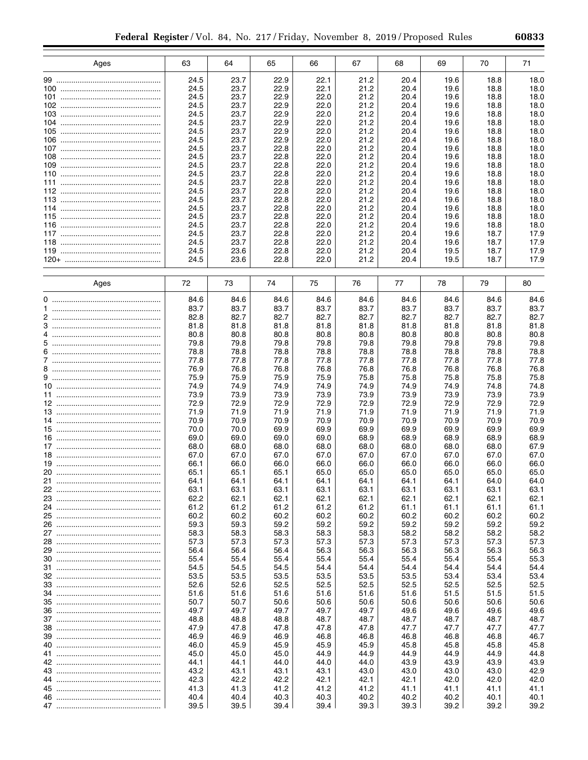| Ages       | 63           | 64           | 65           | 66           | 67           | 68           | 69           | 70           | 71           |
|------------|--------------|--------------|--------------|--------------|--------------|--------------|--------------|--------------|--------------|
|            | 24.5         | 23.7         | 22.9         | 22.1         | 21.2         | 20.4         | 19.6         | 18.8         | 18.0         |
|            | 24.5         | 23.7         | 22.9         | 22.1         | 21.2         | 20.4         | 19.6         | 18.8         | 18.0         |
|            | 24.5         | 23.7         | 22.9         | 22.0         | 21.2         | 20.4         | 19.6         | 18.8         | 18.0         |
|            | 24.5         | 23.7         | 22.9         | 22.0         | 21.2         | 20.4         | 19.6         | 18.8         | 18.0         |
| 103        | 24.5         | 23.7         | 22.9         | 22.0         | 21.2         | 20.4         | 19.6         | 18.8         | 18.0         |
| 104<br>105 | 24.5<br>24.5 | 23.7<br>23.7 | 22.9<br>22.9 | 22.0<br>22.0 | 21.2<br>21.2 | 20.4<br>20.4 | 19.6<br>19.6 | 18.8<br>18.8 | 18.0<br>18.0 |
| 106        | 24.5         | 23.7         | 22.9         | 22.0         | 21.2         | 20.4         | 19.6         | 18.8         | 18.0         |
|            | 24.5         | 23.7         | 22.8         | 22.0         | 21.2         | 20.4         | 19.6         | 18.8         | 18.0         |
| 108        | 24.5         | 23.7         | 22.8         | 22.0         | 21.2         | 20.4         | 19.6         | 18.8         | 18.0         |
| 109        | 24.5         | 23.7         | 22.8         | 22.0         | 21.2         | 20.4         | 19.6         | 18.8         | 18.0         |
| 110        | 24.5         | 23.7         | 22.8         | 22.0         | 21.2         | 20.4         | 19.6         | 18.8         | 18.0         |
|            | 24.5         | 23.7         | 22.8         | 22.0         | 21.2         | 20.4         | 19.6         | 18.8         | 18.0         |
| 112        | 24.5<br>24.5 | 23.7<br>23.7 | 22.8<br>22.8 | 22.0<br>22.0 | 21.2<br>21.2 | 20.4<br>20.4 | 19.6<br>19.6 | 18.8<br>18.8 | 18.0         |
| 114        | 24.5         | 23.7         | 22.8         | 22.0         | 21.2         | 20.4         | 19.6         | 18.8         | 18.0<br>18.0 |
|            | 24.5         | 23.7         | 22.8         | 22.0         | 21.2         | 20.4         | 19.6         | 18.8         | 18.0         |
| 116        | 24.5         | 23.7         | 22.8         | 22.0         | 21.2         | 20.4         | 19.6         | 18.8         | 18.0         |
|            | 24.5         | 23.7         | 22.8         | 22.0         | 21.2         | 20.4         | 19.6         | 18.7         | 17.9         |
| 118        | 24.5         | 23.7         | 22.8         | 22.0         | 21.2         | 20.4         | 19.6         | 18.7         | 17.9         |
|            | 24.5         | 23.6         | 22.8         | 22.0         | 21.2         | 20.4         | 19.5         | 18.7         | 17.9         |
|            | 24.5         | 23.6         | 22.8         | 22.0         | 21.2         | 20.4         | 19.5         | 18.7         | 17.9         |
| Ages       | 72           | 73           | 74           | 75           | 76           | 77           | 78           | 79           | 80           |
|            | 84.6         | 84.6         | 84.6         | 84.6         | 84.6         | 84.6         | 84.6         | 84.6         | 84.6         |
|            | 83.7         | 83.7         | 83.7         | 83.7         | 83.7         | 83.7         | 83.7         | 83.7         | 83.7         |
|            | 82.8         | 82.7         | 82.7         | 82.7         | 82.7         | 82.7         | 82.7         | 82.7         | 82.7         |
|            | 81.8         | 81.8         | 81.8         | 81.8         | 81.8         | 81.8         | 81.8         | 81.8         | 81.8         |
|            | 80.8         | 80.8         | 80.8         | 80.8         | 80.8         | 80.8         | 80.8         | 80.8         | 80.8         |
|            | 79.8<br>78.8 | 79.8<br>78.8 | 79.8<br>78.8 | 79.8<br>78.8 | 79.8<br>78.8 | 79.8<br>78.8 | 79.8<br>78.8 | 79.8<br>78.8 | 79.8<br>78.8 |
|            | 77.8         | 77.8         | 77.8         | 77.8         | 77.8         | 77.8         | 77.8         | 77.8         | 77.8         |
|            | 76.9         | 76.8         | 76.8         | 76.8         | 76.8         | 76.8         | 76.8         | 76.8         | 76.8         |
|            | 75.9         | 75.9         | 75.9         | 75.9         | 75.8         | 75.8         | 75.8         | 75.8         | 75.8         |
|            | 74.9         | 74.9         | 74.9         | 74.9         | 74.9         | 74.9         | 74.9         | 74.8         | 74.8         |
|            | 73.9         | 73.9         | 73.9         | 73.9         | 73.9         | 73.9         | 73.9         | 73.9         | 73.9         |
|            | 72.9         | 72.9         | 72.9         | 72.9         | 72.9         | 72.9         | 72.9         | 72.9         | 72.9         |
|            | 71.9         | 71.9         | 71.9         | 71.9         | 71.9         | 71.9         | 71.9         | 71.9         | 71.9         |
|            | 70.9<br>70.0 | 70.9<br>70.0 | 70.9<br>69.9 | 70.9<br>69.9 | 70.9<br>69.9 | 70.9<br>69.9 | 70.9<br>69.9 | 70.9<br>69.9 | 70.9<br>69.9 |
|            | 69.0         | 69.0         | 69.0         | 69.0         | 68.9         | 68.9         | 68.9         | 68.9         | 68.9         |
|            | 68.0         | 68.0         | 68.0         | 68.0         | 68.0         | 68.0         | 68.0         | 68.0         | 67.9         |
|            | 67.0         | 67.0         | 67.0         | 67.0         | 67.0         | 67.0         | 67.0         | 67.0         | 67.0         |
|            | 66.1         | 66.0         | 66.0         | 66.0         | 66.0         | 66.0         | 66.0         | 66.0         | 66.0         |
|            | 65.1         | 65.1         | 65.1         | 65.0         | 65.0         | 65.0         | 65.0         | 65.0         | 65.0         |
|            | 64.1         | 64.1         | 64.1         | 64.1         | 64.1         | 64.1         | 64.1         | 64.0         | 64.0         |
|            | 63.1         | 63.1         | 63.1         | 63.1         | 63.1         | 63.1         | 63.1         | 63.1         | 63.1         |
|            | 62.2<br>61.2 | 62.1<br>61.2 | 62.1<br>61.2 | 62.1<br>61.2 | 62.1<br>61.2 | 62.1<br>61.1 | 62.1<br>61.1 | 62.1<br>61.1 | 62.1<br>61.1 |
|            | 60.2         | 60.2         | 60.2         | 60.2         | 60.2         | 60.2         | 60.2         | 60.2         | 60.2         |
|            | 59.3         | 59.3         | 59.2         | 59.2         | 59.2         | 59.2         | 59.2         | 59.2         | 59.2         |
|            | 58.3         | 58.3         | 58.3         | 58.3         | 58.3         | 58.2         | 58.2         | 58.2         | 58.2         |
|            | 57.3         | 57.3         | 57.3         | 57.3         | 57.3         | 57.3         | 57.3         | 57.3         | 57.3         |
|            | 56.4         | 56.4         | 56.4         | 56.3         | 56.3         | 56.3         | 56.3         | 56.3         | 56.3         |
|            | 55.4         | 55.4         | 55.4         | 55.4         | 55.4         | 55.4         | 55.4         | 55.4         | 55.3         |
|            | 54.5         | 54.5         | 54.5         | 54.4         | 54.4         | 54.4         | 54.4         | 54.4         | 54.4<br>53.4 |
|            | 53.5<br>52.6 | 53.5<br>52.6 | 53.5<br>52.5 | 53.5<br>52.5 | 53.5<br>52.5 | 53.5<br>52.5 | 53.4<br>52.5 | 53.4<br>52.5 | 52.5         |
|            | 51.6         | 51.6         | 51.6         | 51.6         | 51.6         | 51.6         | 51.5         | 51.5         | 51.5         |
|            | 50.7         | 50.7         | 50.6         | 50.6         | 50.6         | 50.6         | 50.6         | 50.6         | 50.6         |
|            | 49.7         | 49.7         | 49.7         | 49.7         | 49.7         | 49.6         | 49.6         | 49.6         | 49.6         |
|            | 48.8         | 48.8         | 48.8         | 48.7         | 48.7         | 48.7         | 48.7         | 48.7         | 48.7         |
|            | 47.9         | 47.8         | 47.8         | 47.8         | 47.8         | 47.7         | 47.7         | 47.7         | 47.7         |
|            | 46.9         | 46.9         | 46.9         | 46.8         | 46.8         | 46.8         | 46.8         | 46.8         | 46.7         |
|            | 46.0         | 45.9         | 45.9         | 45.9         | 45.9         | 45.8         | 45.8         | 45.8         | 45.8         |
|            | 45.0<br>44.1 | 45.0<br>44.1 | 45.0<br>44.0 | 44.9<br>44.0 | 44.9<br>44.0 | 44.9<br>43.9 | 44.9<br>43.9 | 44.9<br>43.9 | 44.8<br>43.9 |
|            | 43.2         | 43.1         | 43.1         | 43.1         | 43.0         | 43.0         | 43.0         | 43.0         | 42.9         |
|            | 42.3         | 42.2         | 42.2         | 42.1         | 42.1         | 42.1         | 42.0         | 42.0         | 42.0         |
|            | 41.3         | 41.3         | 41.2         | 41.2         | 41.2         | 41.1         | 41.1         | 41.1         | 41.1         |
|            | 40.4         | 40.4         | 40.3         | 40.3         | 40.2         | 40.2         | 40.2         | 40.1         | 40.1         |
|            | 39.5         | 39.5         | 39.4         | 39.4         | 39.3         | 39.3         | 39.2         | 39.2         | 39.2         |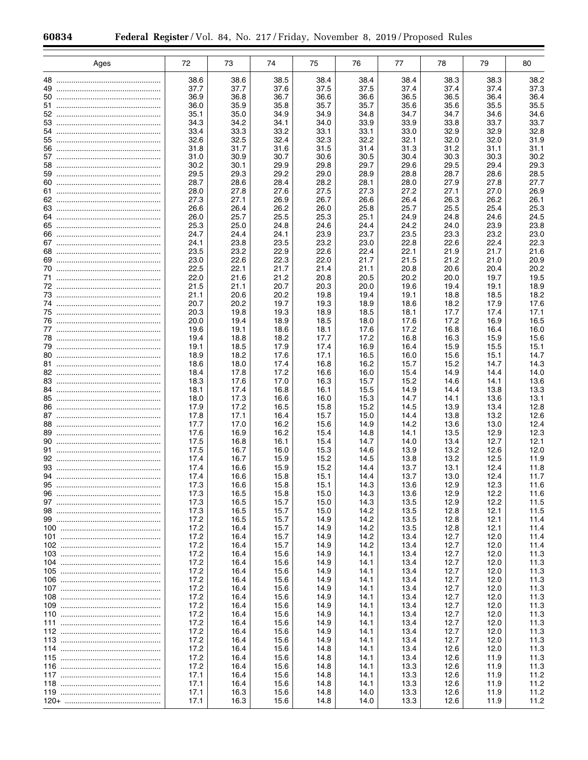|          | Ages | 72           | 73           | 74           | 75           | 76           | 77           | 78           | 79           | 80           |
|----------|------|--------------|--------------|--------------|--------------|--------------|--------------|--------------|--------------|--------------|
|          |      | 38.6         | 38.6         | 38.5         | 38.4         | 38.4         | 38.4         | 38.3         | 38.3         | 38.2         |
| 49       |      | 37.7         | 37.7         | 37.6         | 37.5         | 37.5         | 37.4         | 37.4         | 37.4         | 37.3         |
| 50       |      | 36.9         | 36.8         | 36.7         | 36.6         | 36.6         | 36.5         | 36.5         | 36.4         | 36.4         |
|          |      | 36.0         | 35.9         | 35.8         | 35.7         | 35.7         | 35.6         | 35.6         | 35.5         | 35.5         |
|          |      | 35.1         | 35.0         | 34.9         | 34.9         | 34.8         | 34.7         | 34.7         | 34.6         | 34.6         |
| 53<br>54 |      | 34.3         | 34.2<br>33.3 | 34.1         | 34.0         | 33.9<br>33.1 | 33.9         | 33.8         | 33.7<br>32.9 | 33.7         |
|          |      | 33.4<br>32.6 | 32.5         | 33.2<br>32.4 | 33.1<br>32.3 | 32.2         | 33.0<br>32.1 | 32.9<br>32.0 | 32.0         | 32.8<br>31.9 |
|          |      | 31.8         | 31.7         | 31.6         | 31.5         | 31.4         | 31.3         | 31.2         | 31.1         | 31.1         |
|          |      | 31.0         | 30.9         | 30.7         | 30.6         | 30.5         | 30.4         | 30.3         | 30.3         | 30.2         |
|          |      | 30.2         | 30.1         | 29.9         | 29.8         | 29.7         | 29.6         | 29.5         | 29.4         | 29.3         |
|          |      | 29.5         | 29.3         | 29.2         | 29.0         | 28.9         | 28.8         | 28.7         | 28.6         | 28.5         |
|          |      | 28.7         | 28.6         | 28.4         | 28.2         | 28.1         | 28.0         | 27.9         | 27.8         | 27.7         |
|          |      | 28.0         | 27.8         | 27.6         | 27.5         | 27.3         | 27.2         | 27.1         | 27.0         | 26.9         |
|          |      | 27.3         | 27.1         | 26.9         | 26.7         | 26.6         | 26.4         | 26.3         | 26.2         | 26.1         |
|          |      | 26.6<br>26.0 | 26.4<br>25.7 | 26.2<br>25.5 | 26.0<br>25.3 | 25.8<br>25.1 | 25.7<br>24.9 | 25.5<br>24.8 | 25.4<br>24.6 | 25.3<br>24.5 |
|          |      | 25.3         | 25.0         | 24.8         | 24.6         | 24.4         | 24.2         | 24.0         | 23.9         | 23.8         |
|          |      | 24.7         | 24.4         | 24.1         | 23.9         | 23.7         | 23.5         | 23.3         | 23.2         | 23.0         |
|          |      | 24.1         | 23.8         | 23.5         | 23.2         | 23.0         | 22.8         | 22.6         | 22.4         | 22.3         |
|          |      | 23.5         | 23.2         | 22.9         | 22.6         | 22.4         | 22.1         | 21.9         | 21.7         | 21.6         |
|          |      | 23.0         | 22.6         | 22.3         | 22.0         | 21.7         | 21.5         | 21.2         | 21.0         | 20.9         |
|          |      | 22.5         | 22.1         | 21.7         | 21.4         | 21.1         | 20.8         | 20.6         | 20.4         | 20.2         |
|          |      | 22.0         | 21.6         | 21.2         | 20.8         | 20.5         | 20.2         | 20.0         | 19.7         | 19.5         |
|          |      | 21.5         | 21.1         | 20.7         | 20.3         | 20.0         | 19.6         | 19.4         | 19.1         | 18.9         |
|          |      | 21.1         | 20.6         | 20.2         | 19.8         | 19.4         | 19.1         | 18.8         | 18.5         | 18.2         |
|          |      | 20.7<br>20.3 | 20.2         | 19.7         | 19.3         | 18.9         | 18.6         | 18.2         | 17.9         | 17.6         |
|          |      | 20.0         | 19.8<br>19.4 | 19.3<br>18.9 | 18.9<br>18.5 | 18.5<br>18.0 | 18.1<br>17.6 | 17.7<br>17.2 | 17.4<br>16.9 | 17.1<br>16.5 |
|          |      | 19.6         | 19.1         | 18.6         | 18.1         | 17.6         | 17.2         | 16.8         | 16.4         | 16.0         |
|          |      | 19.4         | 18.8         | 18.2         | 17.7         | 17.2         | 16.8         | 16.3         | 15.9         | 15.6         |
|          |      | 19.1         | 18.5         | 17.9         | 17.4         | 16.9         | 16.4         | 15.9         | 15.5         | 15.1         |
|          |      | 18.9         | 18.2         | 17.6         | 17.1         | 16.5         | 16.0         | 15.6         | 15.1         | 14.7         |
|          |      | 18.6         | 18.0         | 17.4         | 16.8         | 16.2         | 15.7         | 15.2         | 14.7         | 14.3         |
|          |      | 18.4         | 17.8         | 17.2         | 16.6         | 16.0         | 15.4         | 14.9         | 14.4         | 14.0         |
|          |      | 18.3         | 17.6         | 17.0         | 16.3         | 15.7         | 15.2         | 14.6         | 14.1         | 13.6         |
|          |      | 18.1         | 17.4         | 16.8         | 16.1         | 15.5         | 14.9         | 14.4         | 13.8         | 13.3         |
|          |      | 18.0<br>17.9 | 17.3<br>17.2 | 16.6<br>16.5 | 16.0<br>15.8 | 15.3<br>15.2 | 14.7<br>14.5 | 14.1<br>13.9 | 13.6<br>13.4 | 13.1<br>12.8 |
|          |      | 17.8         | 17.1         | 16.4         | 15.7         | 15.0         | 14.4         | 13.8         | 13.2         | 12.6         |
|          |      | 17.7         | 17.0         | 16.2         | 15.6         | 14.9         | 14.2         | 13.6         | 13.0         | 12.4         |
|          |      | 17.6         | 16.9         | 16.2         | 15.4         | 14.8         | 14.1         | 13.5         | 12.9         | 12.3         |
|          |      | 17.5         | 16.8         | 16.1         | 15.4         | 14.7         | 14.0         | 13.4         | 12.7         | 12.1         |
|          |      | 17.5         | 16.7         | 16.0         | 15.3         | 14.6         | 13.9         | 13.2         | 12.6         | 12.0         |
|          |      | 17.4         | 16.7         | 15.9         | 15.2         | 14.5         | 13.8         | 13.2         | 12.5         | 11.9         |
|          |      | 17.4         | 16.6         | 15.9         | 15.2         | 14.4         | 13.7         | 13.1         | 12.4         | 11.8         |
|          |      | 17.4         | 16.6         | 15.8         | 15.1         | 14.4         | 13.7         | 13.0         | 12.4         | 11.7         |
| 95       |      | 17.3<br>17.3 | 16.6<br>16.5 | 15.8<br>15.8 | 15.1<br>15.0 | 14.3<br>14.3 | 13.6<br>13.6 | 12.9<br>12.9 | 12.3<br>12.2 | 11.6<br>11.6 |
|          |      | 17.3         | 16.5         | 15.7         | 15.0         | 14.3         | 13.5         | 12.9         | 12.2         | 11.5         |
|          |      | 17.3         | 16.5         | 15.7         | 15.0         | 14.2         | 13.5         | 12.8         | 12.1         | 11.5         |
|          |      | 17.2         | 16.5         | 15.7         | 14.9         | 14.2         | 13.5         | 12.8         | 12.1         | 11.4         |
|          |      | 17.2         | 16.4         | 15.7         | 14.9         | 14.2         | 13.5         | 12.8         | 12.1         | 11.4         |
|          |      | 17.2         | 16.4         | 15.7         | 14.9         | 14.2         | 13.4         | 12.7         | 12.0         | 11.4         |
|          |      | 17.2         | 16.4         | 15.7         | 14.9         | 14.2         | 13.4         | 12.7         | 12.0         | 11.4         |
|          |      | 17.2         | 16.4         | 15.6         | 14.9         | 14.1         | 13.4         | 12.7         | 12.0         | 11.3         |
|          |      | 17.2<br>17.2 | 16.4         | 15.6         | 14.9         | 14.1<br>14.1 | 13.4<br>13.4 | 12.7         | 12.0<br>12.0 | 11.3         |
|          |      | 17.2         | 16.4<br>16.4 | 15.6<br>15.6 | 14.9<br>14.9 | 14.1         | 13.4         | 12.7<br>12.7 | 12.0         | 11.3<br>11.3 |
|          |      | 17.2         | 16.4         | 15.6         | 14.9         | 14.1         | 13.4         | 12.7         | 12.0         | 11.3         |
|          |      | 17.2         | 16.4         | 15.6         | 14.9         | 14.1         | 13.4         | 12.7         | 12.0         | 11.3         |
|          |      | 17.2         | 16.4         | 15.6         | 14.9         | 14.1         | 13.4         | 12.7         | 12.0         | 11.3         |
|          |      | 17.2         | 16.4         | 15.6         | 14.9         | 14.1         | 13.4         | 12.7         | 12.0         | 11.3         |
|          |      | 17.2         | 16.4         | 15.6         | 14.9         | 14.1         | 13.4         | 12.7         | 12.0         | 11.3         |
|          |      | 17.2         | 16.4         | 15.6         | 14.9         | 14.1         | 13.4         | 12.7         | 12.0         | 11.3         |
|          |      | 17.2         | 16.4         | 15.6         | 14.9         | 14.1         | 13.4         | 12.7         | 12.0         | 11.3         |
|          |      | 17.2         | 16.4         | 15.6         | 14.8         | 14.1         | 13.4         | 12.6         | 12.0         | 11.3         |
|          |      | 17.2         | 16.4         | 15.6         | 14.8         | 14.1         | 13.4         | 12.6         | 11.9         | 11.3         |
|          |      | 17.2<br>17.1 | 16.4         | 15.6         | 14.8         | 14.1         | 13.3<br>13.3 | 12.6         | 11.9<br>11.9 | 11.3<br>11.2 |
|          |      | 17.1         | 16.4<br>16.4 | 15.6<br>15.6 | 14.8<br>14.8 | 14.1<br>14.1 | 13.3         | 12.6<br>12.6 | 11.9         | 11.2         |
|          |      | 17.1         | 16.3         | 15.6         | 14.8         | 14.0         | 13.3         | 12.6         | 11.9         | 11.2         |
|          |      | 17.1         | 16.3         | 15.6         | 14.8         | 14.0         | 13.3         | 12.6         | 11.9         | 11.2         |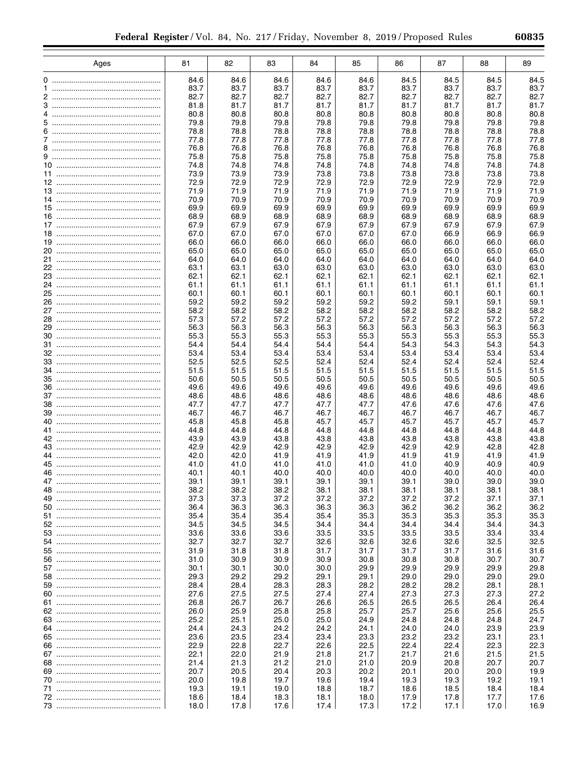| Ages | 81           | 82           | 83           | 84           | 85           | 86           | 87           | 88           | 89           |
|------|--------------|--------------|--------------|--------------|--------------|--------------|--------------|--------------|--------------|
|      | 84.6         | 84.6         | 84.6         | 84.6         | 84.6         | 84.5         | 84.5         | 84.5         | 84.5         |
|      | 83.7         | 83.7         | 83.7         | 83.7         | 83.7         | 83.7         | 83.7         | 83.7         | 83.7         |
|      | 82.7         | 82.7         | 82.7         | 82.7         | 82.7         | 82.7         | 82.7         | 82.7         | 82.7         |
|      | 81.8         | 81.7         | 81.7         | 81.7         | 81.7         | 81.7         | 81.7         | 81.7         | 81.7         |
|      | 80.8         | 80.8         | 80.8         | 80.8         | 80.8         | 80.8         | 80.8         | 80.8         | 80.8         |
|      | 79.8<br>78.8 | 79.8<br>78.8 | 79.8<br>78.8 | 79.8<br>78.8 | 79.8<br>78.8 | 79.8<br>78.8 | 79.8<br>78.8 | 79.8<br>78.8 | 79.8<br>78.8 |
|      | 77.8         | 77.8         | 77.8         | 77.8         | 77.8         | 77.8         | 77.8         | 77.8         | 77.8         |
|      | 76.8         | 76.8         | 76.8         | 76.8         | 76.8         | 76.8         | 76.8         | 76.8         | 76.8         |
|      | 75.8         | 75.8         | 75.8         | 75.8         | 75.8         | 75.8         | 75.8         | 75.8         | 75.8         |
|      | 74.8         | 74.8         | 74.8         | 74.8         | 74.8         | 74.8         | 74.8         | 74.8         | 74.8         |
|      | 73.9         | 73.9         | 73.9         | 73.8         | 73.8         | 73.8         | 73.8         | 73.8         | 73.8         |
|      | 72.9         | 72.9         | 72.9         | 72.9         | 72.9         | 72.9         | 72.9         | 72.9         | 72.9         |
|      | 71.9<br>70.9 | 71.9<br>70.9 | 71.9<br>70.9 | 71.9<br>70.9 | 71.9<br>70.9 | 71.9<br>70.9 | 71.9<br>70.9 | 71.9<br>70.9 | 71.9<br>70.9 |
|      | 69.9         | 69.9         | 69.9         | 69.9         | 69.9         | 69.9         | 69.9         | 69.9         | 69.9         |
|      | 68.9         | 68.9         | 68.9         | 68.9         | 68.9         | 68.9         | 68.9         | 68.9         | 68.9         |
|      | 67.9         | 67.9         | 67.9         | 67.9         | 67.9         | 67.9         | 67.9         | 67.9         | 67.9         |
|      | 67.0         | 67.0         | 67.0         | 67.0         | 67.0         | 67.0         | 66.9         | 66.9         | 66.9         |
|      | 66.0         | 66.0         | 66.0         | 66.0         | 66.0         | 66.0         | 66.0         | 66.0         | 66.0         |
|      | 65.0         | 65.0         | 65.0         | 65.0         | 65.0         | 65.0         | 65.0         | 65.0         | 65.0         |
|      | 64.0<br>63.1 | 64.0<br>63.1 | 64.0<br>63.0 | 64.0<br>63.0 | 64.0<br>63.0 | 64.0<br>63.0 | 64.0<br>63.0 | 64.0<br>63.0 | 64.0<br>63.0 |
|      | 62.1         | 62.1         | 62.1         | 62.1         | 62.1         | 62.1         | 62.1         | 62.1         | 62.1         |
|      | 61.1         | 61.1         | 61.1         | 61.1         | 61.1         | 61.1         | 61.1         | 61.1         | 61.1         |
|      | 60.1         | 60.1         | 60.1         | 60.1         | 60.1         | 60.1         | 60.1         | 60.1         | 60.1         |
|      | 59.2         | 59.2         | 59.2         | 59.2         | 59.2         | 59.2         | 59.1         | 59.1         | 59.1         |
|      | 58.2         | 58.2         | 58.2         | 58.2         | 58.2         | 58.2         | 58.2         | 58.2         | 58.2         |
|      | 57.3         | 57.2         | 57.2         | 57.2         | 57.2         | 57.2         | 57.2         | 57.2         | 57.2         |
|      | 56.3<br>55.3 | 56.3<br>55.3 | 56.3<br>55.3 | 56.3<br>55.3 | 56.3<br>55.3 | 56.3<br>55.3 | 56.3<br>55.3 | 56.3<br>55.3 | 56.3<br>55.3 |
|      | 54.4         | 54.4         | 54.4         | 54.4         | 54.4         | 54.3         | 54.3         | 54.3         | 54.3         |
|      | 53.4         | 53.4         | 53.4         | 53.4         | 53.4         | 53.4         | 53.4         | 53.4         | 53.4         |
|      | 52.5         | 52.5         | 52.5         | 52.4         | 52.4         | 52.4         | 52.4         | 52.4         | 52.4         |
|      | 51.5         | 51.5         | 51.5         | 51.5         | 51.5         | 51.5         | 51.5         | 51.5         | 51.5         |
|      | 50.6         | 50.5         | 50.5         | 50.5         | 50.5         | 50.5         | 50.5         | 50.5         | 50.5         |
|      | 49.6         | 49.6         | 49.6         | 49.6         | 49.6         | 49.6         | 49.6         | 49.6         | 49.6         |
|      | 48.6<br>47.7 | 48.6<br>47.7 | 48.6<br>47.7 | 48.6<br>47.7 | 48.6<br>47.7 | 48.6<br>47.6 | 48.6<br>47.6 | 48.6<br>47.6 | 48.6<br>47.6 |
|      | 46.7         | 46.7         | 46.7         | 46.7         | 46.7         | 46.7         | 46.7         | 46.7         | 46.7         |
|      | 45.8         | 45.8         | 45.8         | 45.7         | 45.7         | 45.7         | 45.7         | 45.7         | 45.7         |
|      | 44.8         | 44.8         | 44.8         | 44.8         | 44.8         | 44.8         | 44.8         | 44.8         | 44.8         |
|      | 43.9         | 43.9         | 43.8         | 43.8         | 43.8         | 43.8         | 43.8         | 43.8         | 43.8         |
|      | 42.9         | 42.9         | 42.9         | 42.9         | 42.9         | 42.9         | 42.9         | 42.8         | 42.8         |
|      | 42.0         | 42.0         | 41.9         | 41.9         | 41.9         | 41.9         | 41.9         | 41.9         | 41.9         |
|      | 41.0<br>40.1 | 41.0<br>40.1 | 41.0<br>40.0 | 41.0<br>40.0 | 41.0<br>40.0 | 41.0<br>40.0 | 40.9<br>40.0 | 40.9<br>40.0 | 40.9<br>40.0 |
|      | 39.1         | 39.1         | 39.1         | 39.1         | 39.1         | 39.1         | 39.0         | 39.0         | 39.0         |
| 48   | 38.2         | 38.2         | 38.2         | 38.1         | 38.1         | 38.1         | 38.1         | 38.1         | 38.1         |
|      | 37.3         | 37.3         | 37.2         | 37.2         | 37.2         | 37.2         | 37.2         | 37.1         | 37.1         |
|      | 36.4         | 36.3         | 36.3         | 36.3         | 36.3         | 36.2         | 36.2         | 36.2         | 36.2         |
|      | 35.4         | 35.4         | 35.4         | 35.4         | 35.3         | 35.3         | 35.3         | 35.3         | 35.3         |
|      | 34.5<br>33.6 | 34.5         | 34.5<br>33.6 | 34.4<br>33.5 | 34.4<br>33.5 | 34.4         | 34.4<br>33.5 | 34.4         | 34.3<br>33.4 |
|      | 32.7         | 33.6<br>32.7 | 32.7         | 32.6         | 32.6         | 33.5<br>32.6 | 32.6         | 33.4<br>32.5 | 32.5         |
|      | 31.9         | 31.8         | 31.8         | 31.7         | 31.7         | 31.7         | 31.7         | 31.6         | 31.6         |
|      | 31.0         | 30.9         | 30.9         | 30.9         | 30.8         | 30.8         | 30.8         | 30.7         | 30.7         |
|      | 30.1         | 30.1         | 30.0         | 30.0         | 29.9         | 29.9         | 29.9         | 29.9         | 29.8         |
|      | 29.3         | 29.2         | 29.2         | 29.1         | 29.1         | 29.0         | 29.0         | 29.0         | 29.0         |
|      | 28.4         | 28.4         | 28.3         | 28.3         | 28.2         | 28.2         | 28.2         | 28.1         | 28.1         |
|      | 27.6         | 27.5         | 27.5         | 27.4         | 27.4         | 27.3         | 27.3         | 27.3         | 27.2         |
|      | 26.8         | 26.7         | 26.7         | 26.6         | 26.5         | 26.5         | 26.5         | 26.4         | 26.4         |
|      | 26.0<br>25.2 | 25.9<br>25.1 | 25.8<br>25.0 | 25.8<br>25.0 | 25.7<br>24.9 | 25.7<br>24.8 | 25.6<br>24.8 | 25.6<br>24.8 | 25.5<br>24.7 |
|      | 24.4         | 24.3         | 24.2         | 24.2         | 24.1         | 24.0         | 24.0         | 23.9         | 23.9         |
|      | 23.6         | 23.5         | 23.4         | 23.4         | 23.3         | 23.2         | 23.2         | 23.1         | 23.1         |
|      | 22.9         | 22.8         | 22.7         | 22.6         | 22.5         | 22.4         | 22.4         | 22.3         | 22.3         |
|      | 22.1         | 22.0         | 21.9         | 21.8         | 21.7         | 21.7         | 21.6         | 21.5         | 21.5         |
|      | 21.4         | 21.3         | 21.2         | 21.0         | 21.0         | 20.9         | 20.8         | 20.7         | 20.7         |
|      | 20.7         | 20.5         | 20.4         | 20.3         | 20.2         | 20.1         | 20.0         | 20.0         | 19.9         |
|      | 20.0<br>19.3 | 19.8         | 19.7         | 19.6<br>18.8 | 19.4<br>18.7 | 19.3         | 19.3         | 19.2         | 19.1<br>18.4 |
|      | 18.6         | 19.1<br>18.4 | 19.0<br>18.3 | 18.1         | 18.0         | 18.6<br>17.9 | 18.5<br>17.8 | 18.4<br>17.7 | 17.6         |
|      | 18.0         | 17.8         | 17.6         | 17.4         | 17.3         | 17.2         | 17.1         | 17.0         | 16.9         |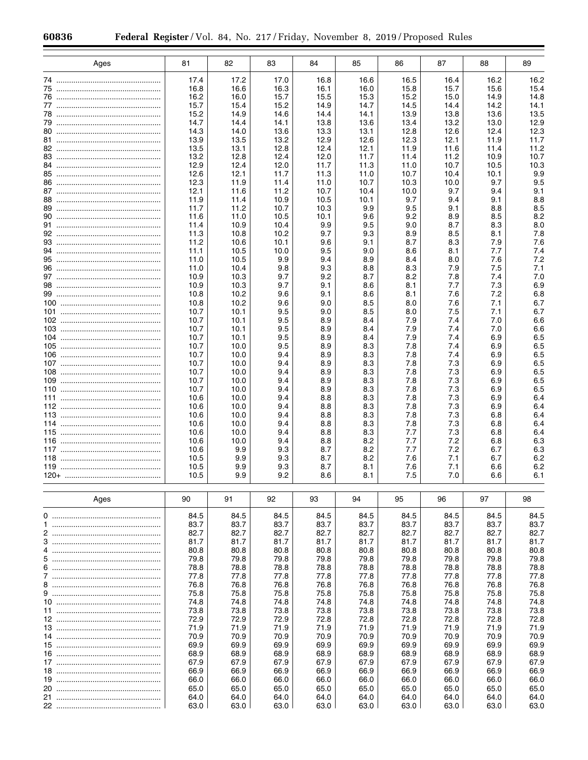| Ages       | 81           | 82           | 83           | 84           | 85           | 86           | 87           | 88           | 89           |
|------------|--------------|--------------|--------------|--------------|--------------|--------------|--------------|--------------|--------------|
|            | 17.4         | 17.2         | 17.0         | 16.8         | 16.6         | 16.5         | 16.4         | 16.2         | 16.2         |
|            | 16.8         | 16.6         | 16.3         | 16.1         | 16.0         | 15.8         | 15.7         | 15.6         | 15.4         |
|            | 16.2         | 16.0         | 15.7         | 15.5         | 15.3         | 15.2         | 15.0         | 14.9         | 14.8         |
|            | 15.7<br>15.2 | 15.4<br>14.9 | 15.2<br>14.6 | 14.9<br>14.4 | 14.7<br>14.1 | 14.5<br>13.9 | 14.4<br>13.8 | 14.2<br>13.6 | 14.1<br>13.5 |
|            | 14.7         | 14.4         | 14.1         | 13.8         | 13.6         | 13.4         | 13.2         | 13.0         | 12.9         |
|            | 14.3         | 14.0         | 13.6         | 13.3         | 13.1         | 12.8         | 12.6         | 12.4         | 12.3         |
|            | 13.9         | 13.5         | 13.2         | 12.9         | 12.6         | 12.3         | 12.1         | 11.9         | 11.7         |
|            | 13.5         | 13.1         | 12.8         | 12.4         | 12.1         | 11.9         | 11.6         | 11.4         | 11.2         |
|            | 13.2<br>12.9 | 12.8         | 12.4         | 12.0         | 11.7         | 11.4         | 11.2         | 10.9         | 10.7         |
|            | 12.6         | 12.4<br>12.1 | 12.0<br>11.7 | 11.7<br>11.3 | 11.3<br>11.0 | 11.0<br>10.7 | 10.7<br>10.4 | 10.5<br>10.1 | 10.3<br>9.9  |
|            | 12.3         | 11.9         | 11.4         | 11.0         | 10.7         | 10.3         | 10.0         | 9.7          | 9.5          |
|            | 12.1         | 11.6         | 11.2         | 10.7         | 10.4         | 10.0         | 9.7          | 9.4          | 9.1          |
|            | 11.9         | 11.4         | 10.9         | 10.5         | 10.1         | 9.7          | 9.4          | 9.1          | 8.8          |
|            | 11.7<br>11.6 | 11.2<br>11.0 | 10.7<br>10.5 | 10.3<br>10.1 | 9.9<br>9.6   | 9.5<br>9.2   | 9.1<br>8.9   | 8.8<br>8.5   | 8.5<br>8.2   |
|            | 11.4         | 10.9         | 10.4         | 9.9          | 9.5          | 9.0          | 8.7          | 8.3          | 8.0          |
|            | 11.3         | 10.8         | 10.2         | 9.7          | 9.3          | 8.9          | 8.5          | 8.1          | 7.8          |
|            | 11.2         | 10.6         | 10.1         | 9.6          | 9.1          | 8.7          | 8.3          | 7.9          | 7.6          |
|            | 11.1         | 10.5         | 10.0         | 9.5          | 9.0          | 8.6          | 8.1          | 7.7          | 7.4          |
|            | 11.0         | 10.5         | 9.9          | 9.4          | 8.9          | 8.4          | 8.0          | 7.6          | 7.2          |
|            | 11.0<br>10.9 | 10.4<br>10.3 | 9.8<br>9.7   | 9.3<br>9.2   | 8.8<br>8.7   | 8.3<br>8.2   | 7.9<br>7.8   | 7.5<br>7.4   | 7.1<br>7.0   |
|            | 10.9         | 10.3         | 9.7          | 9.1          | 8.6          | 8.1          | 7.7          | 7.3          | 6.9          |
|            | 10.8         | 10.2         | 9.6          | 9.1          | 8.6          | 8.1          | 7.6          | 7.2          | 6.8          |
|            | 10.8         | 10.2         | 9.6          | 9.0          | 8.5          | 8.0          | 7.6          | 7.1          | 6.7          |
|            | 10.7         | 10.1         | 9.5          | 9.0          | 8.5          | 8.0          | 7.5          | 7.1          | 6.7          |
| 103        | 10.7<br>10.7 | 10.1<br>10.1 | 9.5<br>9.5   | 8.9<br>8.9   | 8.4<br>8.4   | 7.9<br>7.9   | 7.4<br>7.4   | 7.0<br>7.0   | 6.6<br>6.6   |
| 104        | 10.7         | 10.1         | 9.5          | 8.9          | 8.4          | 7.9          | 7.4          | 6.9          | 6.5          |
| 105        | 10.7         | 10.0         | 9.5          | 8.9          | 8.3          | 7.8          | 7.4          | 6.9          | 6.5          |
| 106        | 10.7         | 10.0         | 9.4          | 8.9          | 8.3          | 7.8          | 7.4          | 6.9          | 6.5          |
|            | 10.7         | 10.0         | 9.4          | 8.9          | 8.3          | 7.8          | 7.3          | 6.9          | 6.5          |
| 108<br>109 | 10.7<br>10.7 | 10.0<br>10.0 | 9.4<br>9.4   | 8.9<br>8.9   | 8.3<br>8.3   | 7.8<br>7.8   | 7.3<br>7.3   | 6.9<br>6.9   | 6.5<br>6.5   |
| 110        | 10.7         | 10.0         | 9.4          | 8.9          | 8.3          | 7.8          | 7.3          | 6.9          | 6.5          |
| 111        | 10.6         | 10.0         | 9.4          | 8.8          | 8.3          | 7.8          | 7.3          | 6.9          | 6.4          |
|            | 10.6         | 10.0         | 9.4          | 8.8          | 8.3          | 7.8          | 7.3          | 6.9          | 6.4          |
| 113<br>114 | 10.6<br>10.6 | 10.0         | 9.4<br>9.4   | 8.8<br>8.8   | 8.3<br>8.3   | 7.8          | 7.3<br>7.3   | 6.8<br>6.8   | 6.4<br>6.4   |
| 115        | 10.6         | 10.0<br>10.0 | 9.4          | 8.8          | 8.3          | 7.8<br>7.7   | 7.3          | 6.8          | 6.4          |
| 116        | 10.6         | 10.0         | 9.4          | 8.8          | 8.2          | 7.7          | 7.2          | 6.8          | 6.3          |
| 117        | 10.6         | 9.9          | 9.3          | 8.7          | 8.2          | 7.7          | 7.2          | 6.7          | 6.3          |
| 118        | 10.5         | 9.9          | 9.3          | 8.7          | 8.2          | 7.6          | 7.1          | 6.7          | 6.2          |
|            | 10.5         | 9.9          | 9.3<br>9.2   | 8.7          | 8.1          | 7.6          | 7.1          | 6.6          | 6.2          |
|            | 10.5         | 9.9          |              | 8.6          | 8.1          | 7.5          | 7.0          | 6.6          | 6.1          |
| Ages       | 90           | 91           | 92           | 93           | 94           | 95           | 96           | 97           | 98           |
|            | 84.5         | 84.5         | 84.5         | 84.5         | 84.5         | 84.5         | 84.5         | 84.5         | 84.5         |
| 1.         | 83.7         | 83.7         | 83.7         | 83.7         | 83.7         | 83.7         | 83.7         | 83.7         | 83.7         |
|            | 82.7         | 82.7         | 82.7         | 82.7         | 82.7         | 82.7         | 82.7         | 82.7         | 82.7         |
| 3          | 81.7         | 81.7         | 81.7         | 81.7         | 81.7         | 81.7         | 81.7         | 81.7         | 81.7         |
|            | 80.8<br>79.8 | 80.8<br>79.8 | 80.8<br>79.8 | 80.8<br>79.8 | 80.8<br>79.8 | 80.8<br>79.8 | 80.8<br>79.8 | 80.8<br>79.8 | 80.8<br>79.8 |
| 6          | 78.8         | 78.8         | 78.8         | 78.8         | 78.8         | 78.8         | 78.8         | 78.8         | 78.8         |
|            | 77.8         | 77.8         | 77.8         | 77.8         | 77.8         | 77.8         | 77.8         | 77.8         | 77.8         |
|            | 76.8         | 76.8         | 76.8         | 76.8         | 76.8         | 76.8         | 76.8         | 76.8         | 76.8         |
|            | 75.8         | 75.8         | 75.8         | 75.8         | 75.8         | 75.8         | 75.8         | 75.8         | 75.8         |
|            | 74.8<br>73.8 | 74.8<br>73.8 | 74.8<br>73.8 | 74.8<br>73.8 | 74.8<br>73.8 | 74.8<br>73.8 | 74.8<br>73.8 | 74.8<br>73.8 | 74.8<br>73.8 |
|            | 72.9         | 72.9         | 72.9         | 72.8         | 72.8         | 72.8         | 72.8         | 72.8         | 72.8         |
|            | 71.9         | 71.9         | 71.9         | 71.9         | 71.9         | 71.9         | 71.9         | 71.9         | 71.9         |
|            | 70.9         | 70.9         | 70.9         | 70.9         | 70.9         | 70.9         | 70.9         | 70.9         | 70.9         |
|            | 69.9         | 69.9         | 69.9         | 69.9         | 69.9         | 69.9         | 69.9         | 69.9         | 69.9         |
|            | 68.9<br>67.9 | 68.9<br>67.9 | 68.9<br>67.9 | 68.9<br>67.9 | 68.9<br>67.9 | 68.9<br>67.9 | 68.9<br>67.9 | 68.9<br>67.9 | 68.9<br>67.9 |
|            | 66.9         | 66.9         | 66.9         | 66.9         | 66.9         | 66.9         | 66.9         | 66.9         | 66.9         |
|            | 66.0         | 66.0         | 66.0         | 66.0         | 66.0         | 66.0         | 66.0         | 66.0         | 66.0         |
|            | 65.0         | 65.0         | 65.0         | 65.0         | 65.0         | 65.0         | 65.0         | 65.0         | 65.0         |
|            | 64.0         | 64.0         | 64.0         | 64.0         | 64.0         | 64.0         | 64.0         | 64.0         | 64.0         |
|            | 63.0         | 63.0         | 63.0         | 63.0         | 63.0         | 63.0         | 63.0         | 63.0         | 63.0         |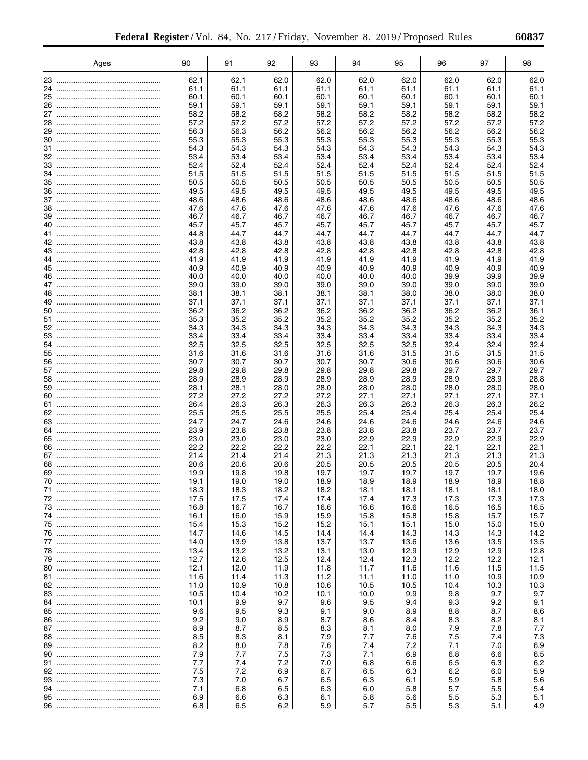|    | Ages | 90           | 91           | 92           | 93           | 94           | 95           | 96           | 97           | 98           |
|----|------|--------------|--------------|--------------|--------------|--------------|--------------|--------------|--------------|--------------|
|    |      | 62.1         | 62.1         | 62.0         | 62.0         | 62.0         | 62.0         | 62.0         | 62.0         | 62.0         |
| 24 |      | 61.1         | 61.1         | 61.1         | 61.1         | 61.1         | 61.1         | 61.1         | 61.1         | 61.1         |
|    |      | 60.1         | 60.1         | 60.1         | 60.1         | 60.1         | 60.1         | 60.1         | 60.1         | 60.1         |
|    |      | 59.1         | 59.1         | 59.1         | 59.1         | 59.1         | 59.1         | 59.1         | 59.1         | 59.1         |
|    |      | 58.2         | 58.2         | 58.2         | 58.2         | 58.2         | 58.2         | 58.2         | 58.2         | 58.2         |
|    |      | 57.2<br>56.3 | 57.2<br>56.3 | 57.2<br>56.2 | 57.2<br>56.2 | 57.2<br>56.2 | 57.2<br>56.2 | 57.2<br>56.2 | 57.2<br>56.2 | 57.2<br>56.2 |
|    |      | 55.3         | 55.3         | 55.3         | 55.3         | 55.3         | 55.3         | 55.3         | 55.3         | 55.3         |
|    |      | 54.3         | 54.3         | 54.3         | 54.3         | 54.3         | 54.3         | 54.3         | 54.3         | 54.3         |
|    |      | 53.4         | 53.4         | 53.4         | 53.4         | 53.4         | 53.4         | 53.4         | 53.4         | 53.4         |
|    |      | 52.4         | 52.4         | 52.4         | 52.4         | 52.4         | 52.4         | 52.4         | 52.4         | 52.4         |
|    |      | 51.5<br>50.5 | 51.5         | 51.5         | 51.5         | 51.5         | 51.5         | 51.5         | 51.5         | 51.5<br>50.5 |
|    |      | 49.5         | 50.5<br>49.5 | 50.5<br>49.5 | 50.5<br>49.5 | 50.5<br>49.5 | 50.5<br>49.5 | 50.5<br>49.5 | 50.5<br>49.5 | 49.5         |
|    |      | 48.6         | 48.6         | 48.6         | 48.6         | 48.6         | 48.6         | 48.6         | 48.6         | 48.6         |
|    |      | 47.6         | 47.6         | 47.6         | 47.6         | 47.6         | 47.6         | 47.6         | 47.6         | 47.6         |
|    |      | 46.7         | 46.7         | 46.7         | 46.7         | 46.7         | 46.7         | 46.7         | 46.7         | 46.7         |
|    |      | 45.7         | 45.7         | 45.7         | 45.7         | 45.7         | 45.7         | 45.7         | 45.7         | 45.7         |
|    |      | 44.8         | 44.7         | 44.7         | 44.7         | 44.7         | 44.7         | 44.7         | 44.7         | 44.7         |
|    |      | 43.8<br>42.8 | 43.8<br>42.8 | 43.8<br>42.8 | 43.8<br>42.8 | 43.8<br>42.8 | 43.8<br>42.8 | 43.8<br>42.8 | 43.8<br>42.8 | 43.8<br>42.8 |
|    |      | 41.9         | 41.9         | 41.9         | 41.9         | 41.9         | 41.9         | 41.9         | 41.9         | 41.9         |
|    |      | 40.9         | 40.9         | 40.9         | 40.9         | 40.9         | 40.9         | 40.9         | 40.9         | 40.9         |
|    |      | 40.0         | 40.0         | 40.0         | 40.0         | 40.0         | 40.0         | 39.9         | 39.9         | 39.9         |
|    |      | 39.0         | 39.0         | 39.0         | 39.0         | 39.0         | 39.0         | 39.0         | 39.0         | 39.0         |
|    |      | 38.1         | 38.1         | 38.1         | 38.1         | 38.1         | 38.0         | 38.0         | 38.0         | 38.0         |
|    |      | 37.1<br>36.2 | 37.1<br>36.2 | 37.1<br>36.2 | 37.1<br>36.2 | 37.1<br>36.2 | 37.1<br>36.2 | 37.1<br>36.2 | 37.1<br>36.2 | 37.1<br>36.1 |
|    |      | 35.3         | 35.2         | 35.2         | 35.2         | 35.2         | 35.2         | 35.2         | 35.2         | 35.2         |
|    |      | 34.3         | 34.3         | 34.3         | 34.3         | 34.3         | 34.3         | 34.3         | 34.3         | 34.3         |
|    |      | 33.4         | 33.4         | 33.4         | 33.4         | 33.4         | 33.4         | 33.4         | 33.4         | 33.4         |
|    |      | 32.5         | 32.5         | 32.5         | 32.5         | 32.5         | 32.5         | 32.4         | 32.4         | 32.4         |
|    |      | 31.6         | 31.6         | 31.6         | 31.6         | 31.6         | 31.5         | 31.5         | 31.5         | 31.5         |
|    |      | 30.7<br>29.8 | 30.7<br>29.8 | 30.7<br>29.8 | 30.7<br>29.8 | 30.7<br>29.8 | 30.6<br>29.8 | 30.6<br>29.7 | 30.6<br>29.7 | 30.6<br>29.7 |
|    |      | 28.9         | 28.9         | 28.9         | 28.9         | 28.9         | 28.9         | 28.9         | 28.9         | 28.8         |
|    |      | 28.1         | 28.1         | 28.0         | 28.0         | 28.0         | 28.0         | 28.0         | 28.0         | 28.0         |
|    |      | 27.2         | 27.2         | 27.2         | 27.2         | 27.1         | 27.1         | 27.1         | 27.1         | 27.1         |
|    |      | 26.4         | 26.3         | 26.3         | 26.3         | 26.3         | 26.3         | 26.3         | 26.3         | 26.2         |
|    |      | 25.5<br>24.7 | 25.5<br>24.7 | 25.5<br>24.6 | 25.5<br>24.6 | 25.4<br>24.6 | 25.4<br>24.6 | 25.4<br>24.6 | 25.4<br>24.6 | 25.4<br>24.6 |
|    |      | 23.9         | 23.8         | 23.8         | 23.8         | 23.8         | 23.8         | 23.7         | 23.7         | 23.7         |
|    |      | 23.0         | 23.0         | 23.0         | 23.0         | 22.9         | 22.9         | 22.9         | 22.9         | 22.9         |
|    |      | 22.2         | 22.2         | 22.2         | 22.2         | 22.1         | 22.1         | 22.1         | 22.1         | 22.1         |
|    |      | 21.4         | 21.4         | 21.4         | 21.3         | 21.3         | 21.3         | 21.3         | 21.3         | 21.3         |
|    |      | 20.6         | 20.6         | 20.6         | 20.5         | 20.5         | 20.5         | 20.5         | 20.5         | 20.4         |
|    |      | 19.9<br>19.1 | 19.8<br>19.0 | 19.8<br>19.0 | 19.7<br>18.9 | 19.7<br>18.9 | 19.7<br>18.9 | 19.7<br>18.9 | 19.7<br>18.9 | 19.6<br>18.8 |
| 71 |      | 18.3         | 18.3         | 18.2         | 18.2         | 18.1         | 18.1         | 18.1         | 18.1         | 18.0         |
|    |      | 17.5         | 17.5         | 17.4         | 17.4         | 17.4         | 17.3         | 17.3         | 17.3         | 17.3         |
|    |      | 16.8         | 16.7         | 16.7         | 16.6         | 16.6         | 16.6         | 16.5         | 16.5         | 16.5         |
|    |      | 16.1         | 16.0         | 15.9         | 15.9         | 15.8         | 15.8         | 15.8         | 15.7         | 15.7         |
|    |      | 15.4         | 15.3         | 15.2         | 15.2         | 15.1         | 15.1         | 15.0         | 15.0         | 15.0         |
|    |      | 14.7<br>14.0 | 14.6<br>13.9 | 14.5<br>13.8 | 14.4<br>13.7 | 14.4<br>13.7 | 14.3<br>13.6 | 14.3<br>13.6 | 14.3<br>13.5 | 14.2<br>13.5 |
|    |      | 13.4         | 13.2         | 13.2         | 13.1         | 13.0         | 12.9         | 12.9         | 12.9         | 12.8         |
|    |      | 12.7         | 12.6         | 12.5         | 12.4         | 12.4         | 12.3         | 12.2         | 12.2         | 12.1         |
|    |      | 12.1         | 12.0         | 11.9         | 11.8         | 11.7         | 11.6         | 11.6         | 11.5         | 11.5         |
|    |      | 11.6         | 11.4         | 11.3         | 11.2         | 11.1         | 11.0         | 11.0         | 10.9         | 10.9         |
|    |      | 11.0         | 10.9         | 10.8         | 10.6         | 10.5         | 10.5         | 10.4         | 10.3         | 10.3         |
|    |      | 10.5<br>10.1 | 10.4<br>9.9  | 10.2<br>9.7  | 10.1<br>9.6  | 10.0<br>9.5  | 9.9<br>9.4   | 9.8<br>9.3   | 9.7<br>9.2   | 9.7<br>9.1   |
|    |      | 9.6          | 9.5          | 9.3          | 9.1          | 9.0          | 8.9          | 8.8          | 8.7          | 8.6          |
|    |      | 9.2          | 9.0          | 8.9          | 8.7          | 8.6          | 8.4          | 8.3          | 8.2          | 8.1          |
|    |      | 8.9          | 8.7          | 8.5          | 8.3          | 8.1          | 8.0          | 7.9          | 7.8          | 7.7          |
|    |      | 8.5          | 8.3          | 8.1          | 7.9          | 7.7          | 7.6          | 7.5          | 7.4          | 7.3          |
|    |      | 8.2          | 8.0          | 7.8          | 7.6          | 7.4          | 7.2          | 7.1          | 7.0          | 6.9          |
|    |      | 7.9<br>7.7   | 7.7          | 7.5          | 7.3<br>7.0   | 7.1          | 6.9          | 6.8          | 6.6          | 6.5          |
|    |      | 7.5          | 7.4<br>7.2   | 7.2<br>6.9   | 6.7          | 6.8<br>6.5   | 6.6<br>6.3   | 6.5<br>6.2   | 6.3<br>6.0   | 6.2<br>5.9   |
|    |      | 7.3          | 7.0          | 6.7          | 6.5          | 6.3          | 6.1          | 5.9          | 5.8          | 5.6          |
|    |      | 7.1          | 6.8          | 6.5          | 6.3          | 6.0          | 5.8          | 5.7          | 5.5          | 5.4          |
|    |      | 6.9          | 6.6          | 6.3          | 6.1          | 5.8          | 5.6          | 5.5          | 5.3          | 5.1          |
|    |      | 6.8          | 6.5          | 6.2          | 5.9          | 5.7          | 5.5          | 5.3          | 5.1          | 4.9          |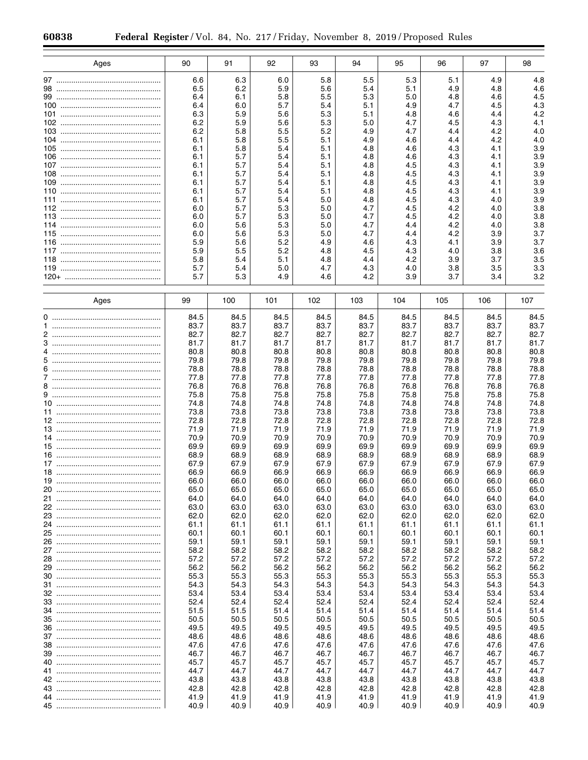| Ages | 90           | 91           | 92           | 93           | 94           | 95           | 96           | 97           | 98           |
|------|--------------|--------------|--------------|--------------|--------------|--------------|--------------|--------------|--------------|
|      | 6.6          | 6.3          | 6.0          | 5.8          | 5.5          | 5.3          | 5.1          | 4.9          | 4.8          |
|      | 6.5          | 6.2          | 5.9          | 5.6          | 5.4          | 5.1          | 4.9          | 4.8          | 4.6          |
|      | 6.4          | 6.1          | 5.8          | 5.5          | 5.3          | 5.0          | 4.8          | 4.6          | 4.5          |
|      | 6.4<br>6.3   | 6.0<br>5.9   | 5.7<br>5.6   | 5.4<br>5.3   | 5.1<br>5.1   | 4.9<br>4.8   | 4.7<br>4.6   | 4.5<br>4.4   | 4.3<br>4.2   |
|      | 6.2          | 5.9          | 5.6          | 5.3          | 5.0          | 4.7          | 4.5          | 4.3          | 4.1          |
|      | 6.2          | 5.8          | 5.5          | 5.2          | 4.9          | 4.7          | 4.4          | 4.2          | 4.0          |
|      | 6.1          | 5.8          | 5.5          | 5.1          | 4.9          | 4.6          | 4.4          | 4.2          | 4.0          |
|      | 6.1          | 5.8          | 5.4          | 5.1          | 4.8          | 4.6          | 4.3          | 4.1          | 3.9          |
|      | 6.1<br>6.1   | 5.7<br>5.7   | 5.4<br>5.4   | 5.1<br>5.1   | 4.8<br>4.8   | 4.6<br>4.5   | 4.3<br>4.3   | 4.1<br>4.1   | 3.9<br>3.9   |
|      | 6.1          | 5.7          | 5.4          | 5.1          | 4.8          | 4.5          | 4.3          | 4.1          | 3.9          |
|      | 6.1          | 5.7          | 5.4          | 5.1          | 4.8          | 4.5          | 4.3          | 4.1          | 3.9          |
|      | 6.1          | 5.7          | 5.4          | 5.1          | 4.8          | 4.5          | 4.3          | 4.1          | 3.9          |
|      | 6.1<br>6.0   | 5.7<br>5.7   | 5.4<br>5.3   | 5.0<br>5.0   | 4.8<br>4.7   | 4.5<br>4.5   | 4.3<br>4.2   | 4.0<br>4.0   | 3.9<br>3.8   |
|      | 6.0          | 5.7          | 5.3          | 5.0          | 4.7          | 4.5          | 4.2          | 4.0          | 3.8          |
|      | 6.0          | 5.6          | 5.3          | 5.0          | 4.7          | 4.4          | 4.2          | 4.0          | 3.8          |
|      | 6.0          | 5.6          | 5.3          | 5.0          | 4.7          | 4.4          | 4.2          | 3.9          | 3.7          |
|      | 5.9          | 5.6          | 5.2          | 4.9          | 4.6          | 4.3          | 4.1          | 3.9          | 3.7          |
|      | 5.9<br>5.8   | 5.5<br>5.4   | 5.2<br>5.1   | 4.8<br>4.8   | 4.5<br>4.4   | 4.3<br>4.2   | 4.0<br>3.9   | 3.8<br>3.7   | 3.6<br>3.5   |
|      | 5.7          | 5.4          | 5.0          | 4.7          | 4.3          | 4.0          | 3.8          | 3.5          | 3.3          |
|      | 5.7          | 5.3          | 4.9          | 4.6          | 4.2          | 3.9          | 3.7          | 3.4          | 3.2          |
|      |              |              |              |              |              |              |              |              |              |
| Ages | 99           | 100          | 101          | 102          | 103          | 104          | 105          | 106          | 107          |
|      | 84.5         | 84.5         | 84.5         | 84.5         | 84.5         | 84.5         | 84.5         | 84.5         | 84.5         |
|      | 83.7         | 83.7         | 83.7         | 83.7         | 83.7         | 83.7         | 83.7         | 83.7         | 83.7         |
|      | 82.7<br>81.7 | 82.7<br>81.7 | 82.7<br>81.7 | 82.7<br>81.7 | 82.7<br>81.7 | 82.7<br>81.7 | 82.7<br>81.7 | 82.7<br>81.7 | 82.7<br>81.7 |
|      | 80.8         | 80.8         | 80.8         | 80.8         | 80.8         | 80.8         | 80.8         | 80.8         | 80.8         |
|      | 79.8         | 79.8         | 79.8         | 79.8         | 79.8         | 79.8         | 79.8         | 79.8         | 79.8         |
|      | 78.8         | 78.8         | 78.8         | 78.8         | 78.8         | 78.8         | 78.8         | 78.8         | 78.8         |
|      | 77.8         | 77.8         | 77.8         | 77.8         | 77.8         | 77.8         | 77.8         | 77.8         | 77.8         |
|      | 76.8<br>75.8 | 76.8<br>75.8 | 76.8<br>75.8 | 76.8<br>75.8 | 76.8<br>75.8 | 76.8<br>75.8 | 76.8<br>75.8 | 76.8<br>75.8 | 76.8<br>75.8 |
|      | 74.8         | 74.8         | 74.8         | 74.8         | 74.8         | 74.8         | 74.8         | 74.8         | 74.8         |
|      | 73.8         | 73.8         | 73.8         | 73.8         | 73.8         | 73.8         | 73.8         | 73.8         | 73.8         |
|      | 72.8         | 72.8         | 72.8         | 72.8         | 72.8         | 72.8         | 72.8         | 72.8         | 72.8         |
|      | 71.9<br>70.9 | 71.9<br>70.9 | 71.9<br>70.9 | 71.9<br>70.9 | 71.9<br>70.9 | 71.9<br>70.9 | 71.9<br>70.9 | 71.9<br>70.9 | 71.9<br>70.9 |
|      | 69.9         | 69.9         | 69.9         | 69.9         | 69.9         | 69.9         | 69.9         | 69.9         | 69.9         |
|      | 68.9         | 68.9         | 68.9         | 68.9         | 68.9         | 68.9         | 68.9         | 68.9         | 68.9         |
|      | 67.9         | 67.9         | 67.9         | 67.9         | 67.9         | 67.9         | 67.9         | 67.9         | 67.9         |
|      | 66.9         | 66.9         | 66.9         | 66.9         | 66.9         | 66.9         | 66.9         | 66.9         | 66.9         |
| 20   | 66.0<br>65.0 | 66.0<br>65.0 | 66.0<br>65.0 | 66.0<br>65.0 | 66.0<br>65.0 | 66.0<br>65.0 | 66.0<br>65.0 | 66.0<br>65.0 | 66.0<br>65.0 |
|      | 64.0         | 64.0         | 64.0         | 64.0         | 64.0         | 64.0         | 64.0         | 64.0         | 64.0         |
|      | 63.0         | 63.0         | 63.0         | 63.0         | 63.0         | 63.0         | 63.0         | 63.0         | 63.0         |
|      | 62.0         | 62.0         | 62.0         | 62.0         | 62.0         | 62.0         | 62.0         | 62.0         | 62.0         |
|      | 61.1         | 61.1         | 61.1         | 61.1         | 61.1         | 61.1         | 61.1         | 61.1         | 61.1         |
|      | 60.1<br>59.1 | 60.1<br>59.1 | 60.1<br>59.1 | 60.1<br>59.1 | 60.1<br>59.1 | 60.1<br>59.1 | 60.1<br>59.1 | 60.1<br>59.1 | 60.1<br>59.1 |
|      | 58.2         | 58.2         | 58.2         | 58.2         | 58.2         | 58.2         | 58.2         | 58.2         | 58.2         |
|      | 57.2         | 57.2         | 57.2         | 57.2         | 57.2         | 57.2         | 57.2         | 57.2         | 57.2         |
|      | 56.2         | 56.2         | 56.2         | 56.2         | 56.2         | 56.2         | 56.2         | 56.2         | 56.2         |
|      | 55.3         | 55.3         | 55.3         | 55.3         | 55.3         | 55.3         | 55.3         | 55.3         | 55.3         |
|      | 54.3<br>53.4 | 54.3<br>53.4 | 54.3<br>53.4 | 54.3<br>53.4 | 54.3<br>53.4 | 54.3<br>53.4 | 54.3<br>53.4 | 54.3<br>53.4 | 54.3<br>53.4 |
|      | 52.4         | 52.4         | 52.4         | 52.4         | 52.4         | 52.4         | 52.4         | 52.4         | 52.4         |
|      | 51.5         | 51.5         | 51.4         | 51.4         | 51.4         | 51.4         | 51.4         | 51.4         | 51.4         |
|      | 50.5         | 50.5         | 50.5         | 50.5         | 50.5         | 50.5         | 50.5         | 50.5         | 50.5         |
|      | 49.5         | 49.5         | 49.5         | 49.5         | 49.5         | 49.5         | 49.5         | 49.5         | 49.5         |
|      | 48.6<br>47.6 | 48.6<br>47.6 | 48.6<br>47.6 | 48.6<br>47.6 | 48.6<br>47.6 | 48.6<br>47.6 | 48.6<br>47.6 | 48.6<br>47.6 | 48.6<br>47.6 |
|      | 46.7         | 46.7         | 46.7         | 46.7         | 46.7         | 46.7         | 46.7         | 46.7         | 46.7         |
|      | 45.7         | 45.7         | 45.7         | 45.7         | 45.7         | 45.7         | 45.7         | 45.7         | 45.7         |
|      | 44.7         | 44.7         | 44.7         | 44.7         | 44.7         | 44.7         | 44.7         | 44.7         | 44.7         |
|      | 43.8         | 43.8         | 43.8         | 43.8         | 43.8         | 43.8         | 43.8         | 43.8         | 43.8         |
|      | 42.8         | 42.8<br>41.9 | 42.8<br>41.9 | 42.8         | 42.8<br>41.9 | 42.8<br>41.9 | 42.8         | 42.8         | 42.8<br>41.9 |
|      | 41.9<br>40.9 | 40.9         | 40.9         | 41.9<br>40.9 | 40.9         | 40.9         | 41.9<br>40.9 | 41.9<br>40.9 | 40.9         |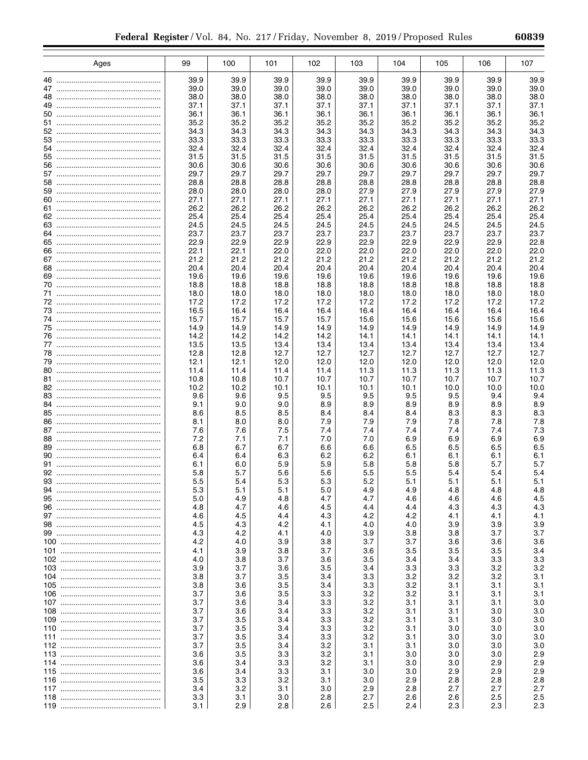|    | Ages | 99           | 100          | 101          | 102          | 103          | 104          | 105          | 106          | 107          |
|----|------|--------------|--------------|--------------|--------------|--------------|--------------|--------------|--------------|--------------|
|    |      | 39.9         | 39.9         | 39.9         | 39.9         | 39.9         | 39.9         | 39.9         | 39.9         | 39.9         |
|    |      | 39.0         | 39.0         | 39.0         | 39.0         | 39.0         | 39.0         | 39.0         | 39.0         | 39.0         |
|    |      | 38.0         | 38.0         | 38.0         | 38.0         | 38.0         | 38.0         | 38.0         | 38.0         | 38.0         |
|    |      | 37.1         | 37.1         | 37.1         | 37.1         | 37.1         | 37.1         | 37.1         | 37.1         | 37.1         |
|    |      | 36.1         | 36.1         | 36.1         | 36.1         | 36.1         | 36.1         | 36.1         | 36.1         | 36.1         |
|    |      | 35.2<br>34.3 | 35.2<br>34.3 | 35.2<br>34.3 | 35.2<br>34.3 | 35.2<br>34.3 | 35.2<br>34.3 | 35.2<br>34.3 | 35.2<br>34.3 | 35.2<br>34.3 |
|    |      | 33.3         | 33.3         | 33.3         | 33.3         | 33.3         | 33.3         | 33.3         | 33.3         | 33.3         |
| 54 |      | 32.4         | 32.4         | 32.4         | 32.4         | 32.4         | 32.4         | 32.4         | 32.4         | 32.4         |
|    |      | 31.5         | 31.5         | 31.5         | 31.5         | 31.5         | 31.5         | 31.5         | 31.5         | 31.5         |
|    |      | 30.6         | 30.6         | 30.6         | 30.6         | 30.6         | 30.6         | 30.6         | 30.6         | 30.6         |
|    |      | 29.7         | 29.7         | 29.7         | 29.7         | 29.7         | 29.7         | 29.7         | 29.7         | 29.7         |
| 58 |      | 28.8<br>28.0 | 28.8<br>28.0 | 28.8<br>28.0 | 28.8<br>28.0 | 28.8<br>27.9 | 28.8<br>27.9 | 28.8<br>27.9 | 28.8<br>27.9 | 28.8<br>27.9 |
|    |      | 27.1         | 27.1         | 27.1         | 27.1         | 27.1         | 27.1         | 27.1         | 27.1         | 27.1         |
|    |      | 26.2         | 26.2         | 26.2         | 26.2         | 26.2         | 26.2         | 26.2         | 26.2         | 26.2         |
|    |      | 25.4         | 25.4         | 25.4         | 25.4         | 25.4         | 25.4         | 25.4         | 25.4         | 25.4         |
|    |      | 24.5         | 24.5         | 24.5         | 24.5         | 24.5         | 24.5         | 24.5         | 24.5         | 24.5         |
|    |      | 23.7         | 23.7         | 23.7         | 23.7         | 23.7         | 23.7         | 23.7         | 23.7         | 23.7         |
|    |      | 22.9         | 22.9         | 22.9         | 22.9         | 22.9         | 22.9         | 22.9         | 22.9         | 22.8         |
|    |      | 22.1<br>21.2 | 22.1<br>21.2 | 22.0<br>21.2 | 22.0<br>21.2 | 22.0<br>21.2 | 22.0<br>21.2 | 22.0<br>21.2 | 22.0<br>21.2 | 22.0<br>21.2 |
|    |      | 20.4         | 20.4         | 20.4         | 20.4         | 20.4         | 20.4         | 20.4         | 20.4         | 20.4         |
|    |      | 19.6         | 19.6         | 19.6         | 19.6         | 19.6         | 19.6         | 19.6         | 19.6         | 19.6         |
|    |      | 18.8         | 18.8         | 18.8         | 18.8         | 18.8         | 18.8         | 18.8         | 18.8         | 18.8         |
|    |      | 18.0         | 18.0         | 18.0         | 18.0         | 18.0         | 18.0         | 18.0         | 18.0         | 18.0         |
|    |      | 17.2         | 17.2         | 17.2         | 17.2         | 17.2         | 17.2         | 17.2         | 17.2         | 17.2         |
|    |      | 16.5<br>15.7 | 16.4<br>15.7 | 16.4<br>15.7 | 16.4<br>15.7 | 16.4<br>15.6 | 16.4<br>15.6 | 16.4<br>15.6 | 16.4<br>15.6 | 16.4<br>15.6 |
|    |      | 14.9         | 14.9         | 14.9         | 14.9         | 14.9         | 14.9         | 14.9         | 14.9         | 14.9         |
|    |      | 14.2         | 14.2         | 14.2         | 14.2         | 14.1         | 14.1         | 14.1         | 14.1         | 14.1         |
|    |      | 13.5         | 13.5         | 13.4         | 13.4         | 13.4         | 13.4         | 13.4         | 13.4         | 13.4         |
|    |      | 12.8         | 12.8         | 12.7         | 12.7         | 12.7         | 12.7         | 12.7         | 12.7         | 12.7         |
|    |      | 12.1         | 12.1         | 12.0         | 12.0         | 12.0         | 12.0         | 12.0         | 12.0         | 12.0         |
|    |      | 11.4<br>10.8 | 11.4<br>10.8 | 11.4<br>10.7 | 11.4<br>10.7 | 11.3<br>10.7 | 11.3<br>10.7 | 11.3<br>10.7 | 11.3<br>10.7 | 11.3<br>10.7 |
|    |      | 10.2         | 10.2         | 10.1         | 10.1         | 10.1         | 10.1         | 10.0         | 10.0         | 10.0         |
|    |      | 9.6          | 9.6          | 9.5          | 9.5          | 9.5          | 9.5          | 9.5          | 9.4          | 9.4          |
|    |      | 9.1          | 9.0          | 9.0          | 8.9          | 8.9          | 8.9          | 8.9          | 8.9          | 8.9          |
|    |      | 8.6          | 8.5          | 8.5          | 8.4          | 8.4          | 8.4          | 8.3          | 8.3          | 8.3          |
|    |      | 8.1          | 8.0          | 8.0          | 7.9          | 7.9          | 7.9          | 7.8          | 7.8          | 7.8          |
|    |      | 7.6<br>7.2   | 7.6<br>7.1   | 7.5<br>7.1   | 7.4<br>7.0   | 7.4<br>7.0   | 7.4<br>6.9   | 7.4<br>6.9   | 7.4<br>6.9   | 7.3<br>6.9   |
|    |      | 6.8          | 6.7          | 6.7          | 6.6          | 6.6          | 6.5          | 6.5          | 6.5          | 6.5          |
|    |      | 6.4          | 6.4          | 6.3          | 6.2          | 6.2          | 6.1          | 6.1          | 6.1          | 6.1          |
|    |      | 6.1          | 6.0          | 5.9          | 5.9          | 5.8          | 5.8          | 5.8          | 5.7          | 5.7          |
|    |      | 5.8          | 5.7          | 5.6          | 5.6          | 5.5          | 5.5          | 5.4          | 5.4          | 5.4          |
| 93 |      | 5.5          | 5.4          | 5.3          | 5.3          | 5.2          | 5.1          | 5.1          | 5.1          | 5.1          |
| 94 |      | 5.3          | 5.1          | 5.1          | 5.0          | 4.9          | 4.9          | 4.8          | 4.8          | 4.8          |
|    |      | 5.0<br>4.8   | 4.9<br>4.7   | 4.8<br>4.6   | 4.7<br>4.5   | 4.7<br>4.4   | 4.6<br>4.4   | 4.6<br>4.3   | 4.6<br>4.3   | 4.5<br>4.3   |
|    |      | 4.6          | 4.5          | 4.4          | 4.3          | 4.2          | 4.2          | 4.1          | 4.1          | 4.1          |
|    |      | 4.5          | 4.3          | 4.2          | 4.1          | 4.0          | 4.0          | 3.9          | 3.9          | 3.9          |
|    |      | 4.3          | 4.2          | 4.1          | 4.0          | 3.9          | 3.8          | 3.8          | 3.7          | 3.7          |
|    |      | 4.2          | 4.0          | 3.9          | 3.8          | 3.7          | 3.7          | 3.6          | 3.6          | 3.6          |
|    |      | 4.1<br>4.0   | 3.9          | 3.8          | 3.7          | 3.6<br>3.5   | 3.5          | 3.5<br>3.4   | 3.5<br>3.3   | 3.4          |
|    |      | 3.9          | 3.8<br>3.7   | 3.7<br>3.6   | 3.6<br>3.5   | 3.4          | 3.4<br>3.3   | 3.3          | 3.2          | 3.3<br>3.2   |
|    |      | 3.8          | 3.7          | 3.5          | 3.4          | 3.3          | 3.2          | 3.2          | 3.2          | 3.1          |
|    |      | 3.8          | 3.6          | 3.5          | 3.4          | 3.3          | 3.2          | 3.1          | 3.1          | 3.1          |
|    |      | 3.7          | 3.6          | 3.5          | 3.3          | 3.2          | 3.2          | 3.1          | 3.1          | 3.1          |
|    |      | 3.7          | 3.6          | 3.4          | 3.3          | 3.2          | 3.1          | 3.1          | 3.1          | 3.0          |
|    |      | 3.7          | 3.6          | 3.4          | 3.3          | 3.2          | 3.1          | 3.1          | 3.0          | 3.0          |
|    |      | 3.7<br>3.7   | 3.5<br>3.5   | 3.4          | 3.3<br>3.3   | 3.2<br>3.2   | 3.1<br>3.1   | 3.1<br>3.0   | 3.0<br>3.0   | 3.0<br>3.0   |
|    |      | 3.7          | 3.5          | 3.4<br>3.4   | 3.3          | 3.2          | 3.1          | 3.0          | 3.0          | 3.0          |
|    |      | 3.7          | 3.5          | 3.4          | 3.2          | 3.1          | 3.1          | 3.0          | 3.0          | 3.0          |
|    |      | 3.6          | 3.5          | 3.3          | 3.2          | 3.1          | 3.0          | 3.0          | 3.0          | 2.9          |
|    |      | 3.6          | 3.4          | 3.3          | 3.2          | 3.1          | 3.0          | 3.0          | 2.9          | 2.9          |
|    |      | 3.6          | 3.4          | 3.3          | 3.1          | 3.0          | 3.0          | 2.9          | 2.9          | 2.9          |
|    |      | 3.5          | 3.3          | 3.2          | 3.1          | 3.0          | 2.9          | 2.8          | 2.8          | 2.8          |
|    |      | 3.4          | 3.2          | 3.1          | 3.0          | 2.9          | 2.8          | 2.7          | 2.7          | 2.7          |
|    |      | 3.3<br>3.1   | 3.1<br>2.9   | 3.0<br>2.8   | 2.8<br>2.6   | 2.7<br>2.5   | 2.6<br>2.4   | 2.6<br>2.3   | 2.5<br>2.3   | 2.5<br>2.3   |
|    |      |              |              |              |              |              |              |              |              |              |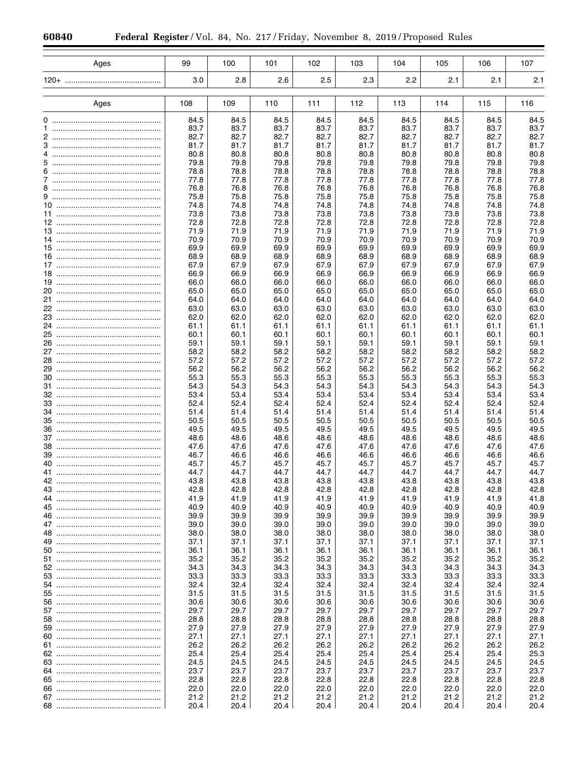| Ages                 | 99   | 100  | 101  | 102  | 103  | 104  | 105  | 106  | 107  |
|----------------------|------|------|------|------|------|------|------|------|------|
|                      |      |      |      |      |      |      |      |      |      |
| 120+ ……………………………………… | 3.0  | 2.8  | 2.6  | 2.5  | 2.3  | 2.2  | 2.1  | 2.1  | 2.1  |
|                      |      |      |      |      |      |      |      |      |      |
|                      |      |      |      |      |      |      |      |      |      |
| Ages                 | 108  | 109  | 110  | 111  | 112  | 113  | 114  | 115  | 116  |
|                      |      |      |      |      |      |      |      |      |      |
| 0                    | 84.5 | 84.5 | 84.5 | 84.5 | 84.5 | 84.5 | 84.5 | 84.5 | 84.5 |
| 1                    | 83.7 | 83.7 | 83.7 | 83.7 | 83.7 | 83.7 | 83.7 | 83.7 | 83.7 |
| 2                    | 82.7 | 82.7 | 82.7 | 82.7 | 82.7 | 82.7 | 82.7 | 82.7 | 82.7 |
|                      | 81.7 | 81.7 | 81.7 | 81.7 | 81.7 | 81.7 | 81.7 | 81.7 | 81.7 |
| 4                    | 80.8 | 80.8 | 80.8 | 80.8 | 80.8 | 80.8 | 80.8 | 80.8 | 80.8 |
|                      | 79.8 | 79.8 | 79.8 | 79.8 | 79.8 | 79.8 | 79.8 | 79.8 | 79.8 |
| 6                    | 78.8 | 78.8 | 78.8 | 78.8 | 78.8 | 78.8 | 78.8 | 78.8 | 78.8 |
|                      | 77.8 | 77.8 | 77.8 | 77.8 | 77.8 | 77.8 | 77.8 | 77.8 | 77.8 |
| 8                    | 76.8 | 76.8 | 76.8 | 76.8 | 76.8 | 76.8 | 76.8 | 76.8 | 76.8 |
|                      | 75.8 | 75.8 | 75.8 | 75.8 | 75.8 | 75.8 | 75.8 | 75.8 | 75.8 |
|                      | 74.8 | 74.8 | 74.8 | 74.8 | 74.8 | 74.8 | 74.8 | 74.8 | 74.8 |
|                      | 73.8 | 73.8 | 73.8 | 73.8 | 73.8 | 73.8 | 73.8 | 73.8 | 73.8 |
|                      | 72.8 | 72.8 | 72.8 | 72.8 | 72.8 | 72.8 | 72.8 | 72.8 | 72.8 |
|                      | 71.9 | 71.9 | 71.9 | 71.9 | 71.9 | 71.9 | 71.9 | 71.9 | 71.9 |
|                      | 70.9 | 70.9 | 70.9 | 70.9 | 70.9 | 70.9 | 70.9 | 70.9 | 70.9 |
|                      | 69.9 | 69.9 | 69.9 | 69.9 | 69.9 | 69.9 | 69.9 | 69.9 | 69.9 |
|                      | 68.9 | 68.9 | 68.9 | 68.9 | 68.9 | 68.9 | 68.9 | 68.9 | 68.9 |
|                      | 67.9 | 67.9 | 67.9 | 67.9 | 67.9 | 67.9 | 67.9 | 67.9 | 67.9 |
|                      | 66.9 | 66.9 | 66.9 | 66.9 | 66.9 | 66.9 | 66.9 | 66.9 | 66.9 |
|                      | 66.0 | 66.0 | 66.0 | 66.0 | 66.0 | 66.0 | 66.0 | 66.0 | 66.0 |
|                      | 65.0 | 65.0 | 65.0 | 65.0 | 65.0 | 65.0 | 65.0 | 65.0 | 65.0 |
|                      | 64.0 | 64.0 | 64.0 | 64.0 | 64.0 | 64.0 | 64.0 | 64.0 | 64.0 |
|                      | 63.0 | 63.0 | 63.0 | 63.0 | 63.0 | 63.0 | 63.0 | 63.0 | 63.0 |
|                      | 62.0 | 62.0 | 62.0 | 62.0 | 62.0 | 62.0 | 62.0 | 62.0 | 62.0 |
|                      | 61.1 | 61.1 | 61.1 | 61.1 | 61.1 | 61.1 | 61.1 | 61.1 | 61.1 |
|                      | 60.1 | 60.1 | 60.1 | 60.1 | 60.1 | 60.1 | 60.1 | 60.1 | 60.1 |
|                      | 59.1 | 59.1 | 59.1 | 59.1 | 59.1 | 59.1 | 59.1 | 59.1 | 59.1 |
|                      | 58.2 | 58.2 | 58.2 | 58.2 | 58.2 | 58.2 | 58.2 | 58.2 | 58.2 |
|                      | 57.2 | 57.2 | 57.2 | 57.2 | 57.2 | 57.2 | 57.2 | 57.2 | 57.2 |
|                      |      |      |      |      |      |      |      |      |      |
|                      | 56.2 | 56.2 | 56.2 | 56.2 | 56.2 | 56.2 | 56.2 | 56.2 | 56.2 |
|                      | 55.3 | 55.3 | 55.3 | 55.3 | 55.3 | 55.3 | 55.3 | 55.3 | 55.3 |
|                      | 54.3 | 54.3 | 54.3 | 54.3 | 54.3 | 54.3 | 54.3 | 54.3 | 54.3 |
|                      | 53.4 | 53.4 | 53.4 | 53.4 | 53.4 | 53.4 | 53.4 | 53.4 | 53.4 |
|                      | 52.4 | 52.4 | 52.4 | 52.4 | 52.4 | 52.4 | 52.4 | 52.4 | 52.4 |
|                      | 51.4 | 51.4 | 51.4 | 51.4 | 51.4 | 51.4 | 51.4 | 51.4 | 51.4 |
|                      | 50.5 | 50.5 | 50.5 | 50.5 | 50.5 | 50.5 | 50.5 | 50.5 | 50.5 |
|                      | 49.5 | 49.5 | 49.5 | 49.5 | 49.5 | 49.5 | 49.5 | 49.5 | 49.5 |
|                      | 48.6 | 48.6 | 48.6 | 48.6 | 48.6 | 48.6 | 48.6 | 48.6 | 48.6 |
|                      | 47.6 | 47.6 | 47.6 | 47.6 | 47.6 | 47.6 | 47.6 | 47.6 | 47.6 |
|                      | 46.7 | 46.6 | 46.6 | 46.6 | 46.6 | 46.6 | 46.6 | 46.6 | 46.6 |
|                      | 45.7 | 45.7 | 45.7 | 45.7 | 45.7 | 45.7 | 45.7 | 45.7 | 45.7 |
|                      | 44.7 | 44.7 | 44.7 | 44.7 | 44.7 | 44.7 | 44.7 | 44.7 | 44.7 |
| 42                   | 43.8 | 43.8 | 43.8 | 43.8 | 43.8 | 43.8 | 43.8 | 43.8 | 43.8 |
|                      | 42.8 | 42.8 | 42.8 | 42.8 | 42.8 | 42.8 | 42.8 | 42.8 | 42.8 |
|                      | 41.9 | 41.9 | 41.9 | 41.9 | 41.9 | 41.9 | 41.9 | 41.9 | 41.8 |
|                      | 40.9 | 40.9 | 40.9 | 40.9 | 40.9 | 40.9 | 40.9 | 40.9 | 40.9 |
|                      | 39.9 | 39.9 | 39.9 | 39.9 | 39.9 | 39.9 | 39.9 | 39.9 | 39.9 |
|                      | 39.0 | 39.0 | 39.0 | 39.0 | 39.0 | 39.0 | 39.0 | 39.0 | 39.0 |
|                      | 38.0 | 38.0 | 38.0 | 38.0 | 38.0 | 38.0 | 38.0 | 38.0 | 38.0 |
|                      | 37.1 | 37.1 | 37.1 | 37.1 | 37.1 | 37.1 | 37.1 | 37.1 | 37.1 |
|                      | 36.1 | 36.1 | 36.1 | 36.1 | 36.1 | 36.1 | 36.1 | 36.1 | 36.1 |
|                      | 35.2 | 35.2 | 35.2 | 35.2 | 35.2 | 35.2 | 35.2 | 35.2 | 35.2 |
|                      | 34.3 | 34.3 | 34.3 | 34.3 | 34.3 | 34.3 | 34.3 | 34.3 | 34.3 |
|                      | 33.3 | 33.3 | 33.3 | 33.3 | 33.3 | 33.3 | 33.3 | 33.3 | 33.3 |
|                      | 32.4 | 32.4 | 32.4 | 32.4 | 32.4 | 32.4 | 32.4 | 32.4 | 32.4 |
|                      | 31.5 | 31.5 | 31.5 | 31.5 | 31.5 | 31.5 | 31.5 | 31.5 | 31.5 |
|                      | 30.6 | 30.6 | 30.6 | 30.6 | 30.6 | 30.6 | 30.6 | 30.6 | 30.6 |
|                      | 29.7 | 29.7 | 29.7 | 29.7 | 29.7 | 29.7 | 29.7 | 29.7 | 29.7 |
|                      | 28.8 | 28.8 | 28.8 | 28.8 | 28.8 | 28.8 | 28.8 | 28.8 | 28.8 |
|                      | 27.9 | 27.9 | 27.9 | 27.9 | 27.9 | 27.9 | 27.9 | 27.9 | 27.9 |
|                      | 27.1 | 27.1 | 27.1 | 27.1 | 27.1 | 27.1 | 27.1 | 27.1 | 27.1 |
|                      | 26.2 | 26.2 | 26.2 | 26.2 | 26.2 | 26.2 | 26.2 | 26.2 | 26.2 |
|                      | 25.4 | 25.4 | 25.4 | 25.4 | 25.4 | 25.4 | 25.4 | 25.4 | 25.3 |
|                      | 24.5 | 24.5 | 24.5 | 24.5 | 24.5 | 24.5 | 24.5 | 24.5 | 24.5 |
|                      | 23.7 | 23.7 | 23.7 | 23.7 | 23.7 | 23.7 | 23.7 | 23.7 | 23.7 |
|                      | 22.8 | 22.8 | 22.8 | 22.8 | 22.8 | 22.8 | 22.8 | 22.8 | 22.8 |
|                      | 22.0 | 22.0 | 22.0 | 22.0 | 22.0 | 22.0 | 22.0 | 22.0 | 22.0 |
|                      | 21.2 | 21.2 | 21.2 | 21.2 | 21.2 | 21.2 | 21.2 | 21.2 | 21.2 |
|                      | 20.4 | 20.4 | 20.4 | 20.4 | 20.4 | 20.4 | 20.4 | 20.4 | 20.4 |
|                      |      |      |      |      |      |      |      |      |      |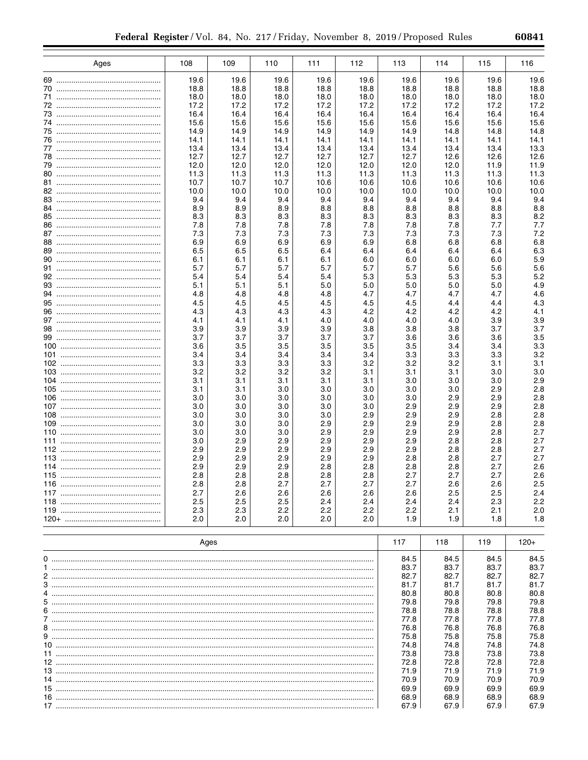| 80i |
|-----|
|-----|

| Ages | 108          | 109          | 110          | 111          | 112          | 113          | 114          | 115          | 116          |
|------|--------------|--------------|--------------|--------------|--------------|--------------|--------------|--------------|--------------|
|      | 19.6         | 19.6         | 19.6         | 19.6         | 19.6         | 19.6         | 19.6         | 19.6         | 19.6         |
|      | 18.8         | 18.8         | 18.8         | 18.8         | 18.8         | 18.8         | 18.8         | 18.8         | 18.8         |
|      | 18.0         | 18.0         | 18.0         | 18.0         | 18.0         | 18.0         | 18.0         | 18.0         | 18.0         |
|      | 17.2<br>16.4 | 17.2         | 17.2         | 17.2         | 17.2         | 17.2         | 17.2         | 17.2         | 17.2         |
|      | 15.6         | 16.4<br>15.6 | 16.4<br>15.6 | 16.4<br>15.6 | 16.4<br>15.6 | 16.4<br>15.6 | 16.4<br>15.6 | 16.4<br>15.6 | 16.4<br>15.6 |
|      | 14.9         | 14.9         | 14.9         | 14.9         | 14.9         | 14.9         | 14.8         | 14.8         | 14.8         |
|      | 14.1         | 14.1         | 14.1         | 14.1         | 14.1         | 14.1         | 14.1         | 14.1         | 14.1         |
|      | 13.4         | 13.4         | 13.4         | 13.4         | 13.4         | 13.4         | 13.4         | 13.4         | 13.3         |
|      | 12.7         | 12.7         | 12.7         | 12.7         | 12.7         | 12.7         | 12.6         | 12.6         | 12.6         |
|      | 12.0<br>11.3 | 12.0<br>11.3 | 12.0<br>11.3 | 12.0<br>11.3 | 12.0<br>11.3 | 12.0<br>11.3 | 12.0<br>11.3 | 11.9<br>11.3 | 11.9<br>11.3 |
|      | 10.7         | 10.7         | 10.7         | 10.6         | 10.6         | 10.6         | 10.6         | 10.6         | 10.6         |
|      | 10.0         | 10.0         | 10.0         | 10.0         | 10.0         | 10.0         | 10.0         | 10.0         | 10.0         |
|      | 9.4          | 9.4          | 9.4          | 9.4          | 9.4          | 9.4          | 9.4          | 9.4          | 9.4          |
|      | 8.9          | 8.9          | 8.9          | 8.8          | 8.8          | 8.8          | 8.8          | 8.8          | 8.8          |
|      | 8.3          | 8.3          | 8.3          | 8.3          | 8.3          | 8.3          | 8.3          | 8.3          | 8.2          |
|      | 7.8<br>7.3   | 7.8<br>7.3   | 7.8<br>7.3   | 7.8<br>7.3   | 7.8<br>7.3   | 7.8<br>7.3   | 7.8<br>7.3   | 7.7<br>7.3   | 7.7<br>7.2   |
|      | 6.9          | 6.9          | 6.9          | 6.9          | 6.9          | 6.8          | 6.8          | 6.8          | 6.8          |
|      | 6.5          | 6.5          | 6.5          | 6.4          | 6.4          | 6.4          | 6.4          | 6.4          | 6.3          |
|      | 6.1          | 6.1          | 6.1          | 6.1          | 6.0          | 6.0          | 6.0          | 6.0          | 5.9          |
|      | 5.7          | 5.7          | 5.7          | 5.7          | 5.7          | 5.7          | 5.6          | 5.6          | 5.6          |
|      | 5.4          | 5.4          | 5.4          | 5.4          | 5.3          | 5.3          | 5.3          | 5.3          | 5.2          |
|      | 5.1          | 5.1          | 5.1          | 5.0          | 5.0          | 5.0          | 5.0          | 5.0          | 4.9          |
|      | 4.8<br>4.5   | 4.8<br>4.5   | 4.8<br>4.5   | 4.8<br>4.5   | 4.7<br>4.5   | 4.7<br>4.5   | 4.7<br>4.4   | 4.7<br>4.4   | 4.6<br>4.3   |
|      | 4.3          | 4.3          | 4.3          | 4.3          | 4.2          | 4.2          | 4.2          | 4.2          | 4.1          |
|      | 4.1          | 4.1          | 4.1          | 4.0          | 4.0          | 4.0          | 4.0          | 3.9          | 3.9          |
|      | 3.9          | 3.9          | 3.9          | 3.9          | 3.8          | 3.8          | 3.8          | 3.7          | 3.7          |
|      | 3.7          | 3.7          | 3.7          | 3.7          | 3.7          | 3.6          | 3.6          | 3.6          | 3.5          |
|      | 3.6          | 3.5          | 3.5          | 3.5          | 3.5          | 3.5          | 3.4          | 3.4          | 3.3          |
|      | 3.4          | 3.4          | 3.4          | 3.4          | 3.4          | 3.3          | 3.3          | 3.3          | 3.2          |
|      | 3.3<br>3.2   | 3.3<br>3.2   | 3.3<br>3.2   | 3.3<br>3.2   | 3.2<br>3.1   | 3.2<br>3.1   | 3.2<br>3.1   | 3.1<br>3.0   | 3.1<br>3.0   |
|      | 3.1          | 3.1          | 3.1          | 3.1          | 3.1          | 3.0          | 3.0          | 3.0          | 2.9          |
|      | 3.1          | 3.1          | 3.0          | 3.0          | 3.0          | 3.0          | 3.0          | 2.9          | 2.8          |
|      | 3.0          | 3.0          | 3.0          | 3.0          | 3.0          | 3.0          | 2.9          | 2.9          | 2.8          |
|      | 3.0          | 3.0          | 3.0          | 3.0          | 3.0          | 2.9          | 2.9          | 2.9          | 2.8          |
|      | 3.0          | 3.0          | 3.0          | 3.0          | 2.9          | 2.9          | 2.9          | 2.8          | 2.8          |
|      | 3.0<br>3.0   | 3.0<br>3.0   | 3.0<br>3.0   | 2.9<br>2.9   | 2.9<br>2.9   | 2.9<br>2.9   | 2.9<br>2.9   | 2.8<br>2.8   | 2.8<br>2.7   |
|      | 3.0          | 2.9          | 2.9          | 2.9          | 2.9          | 2.9          | 2.8          | 2.8          | 2.7          |
|      | 2.9          | 2.9          | 2.9          | 2.9          | 2.9          | 2.9          | 2.8          | 2.8          | 2.7          |
|      | 2.9          | 2.9          | 2.9          | 2.9          | 2.9          | 2.8          | 2.8          | 2.7          | 2.7          |
|      | 2.9          | 2.9          | 2.9          | 2.8          | 2.8          | 2.8          | 2.8          | 2.7          | 2.6          |
| 115  | 2.8          | 2.8          | 2.8          | 2.8          | 2.8          | 2.7          | 2.7          | 2.7          | 2.6          |
|      | 2.8<br>2.7   | 2.8<br>2.6   | 2.7<br>2.6   | 2.7<br>2.6   | 2.7<br>2.6   | 2.7<br>2.6   | 2.6<br>2.5   | 2.6<br>2.5   | 2.5<br>2.4   |
|      | 2.5          | 2.5          | 2.5          | 2.4          | 2.4          | 2.4          | 2.4          | 2.3          | 2.2          |
|      | 2.3          | 2.3          | 2.2          | 2.2          | 2.2          | 2.2          | 2.1          | 2.1          | 2.0          |
|      | 2.0          | 2.0          | 2.0          | 2.0          | 2.0          | 1.9          | 1.9          | 1.8          | 1.8          |
|      |              |              |              |              |              |              |              |              |              |
|      |              | Ages         |              |              |              | 117          | 118          | 119          | $120+$       |
|      |              |              |              |              |              |              |              |              |              |
|      |              |              |              |              |              | 84.5<br>83.7 | 84.5         | 84.5         | 84.5<br>83.7 |
|      |              |              |              |              |              | 82.7         | 83.7<br>82.7 | 83.7<br>82.7 | 82.7         |
|      |              |              |              |              |              | 81.7         | 81.7         | 81.7         | 81.7         |
|      |              |              |              |              |              | 80.8         | 80.8         | 80.8         | 80.8         |
|      |              |              |              |              |              | 79.8         | 79.8         | 79.8         | 79.8         |
|      |              |              |              |              |              | 78.8         | 78.8         | 78.8         | 78.8         |
|      |              |              |              |              |              | 77.8         | 77.8         | 77.8         | 77.8         |
|      |              |              |              |              |              | 76.8<br>75.8 | 76.8<br>75.8 | 76.8         | 76.8<br>75.8 |
|      |              |              |              |              |              | 74.8         | 74.8         | 75.8<br>74.8 | 74.8         |
|      |              |              |              |              |              | 73.8         | 73.8         | 73.8         | 73.8         |
|      |              |              |              |              |              | 72.8         | 72.8         | 72.8         | 72.8         |
|      |              |              |              |              |              | 71.9         | 71.9         | 71.9         | 71.9         |
|      |              |              |              |              |              | 70.9         | 70.9         | 70.9         | 70.9         |
|      |              |              |              |              |              | 69.9         | 69.9         | 69.9         | 69.9         |
|      |              |              |              |              |              | 68.9<br>67.9 | 68.9<br>67.9 | 68.9<br>67.9 | 68.9<br>67.9 |
|      |              |              |              |              |              |              |              |              |              |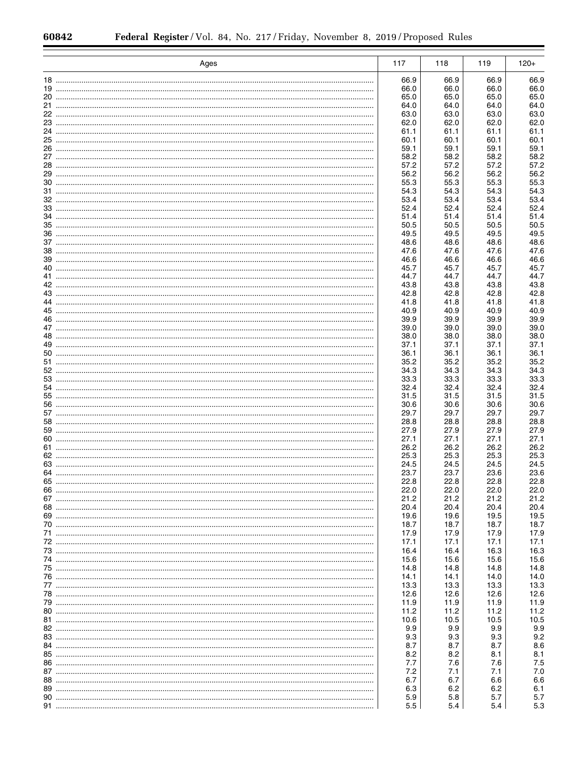|    | Ages | 117          | 118          | 119          | $120+$       |
|----|------|--------------|--------------|--------------|--------------|
|    |      | 66.9         | 66.9         | 66.9         | 66.9         |
|    |      | 66.0         | 66.0         | 66.0         | 66.0         |
|    |      | 65.0         | 65.0         | 65.0         | 65.0         |
|    |      | 64.0         | 64.0         | 64.0         | 64.0         |
|    |      | 63.0         | 63.0         | 63.0         | 63.0         |
|    |      | 62.0         | 62.0         | 62.0         | 62.0         |
|    |      | 61.1         | 61.1         | 61.1         | 61.1         |
|    |      | 60.1         | 60.1         | 60.1         | 60.1         |
|    |      | 59.1         | 59.1         | 59.1         | 59.1         |
|    |      | 58.2         | 58.2         | 58.2         | 58.2         |
|    |      | 57.2         | 57.2         | 57.2         | 57.2         |
|    |      | 56.2         | 56.2         | 56.2         | 56.2         |
|    |      | 55.3         | 55.3         | 55.3         | 55.3         |
|    |      | 54.3         | 54.3         | 54.3         | 54.3         |
|    |      | 53.4         | 53.4         | 53.4         | 53.4         |
|    |      | 52.4         | 52.4         | 52.4         | 52.4         |
|    |      | 51.4         | 51.4         | 51.4         | 51.4         |
|    |      | 50.5         | 50.5         | 50.5         | 50.5         |
|    |      | 49.5         | 49.5         | 49.5         | 49.5         |
|    |      | 48.6         | 48.6         | 48.6         | 48.6         |
|    |      | 47.6         | 47.6         | 47.6         | 47.6         |
|    |      | 46.6         | 46.6         | 46.6         | 46.6         |
|    |      | 45.7         | 45.7         | 45.7         | 45.7         |
|    |      | 44.7         | 44.7         | 44.7         | 44.7         |
|    |      | 43.8         | 43.8         | 43.8         | 43.8         |
|    |      | 42.8         | 42.8         | 42.8         | 42.8         |
|    |      | 41.8         | 41.8         | 41.8         | 41.8         |
|    |      | 40.9         | 40.9         | 40.9         | 40.9         |
|    |      | 39.9         | 39.9         | 39.9         | 39.9         |
|    |      | 39.0         | 39.0         | 39.0         | 39.0         |
|    |      | 38.0         | 38.0         | 38.0         | 38.0         |
|    |      | 37.1         | 37.1         | 37.1         | 37.1         |
|    |      | 36.1         | 36.1         | 36.1         | 36.1         |
|    |      | 35.2         | 35.2         | 35.2         | 35.2         |
|    |      | 34.3         | 34.3         | 34.3         | 34.3         |
|    |      | 33.3         | 33.3         | 33.3         | 33.3         |
|    |      | 32.4         | 32.4         | 32.4         | 32.4         |
|    |      | 31.5         | 31.5         | 31.5         | 31.5         |
|    |      | 30.6         | 30.6         | 30.6         | 30.6         |
|    |      | 29.7<br>28.8 | 29.7<br>28.8 | 29.7<br>28.8 | 29.7<br>28.8 |
|    |      | 27.9         | 27.9         | 27.9         | 27.9         |
|    |      | 27.1         | 27.1         | 27.1         | 27.1         |
|    |      | 26.2         | 26.2         | 26.2         | 26.2         |
|    |      | 25.3         | 25.3         | 25.3         | 25.3         |
|    |      | 24.5         | 24.5         | 24.5         | 24.5         |
|    |      | 23.7         | 23.7         | 23.6         | 23.6         |
| 65 |      | 22.8         | 22.8         | 22.8         | 22.8         |
|    |      | 22.0         | 22.0         | 22.0         | 22.0         |
|    |      | 21.2         | 21.2         | 21.2         | 21.2         |
|    |      | 20.4         | 20.4         | 20.4         | 20.4         |
|    |      | 19.6         | 19.6         | 19.5         | 19.5         |
|    |      | 18.7         | 18.7         | 18.7         | 18.7         |
|    |      | 17.9         | 17.9         | 17.9         | 17.9         |
|    |      | 17.1         | 17.1         | 17.1         | 17.1         |
|    |      | 16.4         | 16.4         | 16.3         | 16.3         |
|    |      | 15.6         | 15.6         | 15.6         | 15.6         |
|    |      | 14.8         | 14.8         | 14.8         | 14.8         |
|    |      | 14.1         | 14.1         | 14.0         | 14.0         |
|    |      | 13.3         | 13.3         | 13.3         | 13.3         |
|    |      | 12.6         | 12.6         | 12.6         | 12.6         |
|    |      | 11.9         | 11.9         | 11.9         | 11.9         |
|    |      | 11.2         | 11.2         | 11.2         | 11.2         |
|    |      | 10.6         | 10.5         | 10.5         | 10.5         |
|    |      | 9.9          | 9.9          | 9.9          | 9.9          |
|    |      | 9.3          | 9.3          | 9.3          | 9.2          |
|    |      | 8.7          | 8.7          | 8.7          | 8.6          |
|    |      | 8.2          | 8.2          | 8.1          | 8.1          |
|    |      | 7.7          | 7.6          | 7.6          | 7.5          |
|    |      | 7.2          | 7.1          | 7.1          | 7.0          |
|    |      | 6.7          | 6.7          | 6.6          | 6.6          |
|    |      | 6.3          | 6.2          | 6.2          | 6.1          |
|    |      | 5.9          | 5.8          | 5.7          | 5.7          |
|    |      | 5.5          | 5.4          | 5.4          | 5.3          |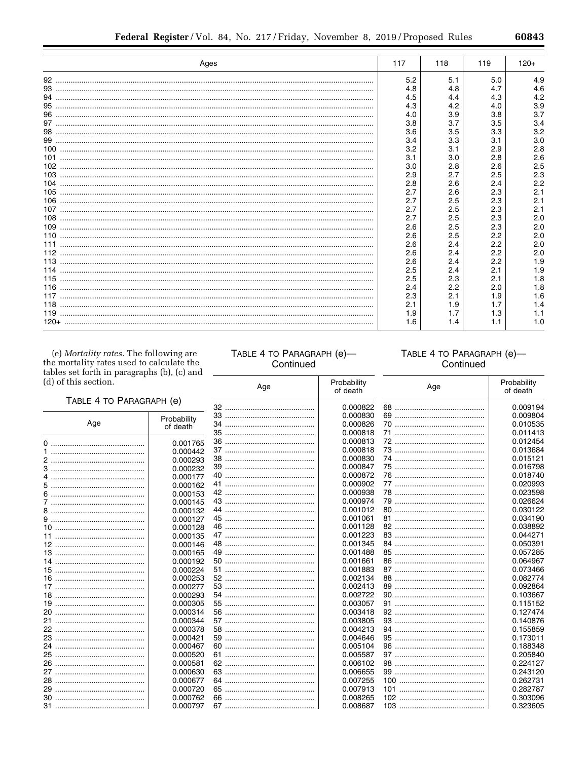e.

|     | Ages | 117 | 118 | 119 | $120+$ |
|-----|------|-----|-----|-----|--------|
|     |      | 5.2 | 5.1 | 5.0 | 4.9    |
|     |      | 4.8 | 4.8 | 4.7 | 4.6    |
| 94  |      | 4.5 | 4.4 | 4.3 | 4.2    |
| 95  |      | 4.3 | 4.2 | 4.0 | 3.9    |
|     |      | 4.0 | 3.9 | 3.8 | 3.7    |
| 97  |      | 3.8 | 3.7 | 3.5 | 3.4    |
|     |      | 3.6 | 3.5 | 3.3 | 3.2    |
|     |      | 3.4 | 3.3 | 3.1 | 3.0    |
|     |      | 3.2 | 3.1 | 2.9 | 2.8    |
|     |      | 3.1 | 3.0 | 2.8 | 2.6    |
|     |      | 3.0 | 2.8 | 2.6 | 2.5    |
|     |      | 2.9 | 2.7 | 2.5 | 2.3    |
|     |      | 2.8 | 2.6 | 2.4 | 2.2    |
|     |      | 2.7 | 2.6 | 2.3 | 2.1    |
|     |      | 2.7 | 2.5 | 2.3 | 2.1    |
|     |      | 2.7 | 2.5 | 2.3 | 2.1    |
|     |      | 2.7 | 2.5 | 2.3 | 2.0    |
|     |      | 2.6 | 2.5 | 2.3 | 2.0    |
|     |      | 2.6 | 2.5 | 2.2 | 2.0    |
|     |      | 2.6 | 2.4 | 2.2 | 2.0    |
|     |      | 2.6 | 2.4 | 2.2 | 2.0    |
|     |      | 2.6 | 2.4 | 2.2 | 1.9    |
|     |      | 2.5 | 2.4 | 2.1 | 1.9    |
| 115 |      | 2.5 | 2.3 | 2.1 | 1.8    |
| 116 |      | 2.4 | 2.2 | 2.0 | 1.8    |
|     |      | 2.3 | 2.1 | 1.9 | 1.6    |
|     |      | 2.1 | 1.9 | 1.7 | 1.4    |
|     |      | 1.9 | 1.7 | 1.3 | 1.1    |
|     |      | 1.6 |     | 1.1 | 1.0    |

(e) Mortality rates. The following are the mortality rates used to calculate the tables set forth in paragraphs (b), (c) and  $(d)$  of th

# TABLE 4 TO PARAGRAPH (e)-Continued

# TABLE 4 TO PARAGRAPH (e)-Continued

| (d) of this section.     |             | Age | Probability<br>of death | Age | Probability<br>of death |  |
|--------------------------|-------------|-----|-------------------------|-----|-------------------------|--|
| TABLE 4 TO PARAGRAPH (e) |             |     |                         |     |                         |  |
|                          |             |     | 0.000822                |     | 0.009194                |  |
| Age                      | Probability |     | 0.000830                |     | 0.009804                |  |
|                          | of death    |     | 0.000826                |     | 0.010535                |  |
|                          |             | 35  | 0.000818                | 71  | 0.011413                |  |
|                          | 0.001765    | 36  | 0.000813                | 72  | 0.012454                |  |
|                          | 0.000442    |     | 0.000818                | 73  | 0.013684                |  |
|                          | 0.000293    |     | 0.000830                | 74  | 0.015121                |  |
|                          | 0.000232    |     | 0.000847                |     | 0.016798                |  |
|                          | 0.000177    |     | 0.000872                | 76  | 0.018740                |  |
|                          | 0.000162    |     | 0.000902                |     | 0.020993                |  |
|                          | 0.000153    |     | 0.000938                |     | 0.023598                |  |
|                          | 0.000145    |     | 0.000974                |     | 0.026624                |  |
|                          | 0.000132    |     | 0.001012                |     | 0.030122                |  |
|                          | 0.000127    |     | 0.001061                |     | 0.034190                |  |
|                          | 0.000128    |     | 0.001128                |     | 0.038892                |  |
|                          | 0.000135    |     | 0.001223                |     | 0.044271                |  |
|                          | 0.000146    |     | 0.001345                | 84  | 0.050391                |  |
|                          | 0.000165    |     | 0.001488                |     | 0.057285                |  |
| 14                       | 0.000192    |     | 0.001661                |     | 0.064967                |  |
|                          | 0.000224    |     | 0.001883                |     | 0.073466                |  |
|                          | 0.000253    |     | 0.002134                |     | 0.082774                |  |
|                          | 0.000277    |     | 0.002413                |     | 0.092864                |  |
|                          | 0.000293    |     | 0.002722                |     | 0.103667                |  |
|                          | 0.000305    |     | 0.003057                | 91  | 0.115152                |  |
| 20                       | 0.000314    | 56  | 0.003418                | 92  | 0.127474                |  |
|                          | 0.000344    |     | 0.003805                |     | 0.140876                |  |
| 22                       | 0.000378    |     | 0.004213                | 94  | 0.155859                |  |
|                          | 0.000421    |     | 0.004646                |     | 0.173011                |  |
| 24                       | 0.000467    |     | 0.005104                |     | 0.188348                |  |
|                          |             |     |                         |     |                         |  |
|                          | 0.000520    |     | 0.005587                |     | 0.205840                |  |
|                          | 0.000581    |     | 0.006102                |     | 0.224127                |  |
|                          | 0.000630    |     | 0.006655                |     | 0.243120                |  |
|                          | 0.000677    |     | 0.007255                |     | 0.262731                |  |
|                          | 0.000720    |     | 0.007913                |     | 0.282787                |  |
|                          | 0.000762    |     | 0.008265                |     | 0.303096                |  |
|                          | 0.000797    |     | 0.008687                |     | 0.323605                |  |